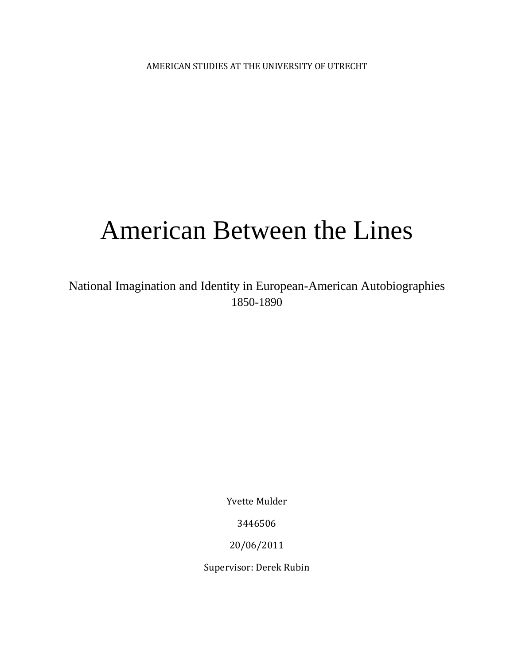AMERICAN STUDIES AT THE UNIVERSITY OF UTRECHT

# American Between the Lines

National Imagination and Identity in European-American Autobiographies 1850-1890

Yvette Mulder

3446506

20/06/2011

Supervisor: Derek Rubin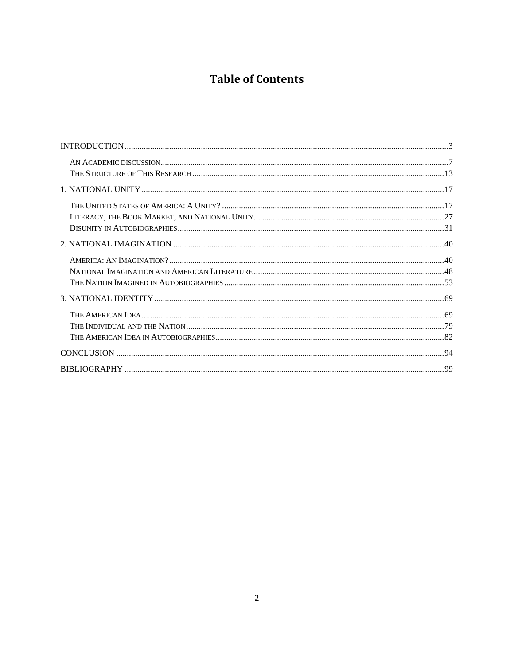# **Table of Contents**

| $\bf INTRODUCTION \dots 3$ |  |
|----------------------------|--|
|                            |  |
|                            |  |
|                            |  |
|                            |  |
|                            |  |
|                            |  |
|                            |  |
|                            |  |
|                            |  |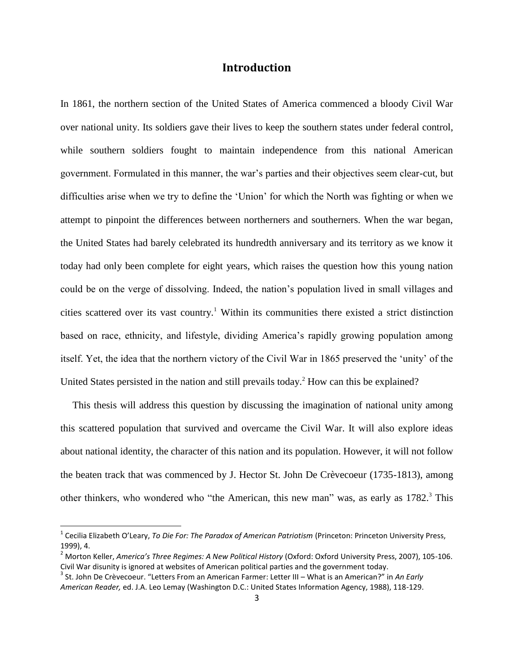## **Introduction**

<span id="page-2-0"></span>In 1861, the northern section of the United States of America commenced a bloody Civil War over national unity. Its soldiers gave their lives to keep the southern states under federal control, while southern soldiers fought to maintain independence from this national American government. Formulated in this manner, the war"s parties and their objectives seem clear-cut, but difficulties arise when we try to define the "Union" for which the North was fighting or when we attempt to pinpoint the differences between northerners and southerners. When the war began, the United States had barely celebrated its hundredth anniversary and its territory as we know it today had only been complete for eight years, which raises the question how this young nation could be on the verge of dissolving. Indeed, the nation"s population lived in small villages and cities scattered over its vast country.<sup>1</sup> Within its communities there existed a strict distinction based on race, ethnicity, and lifestyle, dividing America"s rapidly growing population among itself. Yet, the idea that the northern victory of the Civil War in 1865 preserved the "unity" of the United States persisted in the nation and still prevails today.<sup>2</sup> How can this be explained?

This thesis will address this question by discussing the imagination of national unity among this scattered population that survived and overcame the Civil War. It will also explore ideas about national identity, the character of this nation and its population. However, it will not follow the beaten track that was commenced by J. Hector St. John De Crèvecoeur (1735-1813), among other thinkers, who wondered who "the American, this new man" was, as early as  $1782$ .<sup>3</sup> This

l

<sup>&</sup>lt;sup>1</sup> Cecilia Elizabeth O'Leary, *To Die For: The Paradox of American Patriotism (Princeton: Princeton University Press,* 1999), 4.

<sup>&</sup>lt;sup>2</sup> Morton Keller, *America's Three Regimes: A New Political History* (Oxford: Oxford University Press, 2007), 105-106. Civil War disunity is ignored at websites of American political parties and the government today.

<sup>3</sup> St. John De Crèvecoeur. "Letters From an American Farmer: Letter III – What is an American?" in *An Early American Reader,* ed. J.A. Leo Lemay (Washington D.C.: United States Information Agency, 1988), 118-129.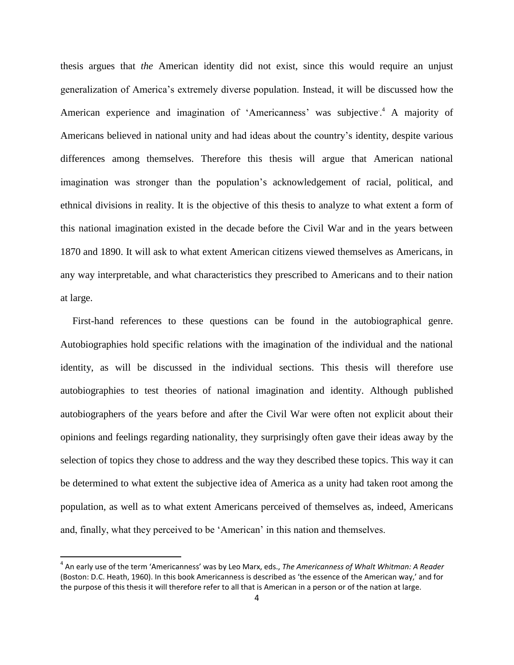thesis argues that *the* American identity did not exist, since this would require an unjust generalization of America"s extremely diverse population. Instead, it will be discussed how the American experience and imagination of 'Americanness' was subjective.<sup>4</sup> A majority of Americans believed in national unity and had ideas about the country"s identity, despite various differences among themselves. Therefore this thesis will argue that American national imagination was stronger than the population"s acknowledgement of racial, political, and ethnical divisions in reality. It is the objective of this thesis to analyze to what extent a form of this national imagination existed in the decade before the Civil War and in the years between 1870 and 1890. It will ask to what extent American citizens viewed themselves as Americans, in any way interpretable, and what characteristics they prescribed to Americans and to their nation at large.

First-hand references to these questions can be found in the autobiographical genre. Autobiographies hold specific relations with the imagination of the individual and the national identity, as will be discussed in the individual sections. This thesis will therefore use autobiographies to test theories of national imagination and identity. Although published autobiographers of the years before and after the Civil War were often not explicit about their opinions and feelings regarding nationality, they surprisingly often gave their ideas away by the selection of topics they chose to address and the way they described these topics. This way it can be determined to what extent the subjective idea of America as a unity had taken root among the population, as well as to what extent Americans perceived of themselves as, indeed, Americans and, finally, what they perceived to be 'American' in this nation and themselves.

<sup>4</sup> An early use of the term 'Americanness' was by Leo Marx, eds., *The Americanness of Whalt Whitman: A Reader* (Boston: D.C. Heath, 1960). In this book Americanness is described as 'the essence of the American way,' and for the purpose of this thesis it will therefore refer to all that is American in a person or of the nation at large.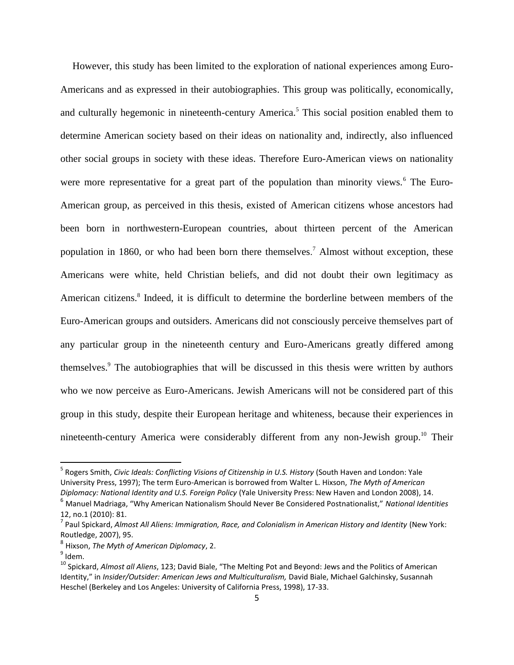However, this study has been limited to the exploration of national experiences among Euro-Americans and as expressed in their autobiographies. This group was politically, economically, and culturally hegemonic in nineteenth-century America.<sup>5</sup> This social position enabled them to determine American society based on their ideas on nationality and, indirectly, also influenced other social groups in society with these ideas. Therefore Euro-American views on nationality were more representative for a great part of the population than minority views.<sup>6</sup> The Euro-American group, as perceived in this thesis, existed of American citizens whose ancestors had been born in northwestern-European countries, about thirteen percent of the American population in 1860, or who had been born there themselves.<sup>7</sup> Almost without exception, these Americans were white, held Christian beliefs, and did not doubt their own legitimacy as American citizens.<sup>8</sup> Indeed, it is difficult to determine the borderline between members of the Euro-American groups and outsiders. Americans did not consciously perceive themselves part of any particular group in the nineteenth century and Euro-Americans greatly differed among themselves.<sup>9</sup> The autobiographies that will be discussed in this thesis were written by authors who we now perceive as Euro-Americans. Jewish Americans will not be considered part of this group in this study, despite their European heritage and whiteness, because their experiences in nineteenth-century America were considerably different from any non-Jewish group.<sup>10</sup> Their

l

<sup>&</sup>lt;sup>5</sup> Rogers Smith, *Civic Ideals: Conflicting Visions of Citizenship in U.S. History* (South Haven and London: Yale University Press, 1997); The term Euro-American is borrowed from Walter L. Hixson, *The Myth of American Diplomacy: National Identity and U.S. Foreign Policy* (Yale University Press: New Haven and London 2008), 14.

<sup>6</sup> Manuel Madriaga, "Why American Nationalism Should Never Be Considered Postnationalist," *National Identities* 12, no.1 (2010): 81.

<sup>7</sup> Paul Spickard, *Almost All Aliens: Immigration, Race, and Colonialism in American History and Identity* (New York: Routledge, 2007), 95.

<sup>8</sup> Hixson, *The Myth of American Diplomacy*, 2.

 $^9$  Idem.

<sup>10</sup> Spickard, *Almost all Aliens*, 123; David Biale, "The Melting Pot and Beyond: Jews and the Politics of American Identity," in *Insider/Outsider: American Jews and Multiculturalism,* David Biale, Michael Galchinsky, Susannah Heschel (Berkeley and Los Angeles: University of California Press, 1998), 17-33.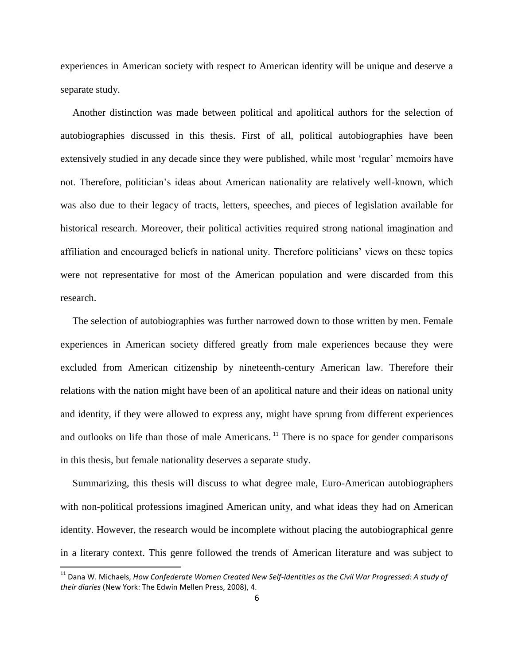experiences in American society with respect to American identity will be unique and deserve a separate study.

Another distinction was made between political and apolitical authors for the selection of autobiographies discussed in this thesis. First of all, political autobiographies have been extensively studied in any decade since they were published, while most "regular" memoirs have not. Therefore, politician"s ideas about American nationality are relatively well-known, which was also due to their legacy of tracts, letters, speeches, and pieces of legislation available for historical research. Moreover, their political activities required strong national imagination and affiliation and encouraged beliefs in national unity. Therefore politicians" views on these topics were not representative for most of the American population and were discarded from this research.

The selection of autobiographies was further narrowed down to those written by men. Female experiences in American society differed greatly from male experiences because they were excluded from American citizenship by nineteenth-century American law. Therefore their relations with the nation might have been of an apolitical nature and their ideas on national unity and identity, if they were allowed to express any, might have sprung from different experiences and outlooks on life than those of male Americans.<sup>11</sup> There is no space for gender comparisons in this thesis, but female nationality deserves a separate study.

Summarizing, this thesis will discuss to what degree male, Euro-American autobiographers with non-political professions imagined American unity, and what ideas they had on American identity. However, the research would be incomplete without placing the autobiographical genre in a literary context. This genre followed the trends of American literature and was subject to

<sup>&</sup>lt;sup>11</sup> Dana W. Michaels, *How Confederate Women Created New Self-Identities as the Civil War Progressed: A study of their diaries* (New York: The Edwin Mellen Press, 2008), 4.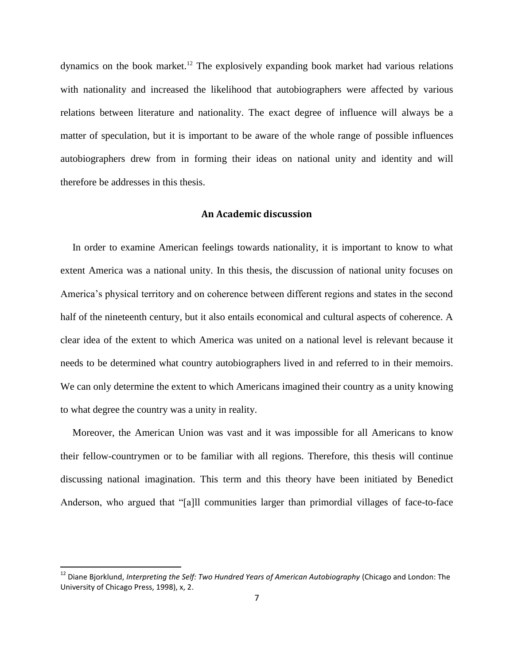dynamics on the book market.<sup>12</sup> The explosively expanding book market had various relations with nationality and increased the likelihood that autobiographers were affected by various relations between literature and nationality. The exact degree of influence will always be a matter of speculation, but it is important to be aware of the whole range of possible influences autobiographers drew from in forming their ideas on national unity and identity and will therefore be addresses in this thesis.

#### **An Academic discussion**

<span id="page-6-0"></span>In order to examine American feelings towards nationality, it is important to know to what extent America was a national unity. In this thesis, the discussion of national unity focuses on America"s physical territory and on coherence between different regions and states in the second half of the nineteenth century, but it also entails economical and cultural aspects of coherence. A clear idea of the extent to which America was united on a national level is relevant because it needs to be determined what country autobiographers lived in and referred to in their memoirs. We can only determine the extent to which Americans imagined their country as a unity knowing to what degree the country was a unity in reality.

Moreover, the American Union was vast and it was impossible for all Americans to know their fellow-countrymen or to be familiar with all regions. Therefore, this thesis will continue discussing national imagination. This term and this theory have been initiated by Benedict Anderson, who argued that "[a]ll communities larger than primordial villages of face-to-face

<sup>&</sup>lt;sup>12</sup> Diane Biorklund, *Interpreting the Self: Two Hundred Years of American Autobiography* (Chicago and London: The University of Chicago Press, 1998), x, 2.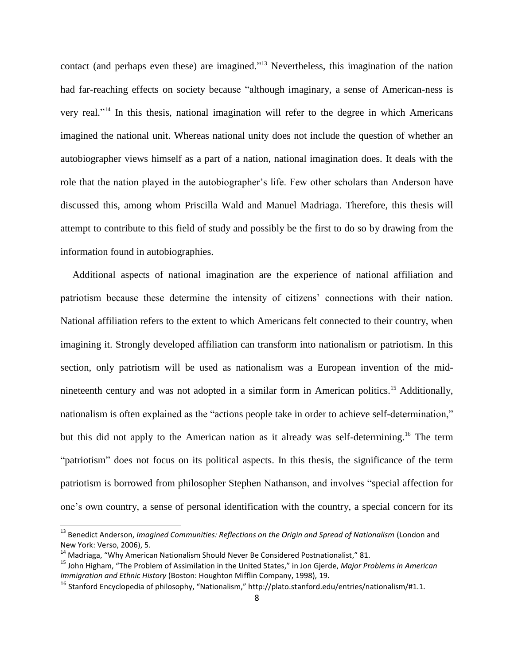contact (and perhaps even these) are imagined."<sup>13</sup> Nevertheless, this imagination of the nation had far-reaching effects on society because "although imaginary, a sense of American-ness is very real." <sup>14</sup> In this thesis, national imagination will refer to the degree in which Americans imagined the national unit. Whereas national unity does not include the question of whether an autobiographer views himself as a part of a nation, national imagination does. It deals with the role that the nation played in the autobiographer's life. Few other scholars than Anderson have discussed this, among whom Priscilla Wald and Manuel Madriaga. Therefore, this thesis will attempt to contribute to this field of study and possibly be the first to do so by drawing from the information found in autobiographies.

Additional aspects of national imagination are the experience of national affiliation and patriotism because these determine the intensity of citizens' connections with their nation. National affiliation refers to the extent to which Americans felt connected to their country, when imagining it. Strongly developed affiliation can transform into nationalism or patriotism. In this section, only patriotism will be used as nationalism was a European invention of the midnineteenth century and was not adopted in a similar form in American politics.<sup>15</sup> Additionally, nationalism is often explained as the "actions people take in order to achieve self-determination," but this did not apply to the American nation as it already was self-determining.<sup>16</sup> The term "patriotism" does not focus on its political aspects. In this thesis, the significance of the term patriotism is borrowed from philosopher Stephen Nathanson, and involves "special affection for one"s own country, a sense of personal identification with the country, a special concern for its

<sup>&</sup>lt;sup>13</sup> Benedict Anderson, *Imagined Communities: Reflections on the Origin and Spread of Nationalism* (London and New York: Verso, 2006), 5.

<sup>14</sup> Madriaga, "Why American Nationalism Should Never Be Considered Postnationalist," 81.

<sup>15</sup> John Higham, "The Problem of Assimilation in the United States," in Jon Gjerde, *Major Problems in American Immigration and Ethnic History* (Boston: Houghton Mifflin Company, 1998), 19.

<sup>&</sup>lt;sup>16</sup> Stanford Encyclopedia of philosophy, "Nationalism," http://plato.stanford.edu/entries/nationalism/#1.1.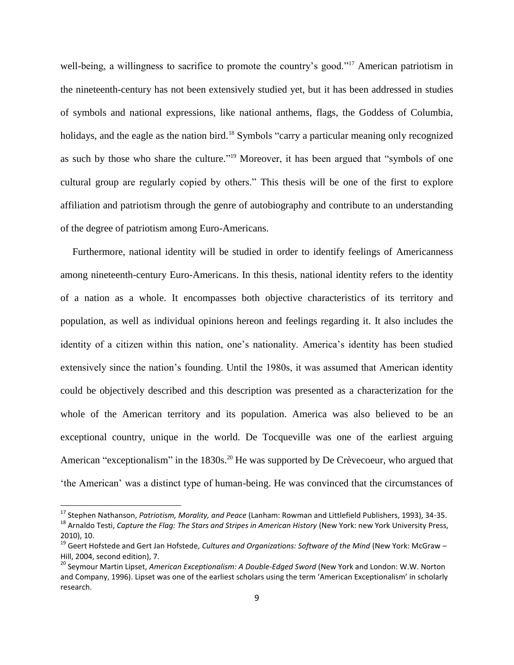well-being, a willingness to sacrifice to promote the country's good."<sup>17</sup> American patriotism in the nineteenth-century has not been extensively studied yet, but it has been addressed in studies of symbols and national expressions, like national anthems, flags, the Goddess of Columbia, holidays, and the eagle as the nation bird.<sup>18</sup> Symbols "carry a particular meaning only recognized as such by those who share the culture."<sup>19</sup> Moreover, it has been argued that "symbols of one cultural group are regularly copied by others." This thesis will be one of the first to explore affiliation and patriotism through the genre of autobiography and contribute to an understanding of the degree of patriotism among Euro-Americans.

Furthermore, national identity will be studied in order to identify feelings of Americanness among nineteenth-century Euro-Americans. In this thesis, national identity refers to the identity of a nation as a whole. It encompasses both objective characteristics of its territory and population, as well as individual opinions hereon and feelings regarding it. It also includes the identity of a citizen within this nation, one's nationality. America's identity has been studied extensively since the nation"s founding. Until the 1980s, it was assumed that American identity could be objectively described and this description was presented as a characterization for the whole of the American territory and its population. America was also believed to be an exceptional country, unique in the world. De Tocqueville was one of the earliest arguing American "exceptionalism" in the  $1830s$ <sup>20</sup> He was supported by De Crèvecoeur, who argued that "the American" was a distinct type of human-being. He was convinced that the circumstances of

<sup>17</sup> Stephen Nathanson, *Patriotism, Morality, and Peace* (Lanham: Rowman and Littlefield Publishers, 1993), 34-35.

<sup>&</sup>lt;sup>18</sup> Arnaldo Testi, *Capture the Flag: The Stars and Stripes in American History* (New York: new York University Press, 2010), 10.

<sup>19</sup> Geert Hofstede and Gert Jan Hofstede, *Cultures and Organizations: Software of the Mind* (New York: McGraw – Hill, 2004, second edition), 7.

<sup>20</sup> Seymour Martin Lipset, *American Exceptionalism: A Double-Edged Sword* (New York and London: W.W. Norton and Company, 1996). Lipset was one of the earliest scholars using the term 'American Exceptionalism' in scholarly research.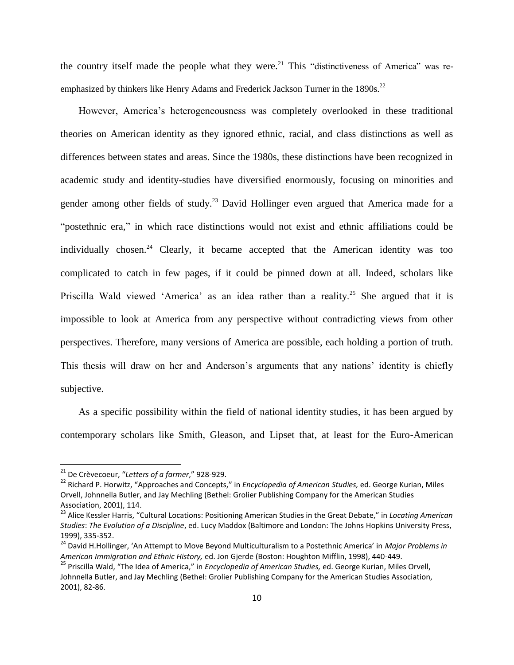the country itself made the people what they were.<sup>21</sup> This "distinctiveness of America" was reemphasized by thinkers like Henry Adams and Frederick Jackson Turner in the  $1890s$ <sup>22</sup>

However, America"s heterogeneousness was completely overlooked in these traditional theories on American identity as they ignored ethnic, racial, and class distinctions as well as differences between states and areas. Since the 1980s, these distinctions have been recognized in academic study and identity-studies have diversified enormously, focusing on minorities and gender among other fields of study.<sup>23</sup> David Hollinger even argued that America made for a "postethnic era," in which race distinctions would not exist and ethnic affiliations could be individually chosen.<sup>24</sup> Clearly, it became accepted that the American identity was too complicated to catch in few pages, if it could be pinned down at all. Indeed, scholars like Priscilla Wald viewed 'America' as an idea rather than a reality.<sup>25</sup> She argued that it is impossible to look at America from any perspective without contradicting views from other perspectives. Therefore, many versions of America are possible, each holding a portion of truth. This thesis will draw on her and Anderson's arguments that any nations' identity is chiefly subjective.

As a specific possibility within the field of national identity studies, it has been argued by contemporary scholars like Smith, Gleason, and Lipset that, at least for the Euro-American

<sup>21</sup> De Crèvecoeur, "*Letters of a farmer*," 928-929.

<sup>22</sup> Richard P. Horwitz, "Approaches and Concepts," in *Encyclopedia of American Studies,* ed. George Kurian, Miles Orvell, Johnnella Butler, and Jay Mechling (Bethel: Grolier Publishing Company for the American Studies Association, 2001), 114.

<sup>23</sup> Alice Kessler Harris, "Cultural Locations: Positioning American Studies in the Great Debate," in *Locating American Studies*: *The Evolution of a Discipline*, ed. Lucy Maddox (Baltimore and London: The Johns Hopkins University Press, 1999), 335-352.

<sup>24</sup> David H.Hollinger, 'An Attempt to Move Beyond Multiculturalism to a Postethnic America' in *Major Problems in American Immigration and Ethnic History,* ed. Jon Gjerde (Boston: Houghton Mifflin, 1998), 440-449.

<sup>25</sup> Priscilla Wald, "The Idea of America," in *Encyclopedia of American Studies,* ed. George Kurian, Miles Orvell, Johnnella Butler, and Jay Mechling (Bethel: Grolier Publishing Company for the American Studies Association, 2001), 82-86.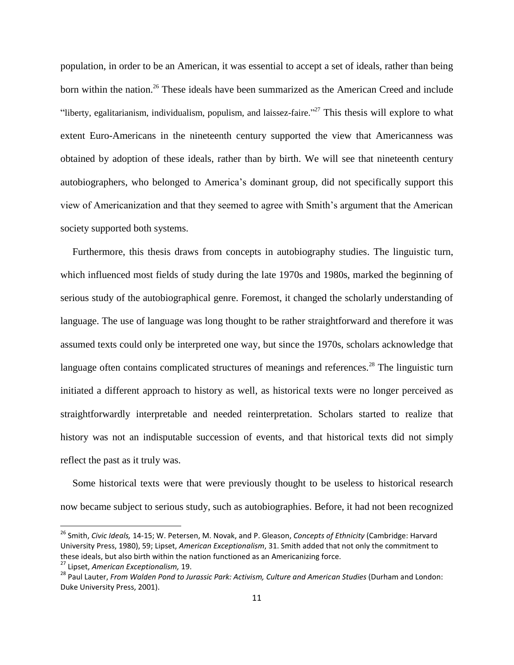population, in order to be an American, it was essential to accept a set of ideals, rather than being born within the nation.<sup>26</sup> These ideals have been summarized as the American Creed and include "liberty, egalitarianism, individualism, populism, and laissez-faire."<sup>27</sup> This thesis will explore to what extent Euro-Americans in the nineteenth century supported the view that Americanness was obtained by adoption of these ideals, rather than by birth. We will see that nineteenth century autobiographers, who belonged to America"s dominant group, did not specifically support this view of Americanization and that they seemed to agree with Smith"s argument that the American society supported both systems.

Furthermore, this thesis draws from concepts in autobiography studies. The linguistic turn, which influenced most fields of study during the late 1970s and 1980s, marked the beginning of serious study of the autobiographical genre. Foremost, it changed the scholarly understanding of language. The use of language was long thought to be rather straightforward and therefore it was assumed texts could only be interpreted one way, but since the 1970s, scholars acknowledge that language often contains complicated structures of meanings and references.<sup>28</sup> The linguistic turn initiated a different approach to history as well, as historical texts were no longer perceived as straightforwardly interpretable and needed reinterpretation. Scholars started to realize that history was not an indisputable succession of events, and that historical texts did not simply reflect the past as it truly was.

Some historical texts were that were previously thought to be useless to historical research now became subject to serious study, such as autobiographies. Before, it had not been recognized

l

<sup>26</sup> Smith, *Civic Ideals,* 14-15; W. Petersen, M. Novak, and P. Gleason, *Concepts of Ethnicity* (Cambridge: Harvard University Press, 1980), 59; Lipset, *American Exceptionalism*, 31. Smith added that not only the commitment to these ideals, but also birth within the nation functioned as an Americanizing force.

<sup>27</sup> Lipset, *American Exceptionalism,* 19.

<sup>&</sup>lt;sup>28</sup> Paul Lauter, *From Walden Pond to Jurassic Park: Activism, Culture and American Studies* (Durham and London: Duke University Press, 2001).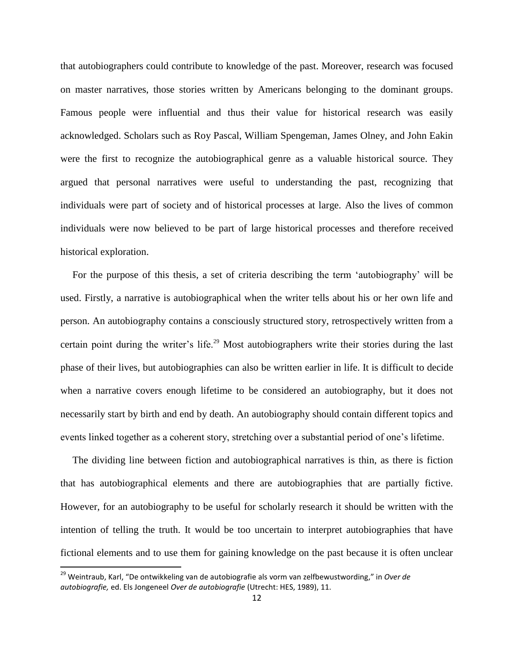that autobiographers could contribute to knowledge of the past. Moreover, research was focused on master narratives, those stories written by Americans belonging to the dominant groups. Famous people were influential and thus their value for historical research was easily acknowledged. Scholars such as Roy Pascal, William Spengeman, James Olney, and John Eakin were the first to recognize the autobiographical genre as a valuable historical source. They argued that personal narratives were useful to understanding the past, recognizing that individuals were part of society and of historical processes at large. Also the lives of common individuals were now believed to be part of large historical processes and therefore received historical exploration.

For the purpose of this thesis, a set of criteria describing the term "autobiography" will be used. Firstly, a narrative is autobiographical when the writer tells about his or her own life and person. An autobiography contains a consciously structured story, retrospectively written from a certain point during the writer's life.<sup>29</sup> Most autobiographers write their stories during the last phase of their lives, but autobiographies can also be written earlier in life. It is difficult to decide when a narrative covers enough lifetime to be considered an autobiography, but it does not necessarily start by birth and end by death. An autobiography should contain different topics and events linked together as a coherent story, stretching over a substantial period of one"s lifetime.

The dividing line between fiction and autobiographical narratives is thin, as there is fiction that has autobiographical elements and there are autobiographies that are partially fictive. However, for an autobiography to be useful for scholarly research it should be written with the intention of telling the truth. It would be too uncertain to interpret autobiographies that have fictional elements and to use them for gaining knowledge on the past because it is often unclear

<sup>29</sup> Weintraub, Karl, "De ontwikkeling van de autobiografie als vorm van zelfbewustwording," in *Over de autobiografie,* ed. Els Jongeneel *Over de autobiografie* (Utrecht: HES, 1989), 11.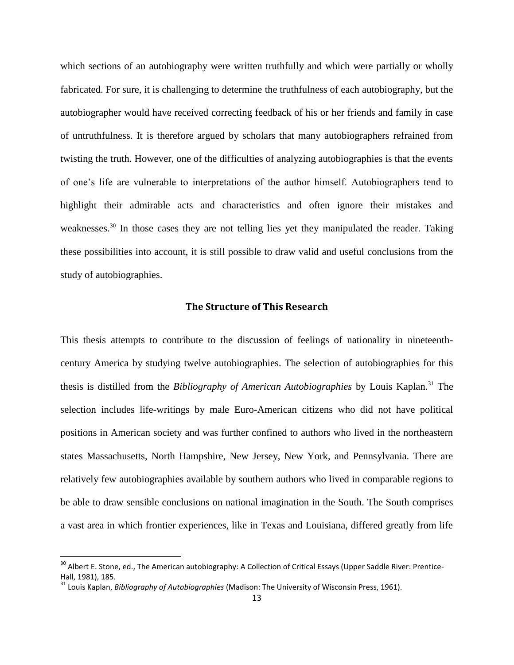which sections of an autobiography were written truthfully and which were partially or wholly fabricated. For sure, it is challenging to determine the truthfulness of each autobiography, but the autobiographer would have received correcting feedback of his or her friends and family in case of untruthfulness. It is therefore argued by scholars that many autobiographers refrained from twisting the truth. However, one of the difficulties of analyzing autobiographies is that the events of one"s life are vulnerable to interpretations of the author himself. Autobiographers tend to highlight their admirable acts and characteristics and often ignore their mistakes and weaknesses.<sup>30</sup> In those cases they are not telling lies yet they manipulated the reader. Taking these possibilities into account, it is still possible to draw valid and useful conclusions from the study of autobiographies.

#### **The Structure of This Research**

<span id="page-12-0"></span>This thesis attempts to contribute to the discussion of feelings of nationality in nineteenthcentury America by studying twelve autobiographies. The selection of autobiographies for this thesis is distilled from the *Bibliography of American Autobiographies* by Louis Kaplan.<sup>31</sup> The selection includes life-writings by male Euro-American citizens who did not have political positions in American society and was further confined to authors who lived in the northeastern states Massachusetts, North Hampshire, New Jersey, New York, and Pennsylvania. There are relatively few autobiographies available by southern authors who lived in comparable regions to be able to draw sensible conclusions on national imagination in the South. The South comprises a vast area in which frontier experiences, like in Texas and Louisiana, differed greatly from life

<sup>&</sup>lt;sup>30</sup> Albert E. Stone, ed., The American autobiography: A Collection of Critical Essays (Upper Saddle River: Prentice-Hall, 1981), 185.

<sup>31</sup> Louis Kaplan, *Bibliography of Autobiographies* (Madison: The University of Wisconsin Press, 1961).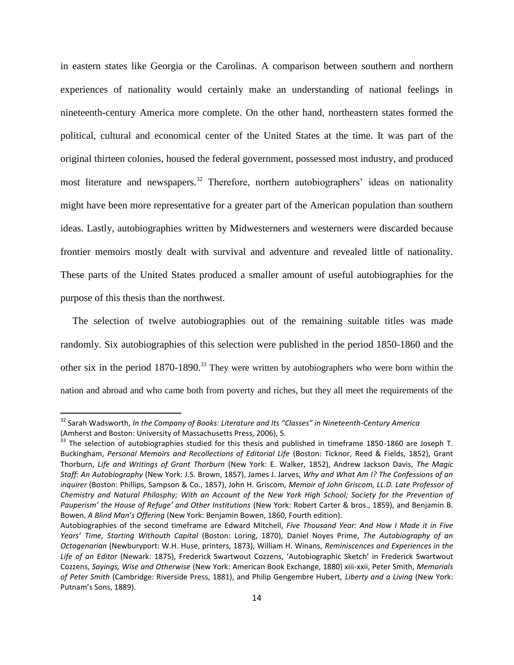in eastern states like Georgia or the Carolinas. A comparison between southern and northern experiences of nationality would certainly make an understanding of national feelings in nineteenth-century America more complete. On the other hand, northeastern states formed the political, cultural and economical center of the United States at the time. It was part of the original thirteen colonies, housed the federal government, possessed most industry, and produced most literature and newspapers.<sup>32</sup> Therefore, northern autobiographers' ideas on nationality might have been more representative for a greater part of the American population than southern ideas. Lastly, autobiographies written by Midwesterners and westerners were discarded because frontier memoirs mostly dealt with survival and adventure and revealed little of nationality. These parts of the United States produced a smaller amount of useful autobiographies for the purpose of this thesis than the northwest.

The selection of twelve autobiographies out of the remaining suitable titles was made randomly. Six autobiographies of this selection were published in the period 1850-1860 and the other six in the period  $1870-1890$ <sup>33</sup>. They were written by autobiographers who were born within the nation and abroad and who came both from poverty and riches, but they all meet the requirements of the

l

<sup>32</sup> Sarah Wadsworth, *In the Company of Books: Literature and Its "Classes" in Nineteenth-Century America* (Amherst and Boston: University of Massachusetts Press, 2006), 5.

<sup>&</sup>lt;sup>33</sup> The selection of autobiographies studied for this thesis and published in timeframe 1850-1860 are Joseph T. Buckingham, *Personal Memoirs and Recollections of Editorial Life* (Boston: Ticknor, Reed & Fields, 1852), Grant Thorburn, *Life and Writings of Grant Thorburn* (New York: E. Walker, 1852), Andrew Jackson Davis, *The Magic Staff: An Autobiography* (New York: J.S. Brown, 1857), James J. Jarves, *Why and What Am I? The Confessions of an inquirer* (Boston: Phillips, Sampson & Co., 1857), John H. Griscom, *Memoir of John Griscom, LL.D. Late Professor of Chemistry and Natural Philosphy; With an Account of the New York High School; Society for the Prevention of Pauperism' the House of Refuge' and Other Institutions* (New York: Robert Carter & bros., 1859), and Benjamin B. Bowen, *A Blind Man's Offering* (New York: Benjamin Bowen, 1860, Fourth edition).

Autobiographies of the second timeframe are Edward Mitchell, *Five Thousand Year: And How I Made it in Five Years' Time, Starting Withouth Capital* (Boston: Loring, 1870), Daniel Noyes Prime, *The Autobiography of an Octogenarian* (Newburyport: W.H. Huse, printers, 1873), William H. Winans, *Reminiscences and Experiences in the Life of an Editor* (Newark: 1875), Frederick Swartwout Cozzens, 'Autobiographic Sketch' in Frederick Swartwout Cozzens, *Sayings, Wise and Otherwise* (New York: American Book Exchange, 1880) xiii-xxii, Peter Smith, *Memorials of Peter Smith* (Cambridge: Riverside Press, 1881), and Philip Gengembre Hubert, *Liberty and a Living* (New York: Putnam's Sons, 1889).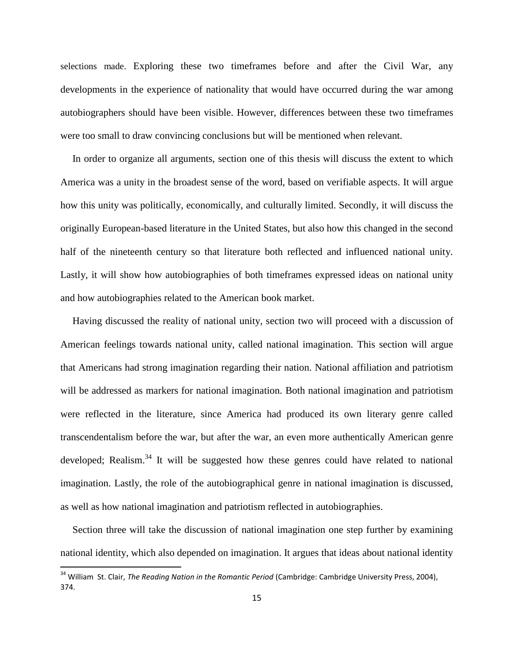selections made. Exploring these two timeframes before and after the Civil War, any developments in the experience of nationality that would have occurred during the war among autobiographers should have been visible. However, differences between these two timeframes were too small to draw convincing conclusions but will be mentioned when relevant.

In order to organize all arguments, section one of this thesis will discuss the extent to which America was a unity in the broadest sense of the word, based on verifiable aspects. It will argue how this unity was politically, economically, and culturally limited. Secondly, it will discuss the originally European-based literature in the United States, but also how this changed in the second half of the nineteenth century so that literature both reflected and influenced national unity. Lastly, it will show how autobiographies of both timeframes expressed ideas on national unity and how autobiographies related to the American book market.

Having discussed the reality of national unity, section two will proceed with a discussion of American feelings towards national unity, called national imagination. This section will argue that Americans had strong imagination regarding their nation. National affiliation and patriotism will be addressed as markers for national imagination. Both national imagination and patriotism were reflected in the literature, since America had produced its own literary genre called transcendentalism before the war, but after the war, an even more authentically American genre developed; Realism.<sup>34</sup> It will be suggested how these genres could have related to national imagination. Lastly, the role of the autobiographical genre in national imagination is discussed, as well as how national imagination and patriotism reflected in autobiographies.

Section three will take the discussion of national imagination one step further by examining national identity, which also depended on imagination. It argues that ideas about national identity

<sup>&</sup>lt;sup>34</sup> William St. Clair, *The Reading Nation in the Romantic Period* (Cambridge: Cambridge University Press, 2004), 374.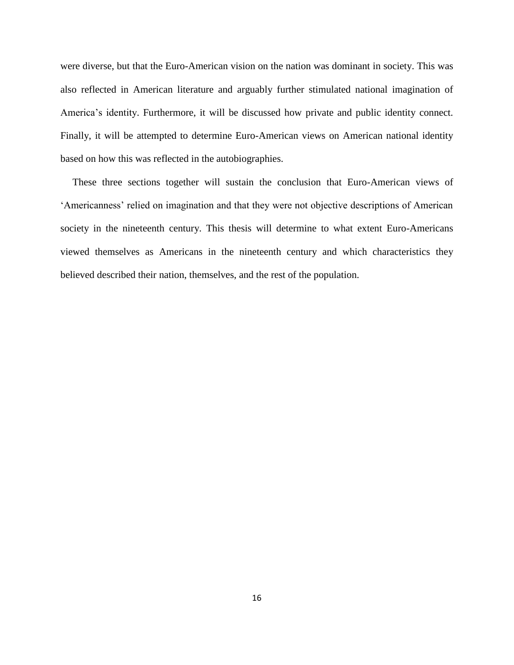were diverse, but that the Euro-American vision on the nation was dominant in society. This was also reflected in American literature and arguably further stimulated national imagination of America"s identity. Furthermore, it will be discussed how private and public identity connect. Finally, it will be attempted to determine Euro-American views on American national identity based on how this was reflected in the autobiographies.

These three sections together will sustain the conclusion that Euro-American views of "Americanness" relied on imagination and that they were not objective descriptions of American society in the nineteenth century. This thesis will determine to what extent Euro-Americans viewed themselves as Americans in the nineteenth century and which characteristics they believed described their nation, themselves, and the rest of the population.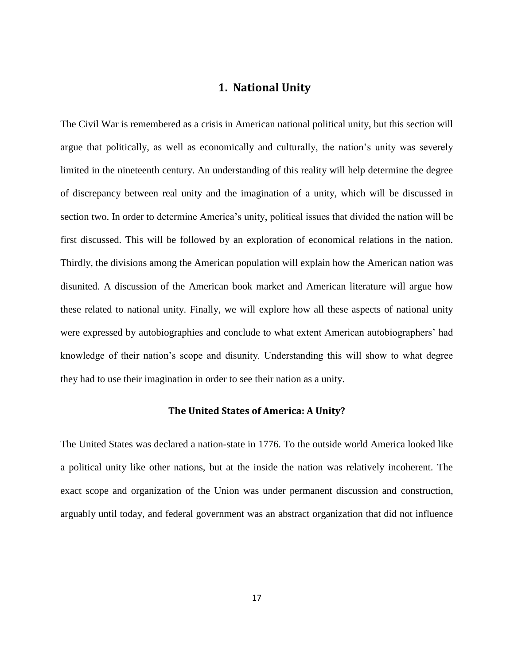### **1. National Unity**

<span id="page-16-0"></span>The Civil War is remembered as a crisis in American national political unity, but this section will argue that politically, as well as economically and culturally, the nation"s unity was severely limited in the nineteenth century. An understanding of this reality will help determine the degree of discrepancy between real unity and the imagination of a unity, which will be discussed in section two. In order to determine America's unity, political issues that divided the nation will be first discussed. This will be followed by an exploration of economical relations in the nation. Thirdly, the divisions among the American population will explain how the American nation was disunited. A discussion of the American book market and American literature will argue how these related to national unity. Finally, we will explore how all these aspects of national unity were expressed by autobiographies and conclude to what extent American autobiographers' had knowledge of their nation"s scope and disunity. Understanding this will show to what degree they had to use their imagination in order to see their nation as a unity.

#### **The United States of America: A Unity?**

<span id="page-16-1"></span>The United States was declared a nation-state in 1776. To the outside world America looked like a political unity like other nations, but at the inside the nation was relatively incoherent. The exact scope and organization of the Union was under permanent discussion and construction, arguably until today, and federal government was an abstract organization that did not influence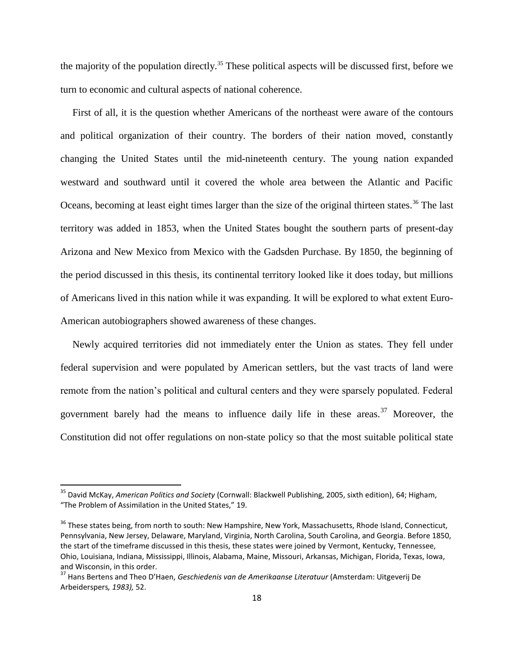the majority of the population directly.<sup>35</sup> These political aspects will be discussed first, before we turn to economic and cultural aspects of national coherence.

First of all, it is the question whether Americans of the northeast were aware of the contours and political organization of their country. The borders of their nation moved, constantly changing the United States until the mid-nineteenth century. The young nation expanded westward and southward until it covered the whole area between the Atlantic and Pacific Oceans, becoming at least eight times larger than the size of the original thirteen states.<sup>36</sup> The last territory was added in 1853, when the United States bought the southern parts of present-day Arizona and New Mexico from Mexico with the Gadsden Purchase. By 1850, the beginning of the period discussed in this thesis, its continental territory looked like it does today, but millions of Americans lived in this nation while it was expanding. It will be explored to what extent Euro-American autobiographers showed awareness of these changes.

Newly acquired territories did not immediately enter the Union as states. They fell under federal supervision and were populated by American settlers, but the vast tracts of land were remote from the nation"s political and cultural centers and they were sparsely populated. Federal government barely had the means to influence daily life in these areas.<sup>37</sup> Moreover, the Constitution did not offer regulations on non-state policy so that the most suitable political state

<sup>35</sup> David McKay, *American Politics and Society* (Cornwall: Blackwell Publishing, 2005, sixth edition), 64; Higham, "The Problem of Assimilation in the United States," 19.

<sup>&</sup>lt;sup>36</sup> These states being, from north to south: New Hampshire, New York, Massachusetts, Rhode Island, Connecticut, Pennsylvania, New Jersey, Delaware, Maryland, Virginia, North Carolina, South Carolina, and Georgia. Before 1850, the start of the timeframe discussed in this thesis, these states were joined by Vermont, Kentucky, Tennessee, Ohio, Louisiana, Indiana, Mississippi, Illinois, Alabama, Maine, Missouri, Arkansas, Michigan, Florida, Texas, Iowa, and Wisconsin, in this order.

<sup>37</sup> Hans Bertens and Theo D'Haen, *Geschiedenis van de Amerikaanse Literatuur* (Amsterdam: Uitgeverij De Arbeiderspers*, 1983),* 52.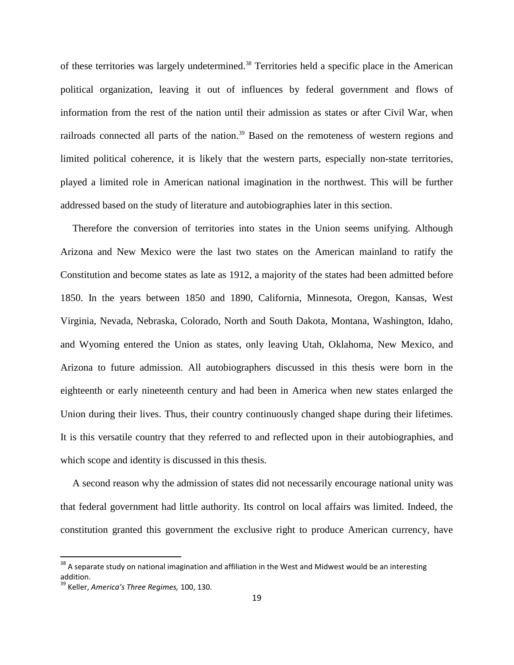of these territories was largely undetermined.<sup>38</sup> Territories held a specific place in the American political organization, leaving it out of influences by federal government and flows of information from the rest of the nation until their admission as states or after Civil War, when railroads connected all parts of the nation.<sup>39</sup> Based on the remoteness of western regions and limited political coherence, it is likely that the western parts, especially non-state territories, played a limited role in American national imagination in the northwest. This will be further addressed based on the study of literature and autobiographies later in this section.

Therefore the conversion of territories into states in the Union seems unifying. Although Arizona and New Mexico were the last two states on the American mainland to ratify the Constitution and become states as late as 1912, a majority of the states had been admitted before 1850. In the years between 1850 and 1890, California, Minnesota, Oregon, Kansas, West Virginia, Nevada, Nebraska, Colorado, North and South Dakota, Montana, Washington, Idaho, and Wyoming entered the Union as states, only leaving Utah, Oklahoma, New Mexico, and Arizona to future admission. All autobiographers discussed in this thesis were born in the eighteenth or early nineteenth century and had been in America when new states enlarged the Union during their lives. Thus, their country continuously changed shape during their lifetimes. It is this versatile country that they referred to and reflected upon in their autobiographies, and which scope and identity is discussed in this thesis.

A second reason why the admission of states did not necessarily encourage national unity was that federal government had little authority. Its control on local affairs was limited. Indeed, the constitution granted this government the exclusive right to produce American currency, have

 $38$  A separate study on national imagination and affiliation in the West and Midwest would be an interesting addition.

<sup>39</sup> Keller, *America's Three Regimes,* 100, 130.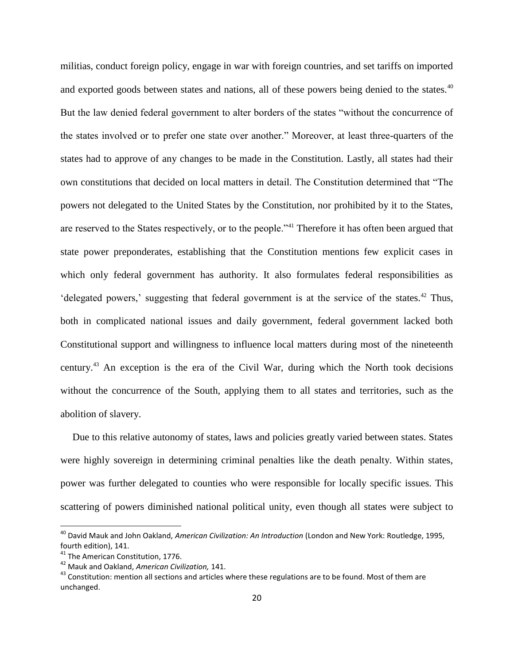militias, conduct foreign policy, engage in war with foreign countries, and set tariffs on imported and exported goods between states and nations, all of these powers being denied to the states.<sup>40</sup> But the law denied federal government to alter borders of the states "without the concurrence of the states involved or to prefer one state over another." Moreover, at least three-quarters of the states had to approve of any changes to be made in the Constitution. Lastly, all states had their own constitutions that decided on local matters in detail. The Constitution determined that "The powers not delegated to the United States by the Constitution, nor prohibited by it to the States, are reserved to the States respectively, or to the people."<sup>41</sup> Therefore it has often been argued that state power preponderates, establishing that the Constitution mentions few explicit cases in which only federal government has authority. It also formulates federal responsibilities as 'delegated powers,' suggesting that federal government is at the service of the states.<sup>42</sup> Thus, both in complicated national issues and daily government, federal government lacked both Constitutional support and willingness to influence local matters during most of the nineteenth century.<sup>43</sup> An exception is the era of the Civil War, during which the North took decisions without the concurrence of the South, applying them to all states and territories, such as the abolition of slavery.

Due to this relative autonomy of states, laws and policies greatly varied between states. States were highly sovereign in determining criminal penalties like the death penalty. Within states, power was further delegated to counties who were responsible for locally specific issues. This scattering of powers diminished national political unity, even though all states were subject to

l

<sup>40</sup> David Mauk and John Oakland, *American Civilization: An Introduction* (London and New York: Routledge, 1995, fourth edition), 141.

<sup>&</sup>lt;sup>41</sup> The American Constitution, 1776.

<sup>42</sup> Mauk and Oakland, *American Civilization,* 141.

<sup>&</sup>lt;sup>43</sup> Constitution: mention all sections and articles where these regulations are to be found. Most of them are unchanged.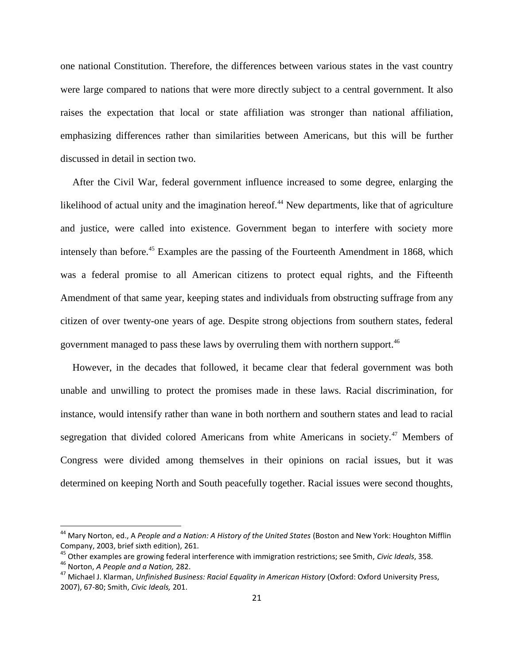one national Constitution. Therefore, the differences between various states in the vast country were large compared to nations that were more directly subject to a central government. It also raises the expectation that local or state affiliation was stronger than national affiliation, emphasizing differences rather than similarities between Americans, but this will be further discussed in detail in section two.

After the Civil War, federal government influence increased to some degree, enlarging the likelihood of actual unity and the imagination hereof.<sup>44</sup> New departments, like that of agriculture and justice, were called into existence. Government began to interfere with society more intensely than before.<sup>45</sup> Examples are the passing of the Fourteenth Amendment in 1868, which was a federal promise to all American citizens to protect equal rights, and the Fifteenth Amendment of that same year, keeping states and individuals from obstructing suffrage from any citizen of over twenty-one years of age. Despite strong objections from southern states, federal government managed to pass these laws by overruling them with northern support.<sup>46</sup>

However, in the decades that followed, it became clear that federal government was both unable and unwilling to protect the promises made in these laws. Racial discrimination, for instance, would intensify rather than wane in both northern and southern states and lead to racial segregation that divided colored Americans from white Americans in society.<sup>47</sup> Members of Congress were divided among themselves in their opinions on racial issues, but it was determined on keeping North and South peacefully together. Racial issues were second thoughts,

l

<sup>&</sup>lt;sup>44</sup> Mary Norton, ed., A People and a Nation: A History of the United States (Boston and New York: Houghton Mifflin Company, 2003, brief sixth edition), 261.

<sup>45</sup> Other examples are growing federal interference with immigration restrictions; see Smith, *Civic Ideals*, 358.

<sup>46</sup> Norton, *A People and a Nation,* 282.

<sup>47</sup> Michael J. Klarman, *Unfinished Business: Racial Equality in American History* (Oxford: Oxford University Press, 2007), 67-80; Smith, *Civic Ideals,* 201.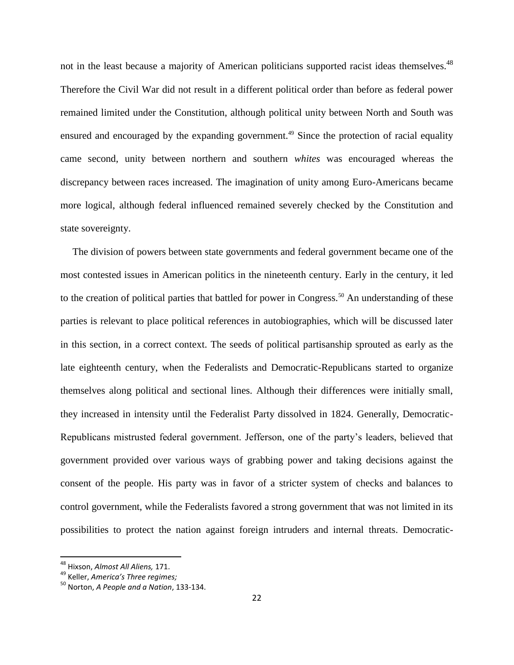not in the least because a majority of American politicians supported racist ideas themselves.<sup>48</sup> Therefore the Civil War did not result in a different political order than before as federal power remained limited under the Constitution, although political unity between North and South was ensured and encouraged by the expanding government.<sup>49</sup> Since the protection of racial equality came second, unity between northern and southern *whites* was encouraged whereas the discrepancy between races increased. The imagination of unity among Euro-Americans became more logical, although federal influenced remained severely checked by the Constitution and state sovereignty.

The division of powers between state governments and federal government became one of the most contested issues in American politics in the nineteenth century. Early in the century, it led to the creation of political parties that battled for power in Congress.<sup>50</sup> An understanding of these parties is relevant to place political references in autobiographies, which will be discussed later in this section, in a correct context. The seeds of political partisanship sprouted as early as the late eighteenth century, when the Federalists and Democratic-Republicans started to organize themselves along political and sectional lines. Although their differences were initially small, they increased in intensity until the Federalist Party dissolved in 1824. Generally, Democratic-Republicans mistrusted federal government. Jefferson, one of the party"s leaders, believed that government provided over various ways of grabbing power and taking decisions against the consent of the people. His party was in favor of a stricter system of checks and balances to control government, while the Federalists favored a strong government that was not limited in its possibilities to protect the nation against foreign intruders and internal threats. Democratic-

<sup>48</sup> Hixson, *Almost All Aliens,* 171.

<sup>49</sup> Keller, *America's Three regimes;* 

<sup>50</sup> Norton, *A People and a Nation*, 133-134.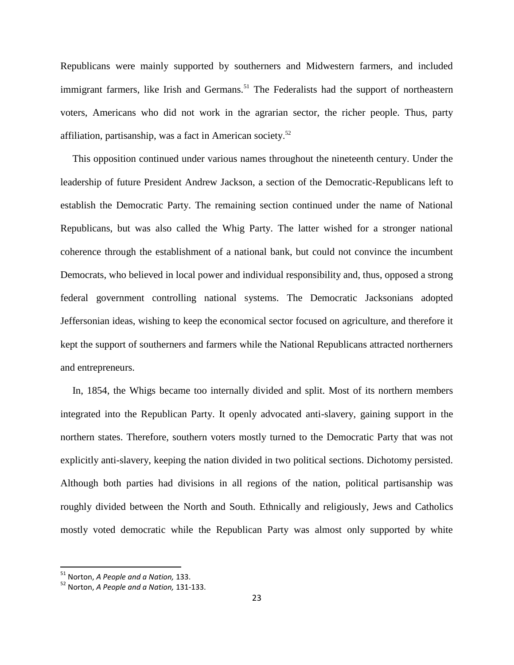Republicans were mainly supported by southerners and Midwestern farmers, and included immigrant farmers, like Irish and Germans.<sup>51</sup> The Federalists had the support of northeastern voters, Americans who did not work in the agrarian sector, the richer people. Thus, party affiliation, partisanship, was a fact in American society.<sup>52</sup>

This opposition continued under various names throughout the nineteenth century. Under the leadership of future President Andrew Jackson, a section of the Democratic-Republicans left to establish the Democratic Party. The remaining section continued under the name of National Republicans, but was also called the Whig Party. The latter wished for a stronger national coherence through the establishment of a national bank, but could not convince the incumbent Democrats, who believed in local power and individual responsibility and, thus, opposed a strong federal government controlling national systems. The Democratic Jacksonians adopted Jeffersonian ideas, wishing to keep the economical sector focused on agriculture, and therefore it kept the support of southerners and farmers while the National Republicans attracted northerners and entrepreneurs.

In, 1854, the Whigs became too internally divided and split. Most of its northern members integrated into the Republican Party. It openly advocated anti-slavery, gaining support in the northern states. Therefore, southern voters mostly turned to the Democratic Party that was not explicitly anti-slavery, keeping the nation divided in two political sections. Dichotomy persisted. Although both parties had divisions in all regions of the nation, political partisanship was roughly divided between the North and South. Ethnically and religiously, Jews and Catholics mostly voted democratic while the Republican Party was almost only supported by white

<sup>51</sup> Norton, *A People and a Nation,* 133.

<sup>52</sup> Norton, *A People and a Nation,* 131-133.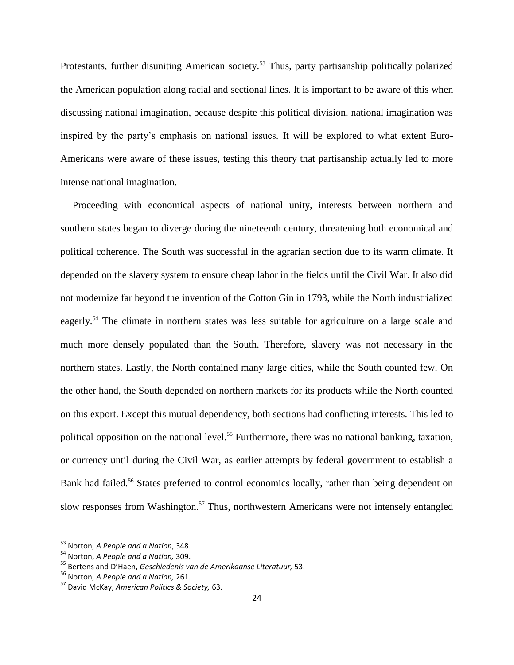Protestants, further disuniting American society.<sup>53</sup> Thus, party partisanship politically polarized the American population along racial and sectional lines. It is important to be aware of this when discussing national imagination, because despite this political division, national imagination was inspired by the party"s emphasis on national issues. It will be explored to what extent Euro-Americans were aware of these issues, testing this theory that partisanship actually led to more intense national imagination.

Proceeding with economical aspects of national unity, interests between northern and southern states began to diverge during the nineteenth century, threatening both economical and political coherence. The South was successful in the agrarian section due to its warm climate. It depended on the slavery system to ensure cheap labor in the fields until the Civil War. It also did not modernize far beyond the invention of the Cotton Gin in 1793, while the North industrialized eagerly.<sup>54</sup> The climate in northern states was less suitable for agriculture on a large scale and much more densely populated than the South. Therefore, slavery was not necessary in the northern states. Lastly, the North contained many large cities, while the South counted few. On the other hand, the South depended on northern markets for its products while the North counted on this export. Except this mutual dependency, both sections had conflicting interests. This led to political opposition on the national level.<sup>55</sup> Furthermore, there was no national banking, taxation, or currency until during the Civil War, as earlier attempts by federal government to establish a Bank had failed.<sup>56</sup> States preferred to control economics locally, rather than being dependent on slow responses from Washington.<sup>57</sup> Thus, northwestern Americans were not intensely entangled

<sup>53</sup> Norton, *A People and a Nation*, 348.

<sup>54</sup> Norton, *A People and a Nation,* 309.

<sup>55</sup> Bertens and D'Haen, *Geschiedenis van de Amerikaanse Literatuur,* 53.

<sup>56</sup> Norton, *A People and a Nation,* 261.

<sup>57</sup> David McKay, *American Politics & Society,* 63.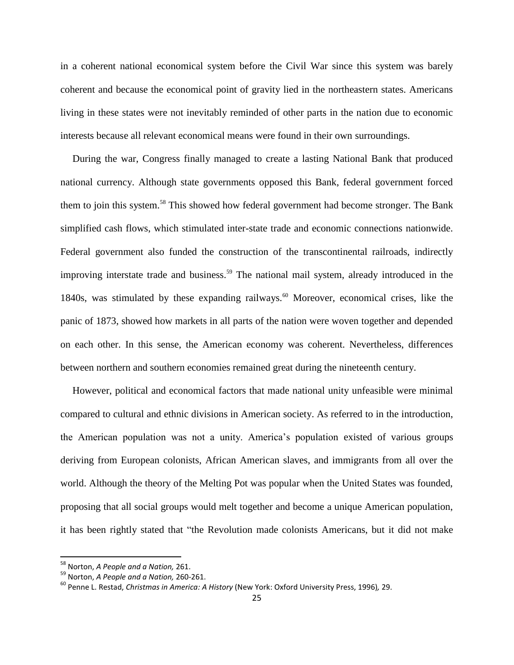in a coherent national economical system before the Civil War since this system was barely coherent and because the economical point of gravity lied in the northeastern states. Americans living in these states were not inevitably reminded of other parts in the nation due to economic interests because all relevant economical means were found in their own surroundings.

During the war, Congress finally managed to create a lasting National Bank that produced national currency. Although state governments opposed this Bank, federal government forced them to join this system.<sup>58</sup> This showed how federal government had become stronger. The Bank simplified cash flows, which stimulated inter-state trade and economic connections nationwide. Federal government also funded the construction of the transcontinental railroads, indirectly improving interstate trade and business.<sup>59</sup> The national mail system, already introduced in the 1840s, was stimulated by these expanding railways.<sup>60</sup> Moreover, economical crises, like the panic of 1873, showed how markets in all parts of the nation were woven together and depended on each other. In this sense, the American economy was coherent. Nevertheless, differences between northern and southern economies remained great during the nineteenth century.

However, political and economical factors that made national unity unfeasible were minimal compared to cultural and ethnic divisions in American society. As referred to in the introduction, the American population was not a unity. America"s population existed of various groups deriving from European colonists, African American slaves, and immigrants from all over the world. Although the theory of the Melting Pot was popular when the United States was founded, proposing that all social groups would melt together and become a unique American population, it has been rightly stated that "the Revolution made colonists Americans, but it did not make

<sup>58</sup> Norton, *A People and a Nation,* 261.

<sup>59</sup> Norton, *A People and a Nation,* 260-261.

<sup>60</sup> Penne L. Restad, *Christmas in America: A History* (New York: Oxford University Press, 1996)*,* 29.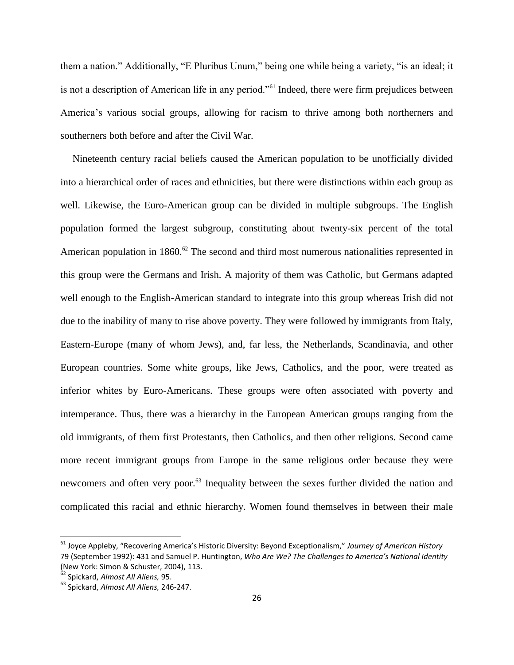them a nation." Additionally, "E Pluribus Unum," being one while being a variety, "is an ideal; it is not a description of American life in any period."<sup>61</sup> Indeed, there were firm prejudices between America's various social groups, allowing for racism to thrive among both northerners and southerners both before and after the Civil War.

Nineteenth century racial beliefs caused the American population to be unofficially divided into a hierarchical order of races and ethnicities, but there were distinctions within each group as well. Likewise, the Euro-American group can be divided in multiple subgroups. The English population formed the largest subgroup, constituting about twenty-six percent of the total American population in 1860.<sup>62</sup> The second and third most numerous nationalities represented in this group were the Germans and Irish. A majority of them was Catholic, but Germans adapted well enough to the English-American standard to integrate into this group whereas Irish did not due to the inability of many to rise above poverty. They were followed by immigrants from Italy, Eastern-Europe (many of whom Jews), and, far less, the Netherlands, Scandinavia, and other European countries. Some white groups, like Jews, Catholics, and the poor, were treated as inferior whites by Euro-Americans. These groups were often associated with poverty and intemperance. Thus, there was a hierarchy in the European American groups ranging from the old immigrants, of them first Protestants, then Catholics, and then other religions. Second came more recent immigrant groups from Europe in the same religious order because they were newcomers and often very poor.<sup>63</sup> Inequality between the sexes further divided the nation and complicated this racial and ethnic hierarchy. Women found themselves in between their male

<sup>61</sup> Joyce Appleby, "Recovering America's Historic Diversity: Beyond Exceptionalism," *Journey of American History*  79 (September 1992): 431 and Samuel P. Huntington, *Who Are We? The Challenges to America's National Identity* (New York: Simon & Schuster, 2004), 113.

<sup>62</sup> Spickard, *Almost All Aliens,* 95.

<sup>63</sup> Spickard, *Almost All Aliens,* 246-247.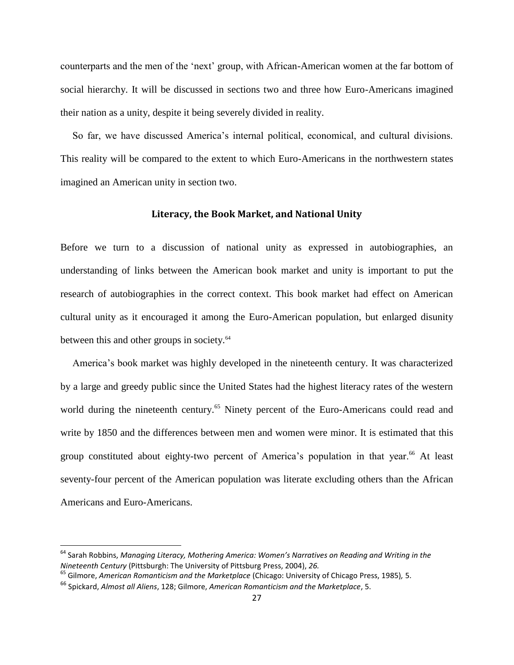counterparts and the men of the "next" group, with African-American women at the far bottom of social hierarchy. It will be discussed in sections two and three how Euro-Americans imagined their nation as a unity, despite it being severely divided in reality.

So far, we have discussed America"s internal political, economical, and cultural divisions. This reality will be compared to the extent to which Euro-Americans in the northwestern states imagined an American unity in section two.

#### **Literacy, the Book Market, and National Unity**

<span id="page-26-0"></span>Before we turn to a discussion of national unity as expressed in autobiographies, an understanding of links between the American book market and unity is important to put the research of autobiographies in the correct context. This book market had effect on American cultural unity as it encouraged it among the Euro-American population, but enlarged disunity between this and other groups in society.<sup>64</sup>

America"s book market was highly developed in the nineteenth century. It was characterized by a large and greedy public since the United States had the highest literacy rates of the western world during the nineteenth century.<sup>65</sup> Ninety percent of the Euro-Americans could read and write by 1850 and the differences between men and women were minor. It is estimated that this group constituted about eighty-two percent of America's population in that year.<sup>66</sup> At least seventy-four percent of the American population was literate excluding others than the African Americans and Euro-Americans.

<sup>64</sup> Sarah Robbins, *Managing Literacy, Mothering America: Women's Narratives on Reading and Writing in the Nineteenth Century* (Pittsburgh: The University of Pittsburg Press, 2004), *26.*

<sup>65</sup> Gilmore, *American Romanticism and the Marketplace* (Chicago: University of Chicago Press, 1985)*,* 5.

<sup>66</sup> Spickard, *Almost all Aliens*, 128; Gilmore, *American Romanticism and the Marketplace*, 5.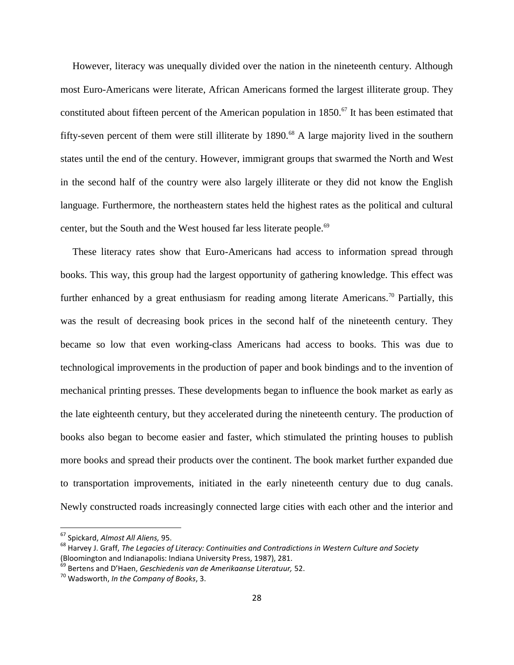However, literacy was unequally divided over the nation in the nineteenth century. Although most Euro-Americans were literate, African Americans formed the largest illiterate group. They constituted about fifteen percent of the American population in  $1850$ .<sup>67</sup> It has been estimated that fifty-seven percent of them were still illiterate by  $1890$ .<sup>68</sup> A large majority lived in the southern states until the end of the century. However, immigrant groups that swarmed the North and West in the second half of the country were also largely illiterate or they did not know the English language. Furthermore, the northeastern states held the highest rates as the political and cultural center, but the South and the West housed far less literate people.<sup>69</sup>

These literacy rates show that Euro-Americans had access to information spread through books. This way, this group had the largest opportunity of gathering knowledge. This effect was further enhanced by a great enthusiasm for reading among literate Americans.<sup>70</sup> Partially, this was the result of decreasing book prices in the second half of the nineteenth century. They became so low that even working-class Americans had access to books. This was due to technological improvements in the production of paper and book bindings and to the invention of mechanical printing presses. These developments began to influence the book market as early as the late eighteenth century, but they accelerated during the nineteenth century. The production of books also began to become easier and faster, which stimulated the printing houses to publish more books and spread their products over the continent. The book market further expanded due to transportation improvements, initiated in the early nineteenth century due to dug canals. Newly constructed roads increasingly connected large cities with each other and the interior and

<sup>67</sup> Spickard, *Almost All Aliens,* 95.

<sup>68</sup> Harvey J. Graff, *The Legacies of Literacy: Continuities and Contradictions in Western Culture and Society* (Bloomington and Indianapolis: Indiana University Press, 1987), 281.

<sup>69</sup> Bertens and D'Haen, *Geschiedenis van de Amerikaanse Literatuur,* 52.

<sup>70</sup> Wadsworth, *In the Company of Books*, 3.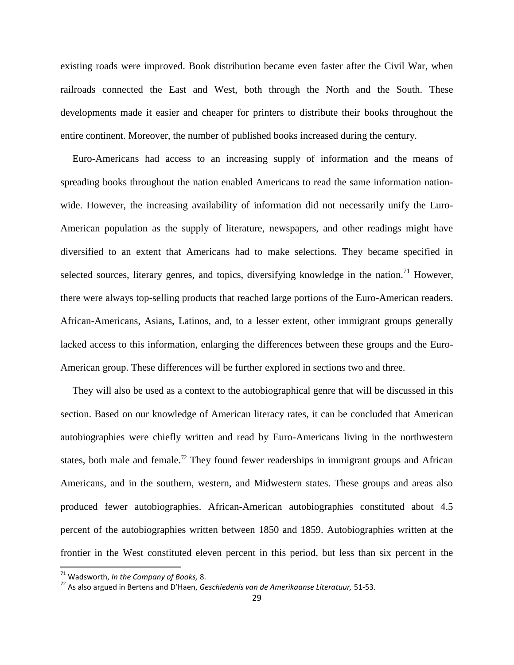existing roads were improved. Book distribution became even faster after the Civil War, when railroads connected the East and West, both through the North and the South. These developments made it easier and cheaper for printers to distribute their books throughout the entire continent. Moreover, the number of published books increased during the century.

Euro-Americans had access to an increasing supply of information and the means of spreading books throughout the nation enabled Americans to read the same information nationwide. However, the increasing availability of information did not necessarily unify the Euro-American population as the supply of literature, newspapers, and other readings might have diversified to an extent that Americans had to make selections. They became specified in selected sources, literary genres, and topics, diversifying knowledge in the nation.<sup>71</sup> However, there were always top-selling products that reached large portions of the Euro-American readers. African-Americans, Asians, Latinos, and, to a lesser extent, other immigrant groups generally lacked access to this information, enlarging the differences between these groups and the Euro-American group. These differences will be further explored in sections two and three.

They will also be used as a context to the autobiographical genre that will be discussed in this section. Based on our knowledge of American literacy rates, it can be concluded that American autobiographies were chiefly written and read by Euro-Americans living in the northwestern states, both male and female.<sup>72</sup> They found fewer readerships in immigrant groups and African Americans, and in the southern, western, and Midwestern states. These groups and areas also produced fewer autobiographies. African-American autobiographies constituted about 4.5 percent of the autobiographies written between 1850 and 1859. Autobiographies written at the frontier in the West constituted eleven percent in this period, but less than six percent in the

<sup>71</sup> Wadsworth, *In the Company of Books,* 8.

<sup>72</sup> As also argued in Bertens and D'Haen, *Geschiedenis van de Amerikaanse Literatuur,* 51-53.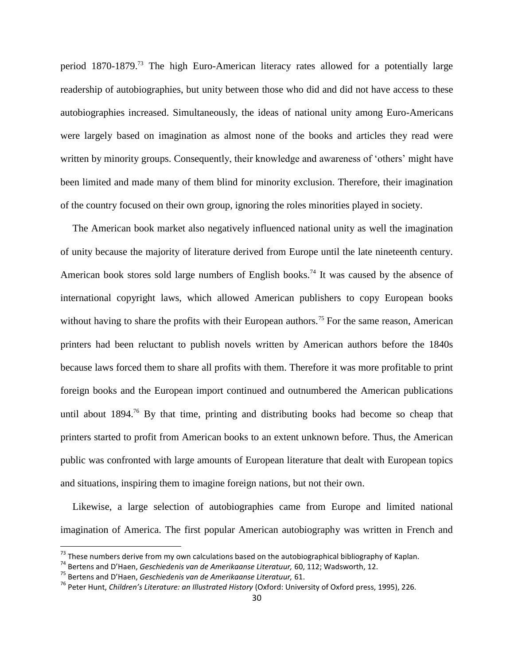period 1870-1879.<sup>73</sup> The high Euro-American literacy rates allowed for a potentially large readership of autobiographies, but unity between those who did and did not have access to these autobiographies increased. Simultaneously, the ideas of national unity among Euro-Americans were largely based on imagination as almost none of the books and articles they read were written by minority groups. Consequently, their knowledge and awareness of 'others' might have been limited and made many of them blind for minority exclusion. Therefore, their imagination of the country focused on their own group, ignoring the roles minorities played in society.

The American book market also negatively influenced national unity as well the imagination of unity because the majority of literature derived from Europe until the late nineteenth century. American book stores sold large numbers of English books.<sup>74</sup> It was caused by the absence of international copyright laws, which allowed American publishers to copy European books without having to share the profits with their European authors.<sup>75</sup> For the same reason, American printers had been reluctant to publish novels written by American authors before the 1840s because laws forced them to share all profits with them. Therefore it was more profitable to print foreign books and the European import continued and outnumbered the American publications until about  $1894<sup>76</sup>$  By that time, printing and distributing books had become so cheap that printers started to profit from American books to an extent unknown before. Thus, the American public was confronted with large amounts of European literature that dealt with European topics and situations, inspiring them to imagine foreign nations, but not their own.

Likewise, a large selection of autobiographies came from Europe and limited national imagination of America. The first popular American autobiography was written in French and

l

 $^{73}$  These numbers derive from my own calculations based on the autobiographical bibliography of Kaplan.

<sup>74</sup> Bertens and D'Haen, *Geschiedenis van de Amerikaanse Literatuur,* 60, 112; Wadsworth, 12.

<sup>75</sup> Bertens and D'Haen, *Geschiedenis van de Amerikaanse Literatuur,* 61.

<sup>76</sup> Peter Hunt, *Children's Literature: an Illustrated History* (Oxford: University of Oxford press, 1995), 226.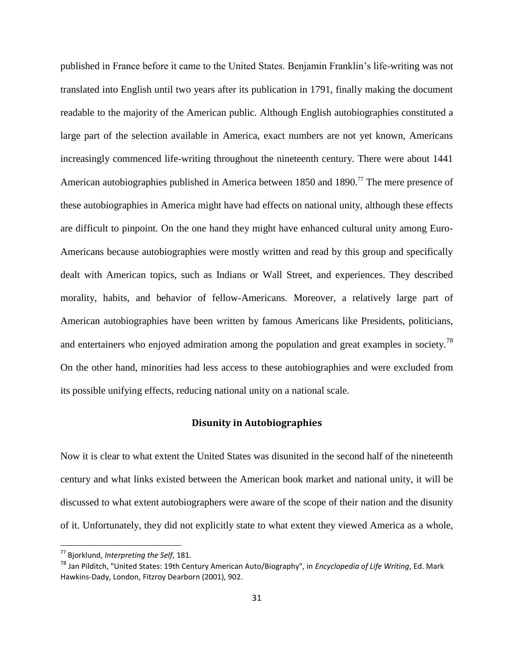published in France before it came to the United States. Benjamin Franklin"s life-writing was not translated into English until two years after its publication in 1791, finally making the document readable to the majority of the American public. Although English autobiographies constituted a large part of the selection available in America, exact numbers are not yet known, Americans increasingly commenced life-writing throughout the nineteenth century. There were about 1441 American autobiographies published in America between 1850 and 1890.<sup>77</sup> The mere presence of these autobiographies in America might have had effects on national unity, although these effects are difficult to pinpoint. On the one hand they might have enhanced cultural unity among Euro-Americans because autobiographies were mostly written and read by this group and specifically dealt with American topics, such as Indians or Wall Street, and experiences. They described morality, habits, and behavior of fellow-Americans. Moreover, a relatively large part of American autobiographies have been written by famous Americans like Presidents, politicians, and entertainers who enjoyed admiration among the population and great examples in society.<sup>78</sup> On the other hand, minorities had less access to these autobiographies and were excluded from its possible unifying effects, reducing national unity on a national scale.

#### **Disunity in Autobiographies**

<span id="page-30-0"></span>Now it is clear to what extent the United States was disunited in the second half of the nineteenth century and what links existed between the American book market and national unity, it will be discussed to what extent autobiographers were aware of the scope of their nation and the disunity of it. Unfortunately, they did not explicitly state to what extent they viewed America as a whole,

<sup>77</sup> Bjorklund, *Interpreting the Self*, 181.

<sup>78</sup> Jan Pilditch, "United States: 19th Century American Auto/Biography", in *Encyclopedia of Life Writing*, Ed. Mark Hawkins-Dady, London, Fitzroy Dearborn (2001), 902.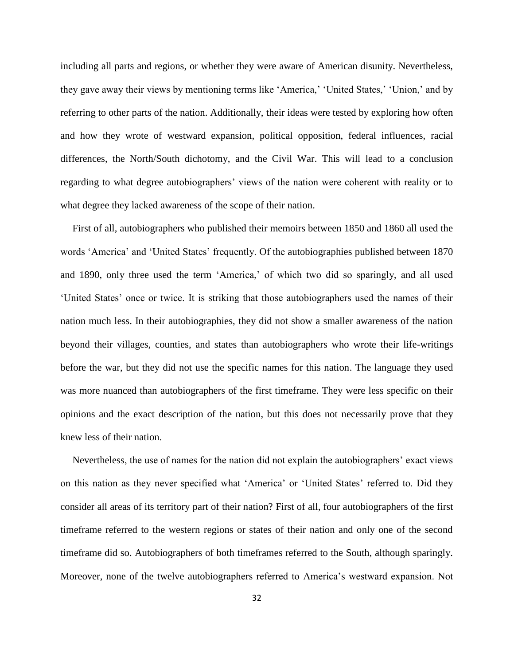including all parts and regions, or whether they were aware of American disunity. Nevertheless, they gave away their views by mentioning terms like "America," "United States," "Union," and by referring to other parts of the nation. Additionally, their ideas were tested by exploring how often and how they wrote of westward expansion, political opposition, federal influences, racial differences, the North/South dichotomy, and the Civil War. This will lead to a conclusion regarding to what degree autobiographers' views of the nation were coherent with reality or to what degree they lacked awareness of the scope of their nation.

First of all, autobiographers who published their memoirs between 1850 and 1860 all used the words "America" and "United States" frequently. Of the autobiographies published between 1870 and 1890, only three used the term 'America,' of which two did so sparingly, and all used "United States" once or twice. It is striking that those autobiographers used the names of their nation much less. In their autobiographies, they did not show a smaller awareness of the nation beyond their villages, counties, and states than autobiographers who wrote their life-writings before the war, but they did not use the specific names for this nation. The language they used was more nuanced than autobiographers of the first timeframe. They were less specific on their opinions and the exact description of the nation, but this does not necessarily prove that they knew less of their nation.

Nevertheless, the use of names for the nation did not explain the autobiographers" exact views on this nation as they never specified what "America" or "United States" referred to. Did they consider all areas of its territory part of their nation? First of all, four autobiographers of the first timeframe referred to the western regions or states of their nation and only one of the second timeframe did so. Autobiographers of both timeframes referred to the South, although sparingly. Moreover, none of the twelve autobiographers referred to America"s westward expansion. Not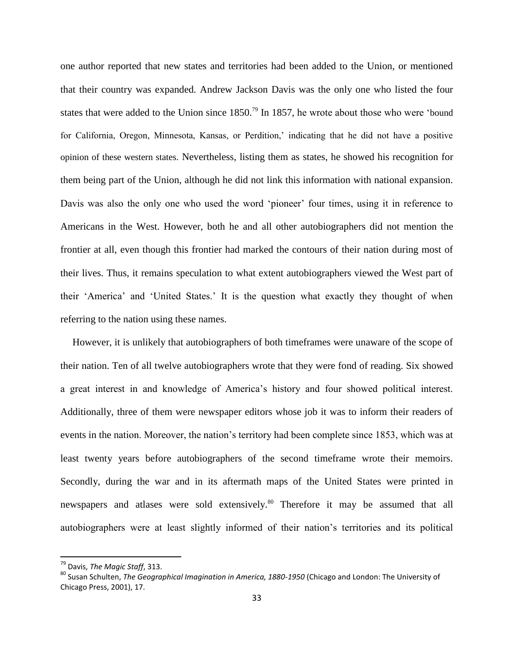one author reported that new states and territories had been added to the Union, or mentioned that their country was expanded. Andrew Jackson Davis was the only one who listed the four states that were added to the Union since  $1850$ <sup>79</sup> In 1857, he wrote about those who were 'bound for California, Oregon, Minnesota, Kansas, or Perdition," indicating that he did not have a positive opinion of these western states. Nevertheless, listing them as states, he showed his recognition for them being part of the Union, although he did not link this information with national expansion. Davis was also the only one who used the word 'pioneer' four times, using it in reference to Americans in the West. However, both he and all other autobiographers did not mention the frontier at all, even though this frontier had marked the contours of their nation during most of their lives. Thus, it remains speculation to what extent autobiographers viewed the West part of their "America" and "United States." It is the question what exactly they thought of when referring to the nation using these names.

However, it is unlikely that autobiographers of both timeframes were unaware of the scope of their nation. Ten of all twelve autobiographers wrote that they were fond of reading. Six showed a great interest in and knowledge of America"s history and four showed political interest. Additionally, three of them were newspaper editors whose job it was to inform their readers of events in the nation. Moreover, the nation's territory had been complete since 1853, which was at least twenty years before autobiographers of the second timeframe wrote their memoirs. Secondly, during the war and in its aftermath maps of the United States were printed in newspapers and atlases were sold extensively.<sup>80</sup> Therefore it may be assumed that all autobiographers were at least slightly informed of their nation"s territories and its political

<sup>79</sup> Davis, *The Magic Staff*, 313.

<sup>80</sup> Susan Schulten, *The Geographical Imagination in America, 1880-1950* (Chicago and London: The University of Chicago Press, 2001), 17.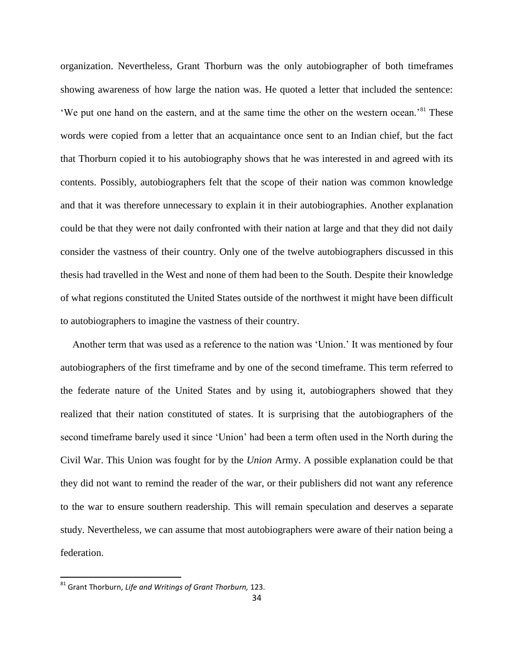organization. Nevertheless, Grant Thorburn was the only autobiographer of both timeframes showing awareness of how large the nation was. He quoted a letter that included the sentence: 'We put one hand on the eastern, and at the same time the other on the western ocean.'<sup>81</sup> These words were copied from a letter that an acquaintance once sent to an Indian chief, but the fact that Thorburn copied it to his autobiography shows that he was interested in and agreed with its contents. Possibly, autobiographers felt that the scope of their nation was common knowledge and that it was therefore unnecessary to explain it in their autobiographies. Another explanation could be that they were not daily confronted with their nation at large and that they did not daily consider the vastness of their country. Only one of the twelve autobiographers discussed in this thesis had travelled in the West and none of them had been to the South. Despite their knowledge of what regions constituted the United States outside of the northwest it might have been difficult to autobiographers to imagine the vastness of their country.

Another term that was used as a reference to the nation was "Union." It was mentioned by four autobiographers of the first timeframe and by one of the second timeframe. This term referred to the federate nature of the United States and by using it, autobiographers showed that they realized that their nation constituted of states. It is surprising that the autobiographers of the second timeframe barely used it since "Union" had been a term often used in the North during the Civil War. This Union was fought for by the *Union* Army. A possible explanation could be that they did not want to remind the reader of the war, or their publishers did not want any reference to the war to ensure southern readership. This will remain speculation and deserves a separate study. Nevertheless, we can assume that most autobiographers were aware of their nation being a federation.

<sup>81</sup> Grant Thorburn, *Life and Writings of Grant Thorburn,* 123.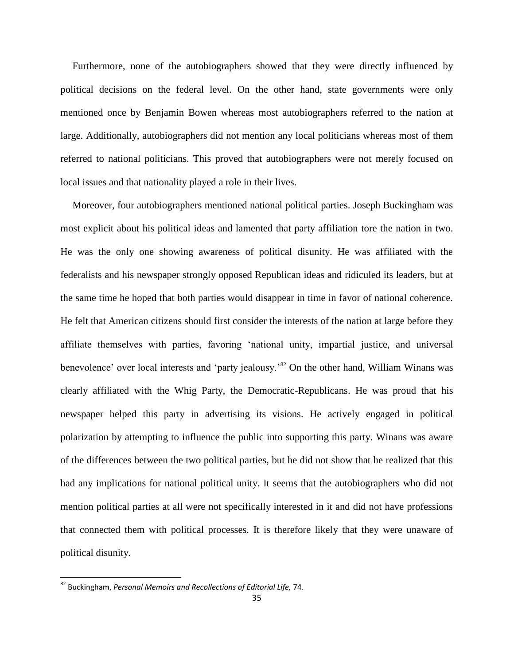Furthermore, none of the autobiographers showed that they were directly influenced by political decisions on the federal level. On the other hand, state governments were only mentioned once by Benjamin Bowen whereas most autobiographers referred to the nation at large. Additionally, autobiographers did not mention any local politicians whereas most of them referred to national politicians. This proved that autobiographers were not merely focused on local issues and that nationality played a role in their lives.

Moreover, four autobiographers mentioned national political parties. Joseph Buckingham was most explicit about his political ideas and lamented that party affiliation tore the nation in two. He was the only one showing awareness of political disunity. He was affiliated with the federalists and his newspaper strongly opposed Republican ideas and ridiculed its leaders, but at the same time he hoped that both parties would disappear in time in favor of national coherence. He felt that American citizens should first consider the interests of the nation at large before they affiliate themselves with parties, favoring "national unity, impartial justice, and universal benevolence' over local interests and 'party jealousy.<sup>82</sup> On the other hand, William Winans was clearly affiliated with the Whig Party, the Democratic-Republicans. He was proud that his newspaper helped this party in advertising its visions. He actively engaged in political polarization by attempting to influence the public into supporting this party. Winans was aware of the differences between the two political parties, but he did not show that he realized that this had any implications for national political unity. It seems that the autobiographers who did not mention political parties at all were not specifically interested in it and did not have professions that connected them with political processes. It is therefore likely that they were unaware of political disunity.

<sup>82</sup> Buckingham, *Personal Memoirs and Recollections of Editorial Life,* 74.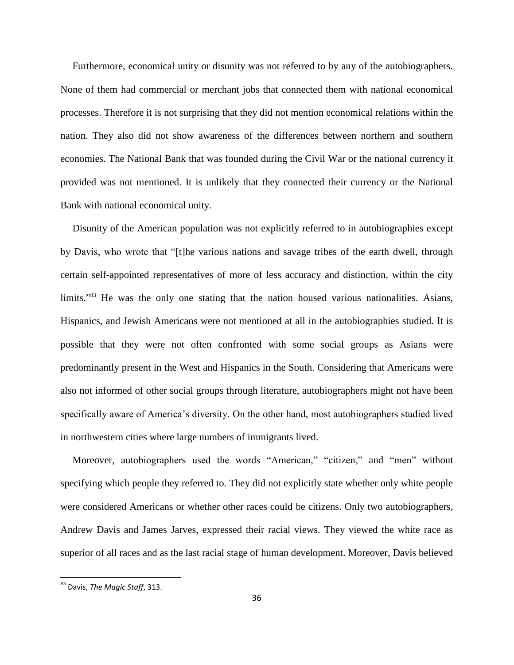Furthermore, economical unity or disunity was not referred to by any of the autobiographers. None of them had commercial or merchant jobs that connected them with national economical processes. Therefore it is not surprising that they did not mention economical relations within the nation. They also did not show awareness of the differences between northern and southern economies. The National Bank that was founded during the Civil War or the national currency it provided was not mentioned. It is unlikely that they connected their currency or the National Bank with national economical unity.

Disunity of the American population was not explicitly referred to in autobiographies except by Davis, who wrote that "[t]he various nations and savage tribes of the earth dwell, through certain self-appointed representatives of more of less accuracy and distinction, within the city limits."<sup>83</sup> He was the only one stating that the nation housed various nationalities. Asians, Hispanics, and Jewish Americans were not mentioned at all in the autobiographies studied. It is possible that they were not often confronted with some social groups as Asians were predominantly present in the West and Hispanics in the South. Considering that Americans were also not informed of other social groups through literature, autobiographers might not have been specifically aware of America's diversity. On the other hand, most autobiographers studied lived in northwestern cities where large numbers of immigrants lived.

Moreover, autobiographers used the words "American," "citizen," and "men" without specifying which people they referred to. They did not explicitly state whether only white people were considered Americans or whether other races could be citizens. Only two autobiographers, Andrew Davis and James Jarves, expressed their racial views. They viewed the white race as superior of all races and as the last racial stage of human development. Moreover, Davis believed

<sup>83</sup> Davis, *The Magic Staff*, 313.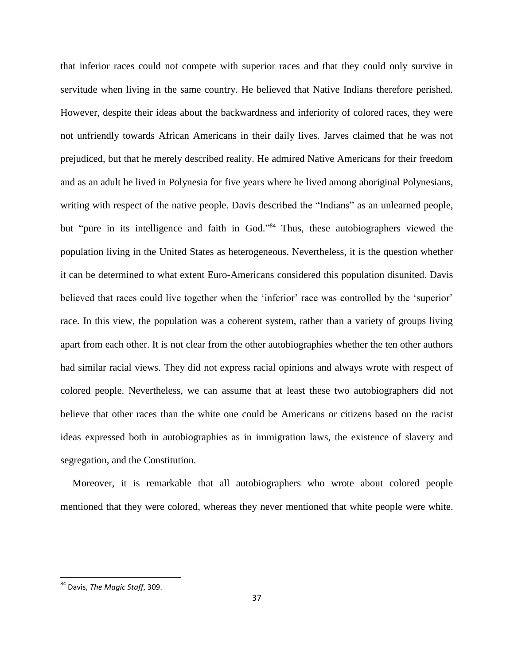that inferior races could not compete with superior races and that they could only survive in servitude when living in the same country. He believed that Native Indians therefore perished. However, despite their ideas about the backwardness and inferiority of colored races, they were not unfriendly towards African Americans in their daily lives. Jarves claimed that he was not prejudiced, but that he merely described reality. He admired Native Americans for their freedom and as an adult he lived in Polynesia for five years where he lived among aboriginal Polynesians, writing with respect of the native people. Davis described the "Indians" as an unlearned people, but "pure in its intelligence and faith in God." <sup>84</sup> Thus, these autobiographers viewed the population living in the United States as heterogeneous. Nevertheless, it is the question whether it can be determined to what extent Euro-Americans considered this population disunited. Davis believed that races could live together when the 'inferior' race was controlled by the 'superior' race. In this view, the population was a coherent system, rather than a variety of groups living apart from each other. It is not clear from the other autobiographies whether the ten other authors had similar racial views. They did not express racial opinions and always wrote with respect of colored people. Nevertheless, we can assume that at least these two autobiographers did not believe that other races than the white one could be Americans or citizens based on the racist ideas expressed both in autobiographies as in immigration laws, the existence of slavery and segregation, and the Constitution.

Moreover, it is remarkable that all autobiographers who wrote about colored people mentioned that they were colored, whereas they never mentioned that white people were white.

<sup>84</sup> Davis, *The Magic Staff*, 309.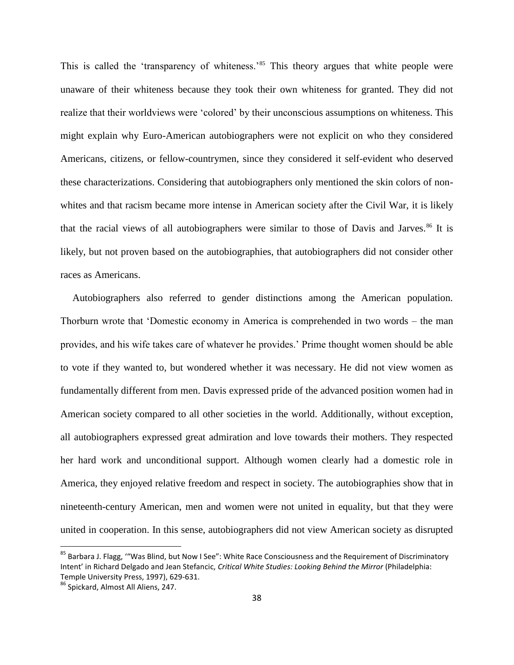This is called the 'transparency of whiteness.'<sup>85</sup> This theory argues that white people were unaware of their whiteness because they took their own whiteness for granted. They did not realize that their worldviews were "colored" by their unconscious assumptions on whiteness. This might explain why Euro-American autobiographers were not explicit on who they considered Americans, citizens, or fellow-countrymen, since they considered it self-evident who deserved these characterizations. Considering that autobiographers only mentioned the skin colors of nonwhites and that racism became more intense in American society after the Civil War, it is likely that the racial views of all autobiographers were similar to those of Davis and Jarves.<sup>86</sup> It is likely, but not proven based on the autobiographies, that autobiographers did not consider other races as Americans.

Autobiographers also referred to gender distinctions among the American population. Thorburn wrote that "Domestic economy in America is comprehended in two words – the man provides, and his wife takes care of whatever he provides." Prime thought women should be able to vote if they wanted to, but wondered whether it was necessary. He did not view women as fundamentally different from men. Davis expressed pride of the advanced position women had in American society compared to all other societies in the world. Additionally, without exception, all autobiographers expressed great admiration and love towards their mothers. They respected her hard work and unconditional support. Although women clearly had a domestic role in America, they enjoyed relative freedom and respect in society. The autobiographies show that in nineteenth-century American, men and women were not united in equality, but that they were united in cooperation. In this sense, autobiographers did not view American society as disrupted

<sup>&</sup>lt;sup>85</sup> Barbara J. Flagg, '"Was Blind, but Now I See": White Race Consciousness and the Requirement of Discriminatory Intent' in Richard Delgado and Jean Stefancic, *Critical White Studies: Looking Behind the Mirror* (Philadelphia: Temple University Press, 1997), 629-631.

<sup>86</sup> Spickard, Almost All Aliens, 247.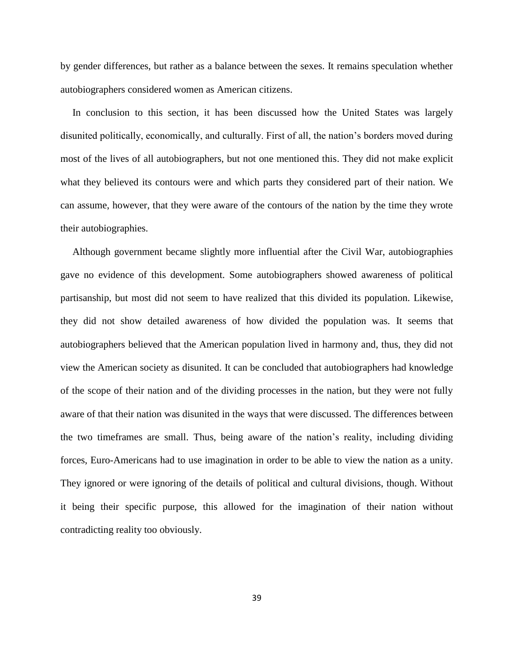by gender differences, but rather as a balance between the sexes. It remains speculation whether autobiographers considered women as American citizens.

In conclusion to this section, it has been discussed how the United States was largely disunited politically, economically, and culturally. First of all, the nation"s borders moved during most of the lives of all autobiographers, but not one mentioned this. They did not make explicit what they believed its contours were and which parts they considered part of their nation. We can assume, however, that they were aware of the contours of the nation by the time they wrote their autobiographies.

Although government became slightly more influential after the Civil War, autobiographies gave no evidence of this development. Some autobiographers showed awareness of political partisanship, but most did not seem to have realized that this divided its population. Likewise, they did not show detailed awareness of how divided the population was. It seems that autobiographers believed that the American population lived in harmony and, thus, they did not view the American society as disunited. It can be concluded that autobiographers had knowledge of the scope of their nation and of the dividing processes in the nation, but they were not fully aware of that their nation was disunited in the ways that were discussed. The differences between the two timeframes are small. Thus, being aware of the nation"s reality, including dividing forces, Euro-Americans had to use imagination in order to be able to view the nation as a unity. They ignored or were ignoring of the details of political and cultural divisions, though. Without it being their specific purpose, this allowed for the imagination of their nation without contradicting reality too obviously.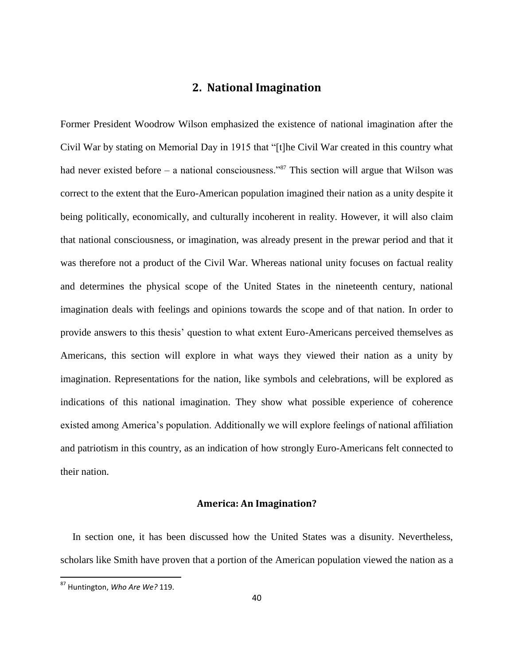## **2. National Imagination**

Former President Woodrow Wilson emphasized the existence of national imagination after the Civil War by stating on Memorial Day in 1915 that "[t]he Civil War created in this country what had never existed before – a national consciousness."<sup>87</sup> This section will argue that Wilson was correct to the extent that the Euro-American population imagined their nation as a unity despite it being politically, economically, and culturally incoherent in reality. However, it will also claim that national consciousness, or imagination, was already present in the prewar period and that it was therefore not a product of the Civil War. Whereas national unity focuses on factual reality and determines the physical scope of the United States in the nineteenth century, national imagination deals with feelings and opinions towards the scope and of that nation. In order to provide answers to this thesis" question to what extent Euro-Americans perceived themselves as Americans, this section will explore in what ways they viewed their nation as a unity by imagination. Representations for the nation, like symbols and celebrations, will be explored as indications of this national imagination. They show what possible experience of coherence existed among America"s population. Additionally we will explore feelings of national affiliation and patriotism in this country, as an indication of how strongly Euro-Americans felt connected to their nation.

#### **America: An Imagination?**

In section one, it has been discussed how the United States was a disunity. Nevertheless, scholars like Smith have proven that a portion of the American population viewed the nation as a

<sup>87</sup> Huntington, *Who Are We?* 119.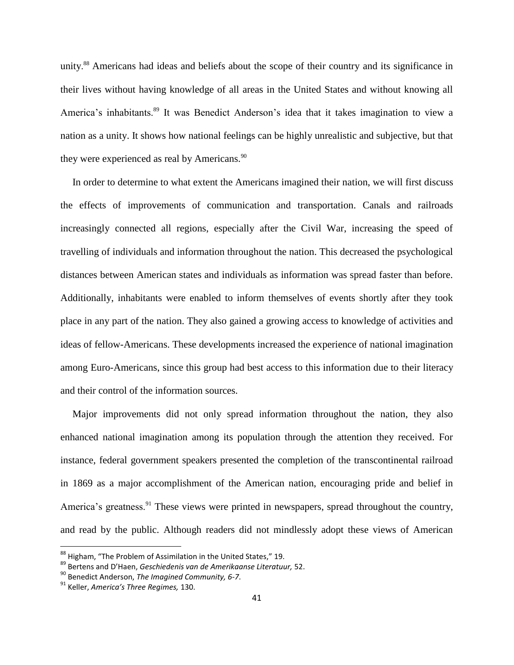unity.<sup>88</sup> Americans had ideas and beliefs about the scope of their country and its significance in their lives without having knowledge of all areas in the United States and without knowing all America's inhabitants.<sup>89</sup> It was Benedict Anderson's idea that it takes imagination to view a nation as a unity. It shows how national feelings can be highly unrealistic and subjective, but that they were experienced as real by Americans.<sup>90</sup>

In order to determine to what extent the Americans imagined their nation, we will first discuss the effects of improvements of communication and transportation. Canals and railroads increasingly connected all regions, especially after the Civil War, increasing the speed of travelling of individuals and information throughout the nation. This decreased the psychological distances between American states and individuals as information was spread faster than before. Additionally, inhabitants were enabled to inform themselves of events shortly after they took place in any part of the nation. They also gained a growing access to knowledge of activities and ideas of fellow-Americans. These developments increased the experience of national imagination among Euro-Americans, since this group had best access to this information due to their literacy and their control of the information sources.

Major improvements did not only spread information throughout the nation, they also enhanced national imagination among its population through the attention they received. For instance, federal government speakers presented the completion of the transcontinental railroad in 1869 as a major accomplishment of the American nation, encouraging pride and belief in America's greatness.<sup>91</sup> These views were printed in newspapers, spread throughout the country, and read by the public. Although readers did not mindlessly adopt these views of American

<sup>88</sup> Higham, "The Problem of Assimilation in the United States," 19.

<sup>89</sup> Bertens and D'Haen, *Geschiedenis van de Amerikaanse Literatuur,* 52.

<sup>90</sup> Benedict Anderson, *The Imagined Community, 6-7*.

<sup>91</sup> Keller, *America's Three Regimes,* 130.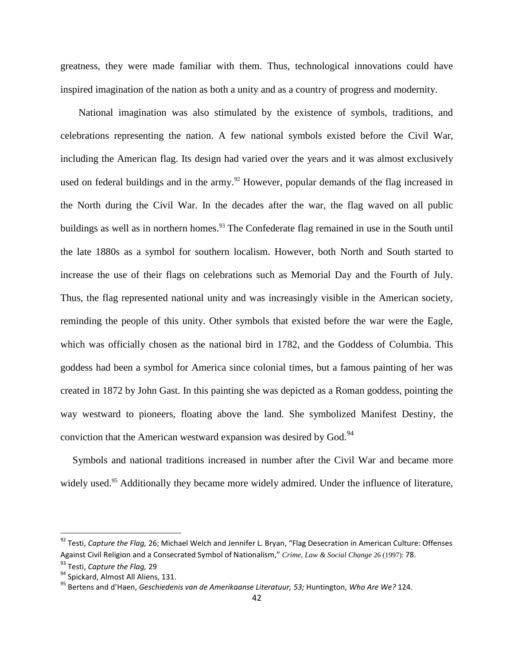greatness, they were made familiar with them. Thus, technological innovations could have inspired imagination of the nation as both a unity and as a country of progress and modernity.

National imagination was also stimulated by the existence of symbols, traditions, and celebrations representing the nation. A few national symbols existed before the Civil War, including the American flag. Its design had varied over the years and it was almost exclusively used on federal buildings and in the army.<sup>92</sup> However, popular demands of the flag increased in the North during the Civil War. In the decades after the war, the flag waved on all public buildings as well as in northern homes.<sup>93</sup> The Confederate flag remained in use in the South until the late 1880s as a symbol for southern localism. However, both North and South started to increase the use of their flags on celebrations such as Memorial Day and the Fourth of July. Thus, the flag represented national unity and was increasingly visible in the American society, reminding the people of this unity. Other symbols that existed before the war were the Eagle, which was officially chosen as the national bird in 1782, and the Goddess of Columbia. This goddess had been a symbol for America since colonial times, but a famous painting of her was created in 1872 by John Gast. In this painting she was depicted as a Roman goddess, pointing the way westward to pioneers, floating above the land. She symbolized Manifest Destiny, the conviction that the American westward expansion was desired by God. $94$ 

Symbols and national traditions increased in number after the Civil War and became more widely used.<sup>95</sup> Additionally they became more widely admired. Under the influence of literature,

 $\overline{a}$ 

<sup>92</sup> Testi, *Capture the Flag,* 26; Michael Welch and Jennifer L. Bryan, "Flag Desecration in American Culture: Offenses Against Civil Religion and a Consecrated Symbol of Nationalism," *Crime, Law & Social Change* 26 (1997): 78.

<sup>93</sup> Testi, *Capture the Flag,* 29

<sup>&</sup>lt;sup>94</sup> Spickard, Almost All Aliens, 131.

<sup>95</sup> Bertens and d'Haen, *Geschiedenis van de Amerikaanse Literatuur, 53;* Huntington, *Who Are We?* 124.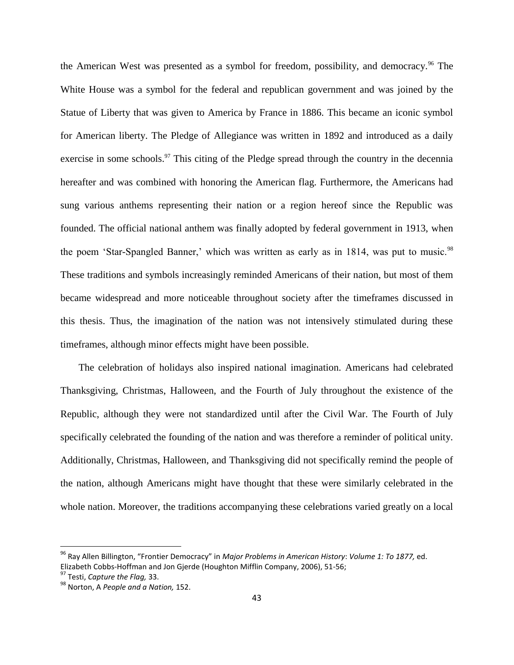the American West was presented as a symbol for freedom, possibility, and democracy.<sup>96</sup> The White House was a symbol for the federal and republican government and was joined by the Statue of Liberty that was given to America by France in 1886. This became an iconic symbol for American liberty. The Pledge of Allegiance was written in 1892 and introduced as a daily exercise in some schools. $97$  This citing of the Pledge spread through the country in the decennia hereafter and was combined with honoring the American flag. Furthermore, the Americans had sung various anthems representing their nation or a region hereof since the Republic was founded. The official national anthem was finally adopted by federal government in 1913, when the poem 'Star-Spangled Banner,' which was written as early as in 1814, was put to music.<sup>98</sup> These traditions and symbols increasingly reminded Americans of their nation, but most of them became widespread and more noticeable throughout society after the timeframes discussed in this thesis. Thus, the imagination of the nation was not intensively stimulated during these timeframes, although minor effects might have been possible.

The celebration of holidays also inspired national imagination. Americans had celebrated Thanksgiving, Christmas, Halloween, and the Fourth of July throughout the existence of the Republic, although they were not standardized until after the Civil War. The Fourth of July specifically celebrated the founding of the nation and was therefore a reminder of political unity. Additionally, Christmas, Halloween, and Thanksgiving did not specifically remind the people of the nation, although Americans might have thought that these were similarly celebrated in the whole nation. Moreover, the traditions accompanying these celebrations varied greatly on a local

<sup>96</sup> Ray Allen Billington, "Frontier Democracy" in *Major Problems in American History*: *Volume 1: To 1877,* ed. Elizabeth Cobbs-Hoffman and Jon Gjerde (Houghton Mifflin Company, 2006), 51-56;

<sup>97</sup> Testi, *Capture the Flag,* 33.

<sup>98</sup> Norton, A *People and a Nation,* 152.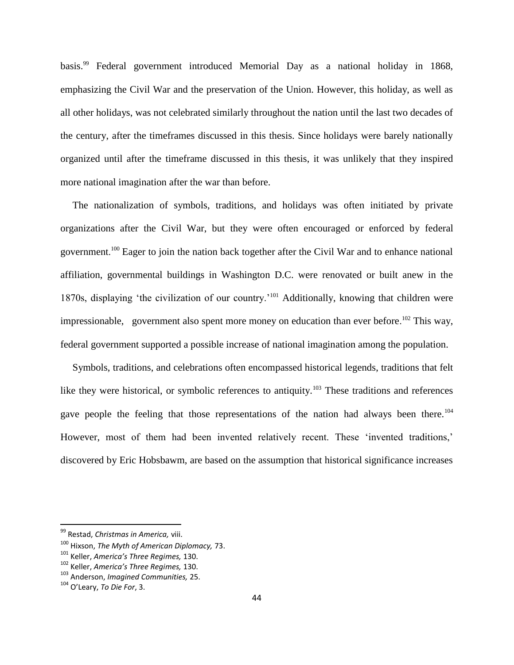basis.<sup>99</sup> Federal government introduced Memorial Day as a national holiday in 1868, emphasizing the Civil War and the preservation of the Union. However, this holiday, as well as all other holidays, was not celebrated similarly throughout the nation until the last two decades of the century, after the timeframes discussed in this thesis. Since holidays were barely nationally organized until after the timeframe discussed in this thesis, it was unlikely that they inspired more national imagination after the war than before.

The nationalization of symbols, traditions, and holidays was often initiated by private organizations after the Civil War, but they were often encouraged or enforced by federal government.<sup>100</sup> Eager to join the nation back together after the Civil War and to enhance national affiliation, governmental buildings in Washington D.C. were renovated or built anew in the 1870s, displaying "the civilization of our country."<sup>101</sup> Additionally, knowing that children were impressionable, government also spent more money on education than ever before.<sup>102</sup> This way, federal government supported a possible increase of national imagination among the population.

Symbols, traditions, and celebrations often encompassed historical legends, traditions that felt like they were historical, or symbolic references to antiquity.<sup>103</sup> These traditions and references gave people the feeling that those representations of the nation had always been there.<sup>104</sup> However, most of them had been invented relatively recent. These 'invented traditions,' discovered by Eric Hobsbawm, are based on the assumption that historical significance increases

<sup>99</sup> Restad, *Christmas in America,* viii.

<sup>100</sup> Hixson, *The Myth of American Diplomacy,* 73.

<sup>101</sup> Keller, *America's Three Regimes,* 130.

<sup>102</sup> Keller, *America's Three Regimes,* 130.

<sup>103</sup> Anderson, *Imagined Communities,* 25.

<sup>104</sup> O'Leary, *To Die For*, 3.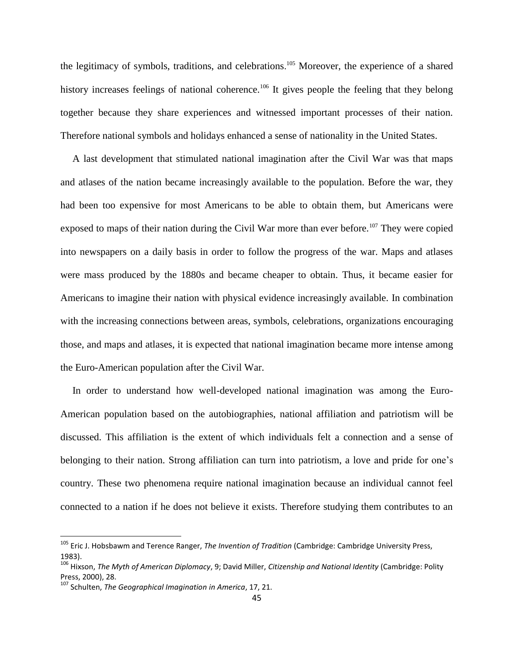the legitimacy of symbols, traditions, and celebrations. <sup>105</sup> Moreover, the experience of a shared history increases feelings of national coherence.<sup>106</sup> It gives people the feeling that they belong together because they share experiences and witnessed important processes of their nation. Therefore national symbols and holidays enhanced a sense of nationality in the United States.

A last development that stimulated national imagination after the Civil War was that maps and atlases of the nation became increasingly available to the population. Before the war, they had been too expensive for most Americans to be able to obtain them, but Americans were exposed to maps of their nation during the Civil War more than ever before.<sup>107</sup> They were copied into newspapers on a daily basis in order to follow the progress of the war. Maps and atlases were mass produced by the 1880s and became cheaper to obtain. Thus, it became easier for Americans to imagine their nation with physical evidence increasingly available. In combination with the increasing connections between areas, symbols, celebrations, organizations encouraging those, and maps and atlases, it is expected that national imagination became more intense among the Euro-American population after the Civil War.

In order to understand how well-developed national imagination was among the Euro-American population based on the autobiographies, national affiliation and patriotism will be discussed. This affiliation is the extent of which individuals felt a connection and a sense of belonging to their nation. Strong affiliation can turn into patriotism, a love and pride for one's country. These two phenomena require national imagination because an individual cannot feel connected to a nation if he does not believe it exists. Therefore studying them contributes to an

<sup>105</sup> Eric J. Hobsbawm and Terence Ranger, *The Invention of Tradition* (Cambridge: Cambridge University Press, 1983).

<sup>106</sup> Hixson, *The Myth of American Diplomacy*, 9; David Miller, *Citizenship and National Identity* (Cambridge: Polity Press, 2000), 28.

<sup>107</sup> Schulten, *The Geographical Imagination in America*, 17, 21.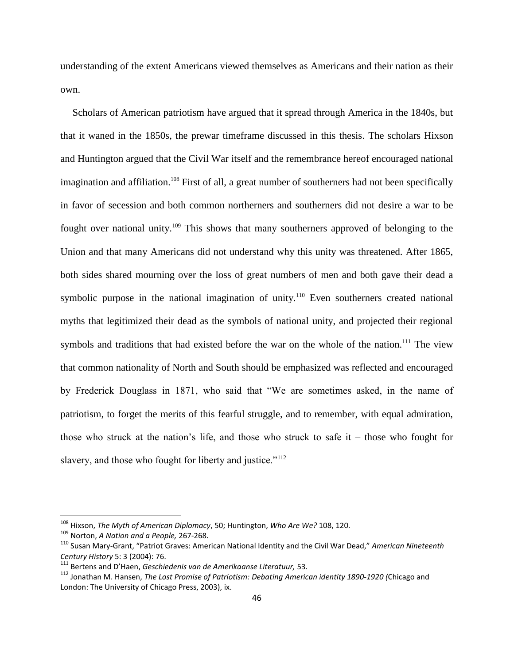understanding of the extent Americans viewed themselves as Americans and their nation as their own.

Scholars of American patriotism have argued that it spread through America in the 1840s, but that it waned in the 1850s, the prewar timeframe discussed in this thesis. The scholars Hixson and Huntington argued that the Civil War itself and the remembrance hereof encouraged national imagination and affiliation.<sup>108</sup> First of all, a great number of southerners had not been specifically in favor of secession and both common northerners and southerners did not desire a war to be fought over national unity.<sup>109</sup> This shows that many southerners approved of belonging to the Union and that many Americans did not understand why this unity was threatened. After 1865, both sides shared mourning over the loss of great numbers of men and both gave their dead a symbolic purpose in the national imagination of unity.<sup>110</sup> Even southerners created national myths that legitimized their dead as the symbols of national unity, and projected their regional symbols and traditions that had existed before the war on the whole of the nation.<sup>111</sup> The view that common nationality of North and South should be emphasized was reflected and encouraged by Frederick Douglass in 1871, who said that "We are sometimes asked, in the name of patriotism, to forget the merits of this fearful struggle, and to remember, with equal admiration, those who struck at the nation's life, and those who struck to safe it – those who fought for slavery, and those who fought for liberty and justice."<sup>112</sup>

<sup>108</sup> Hixson, *The Myth of American Diplomacy*, 50; Huntington, *Who Are We?* 108, 120*.*

<sup>109</sup> Norton, *A Nation and a People,* 267-268.

<sup>110</sup> Susan Mary-Grant, "Patriot Graves: American National Identity and the Civil War Dead," *American Nineteenth Century History* 5: 3 (2004): 76.

<sup>111</sup> Bertens and D'Haen, *Geschiedenis van de Amerikaanse Literatuur,* 53.

<sup>112</sup> Jonathan M. Hansen, *The Lost Promise of Patriotism: Debating American identity 1890-1920 (*Chicago and London: The University of Chicago Press, 2003), ix.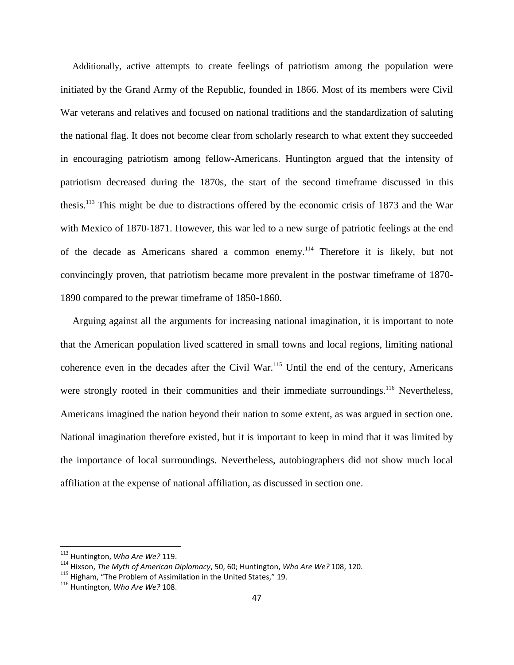Additionally, active attempts to create feelings of patriotism among the population were initiated by the Grand Army of the Republic, founded in 1866. Most of its members were Civil War veterans and relatives and focused on national traditions and the standardization of saluting the national flag. It does not become clear from scholarly research to what extent they succeeded in encouraging patriotism among fellow-Americans. Huntington argued that the intensity of patriotism decreased during the 1870s, the start of the second timeframe discussed in this thesis. <sup>113</sup> This might be due to distractions offered by the economic crisis of 1873 and the War with Mexico of 1870-1871. However, this war led to a new surge of patriotic feelings at the end of the decade as Americans shared a common enemy.<sup>114</sup> Therefore it is likely, but not convincingly proven, that patriotism became more prevalent in the postwar timeframe of 1870- 1890 compared to the prewar timeframe of 1850-1860.

Arguing against all the arguments for increasing national imagination, it is important to note that the American population lived scattered in small towns and local regions, limiting national coherence even in the decades after the Civil War.<sup>115</sup> Until the end of the century, Americans were strongly rooted in their communities and their immediate surroundings.<sup>116</sup> Nevertheless, Americans imagined the nation beyond their nation to some extent, as was argued in section one. National imagination therefore existed, but it is important to keep in mind that it was limited by the importance of local surroundings. Nevertheless, autobiographers did not show much local affiliation at the expense of national affiliation, as discussed in section one.

<sup>113</sup> Huntington, *Who Are We?* 119.

<sup>114</sup> Hixson, *The Myth of American Diplomacy*, 50, 60; Huntington, *Who Are We?* 108, 120.

<sup>&</sup>lt;sup>115</sup> Higham, "The Problem of Assimilation in the United States," 19.

<sup>116</sup> Huntington, *Who Are We?* 108.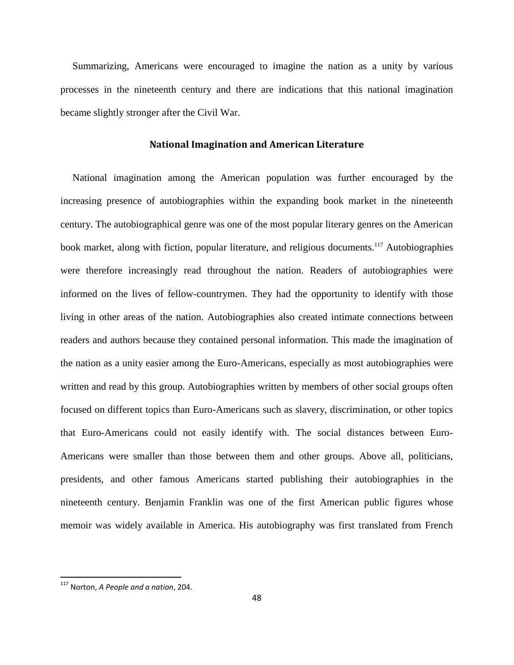Summarizing, Americans were encouraged to imagine the nation as a unity by various processes in the nineteenth century and there are indications that this national imagination became slightly stronger after the Civil War.

### **National Imagination and American Literature**

National imagination among the American population was further encouraged by the increasing presence of autobiographies within the expanding book market in the nineteenth century. The autobiographical genre was one of the most popular literary genres on the American book market, along with fiction, popular literature, and religious documents.<sup>117</sup> Autobiographies were therefore increasingly read throughout the nation. Readers of autobiographies were informed on the lives of fellow-countrymen. They had the opportunity to identify with those living in other areas of the nation. Autobiographies also created intimate connections between readers and authors because they contained personal information. This made the imagination of the nation as a unity easier among the Euro-Americans, especially as most autobiographies were written and read by this group. Autobiographies written by members of other social groups often focused on different topics than Euro-Americans such as slavery, discrimination, or other topics that Euro-Americans could not easily identify with. The social distances between Euro-Americans were smaller than those between them and other groups. Above all, politicians, presidents, and other famous Americans started publishing their autobiographies in the nineteenth century. Benjamin Franklin was one of the first American public figures whose memoir was widely available in America. His autobiography was first translated from French

<sup>117</sup> Norton, *A People and a nation*, 204.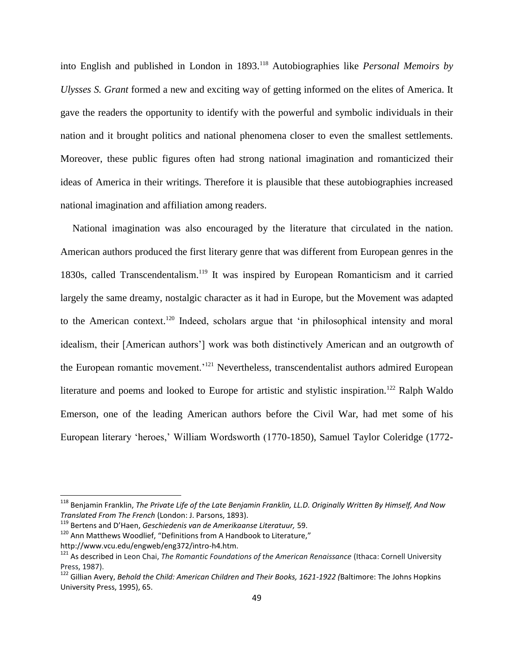into English and published in London in 1893.<sup>118</sup> Autobiographies like *Personal Memoirs by Ulysses S. Grant* formed a new and exciting way of getting informed on the elites of America. It gave the readers the opportunity to identify with the powerful and symbolic individuals in their nation and it brought politics and national phenomena closer to even the smallest settlements. Moreover, these public figures often had strong national imagination and romanticized their ideas of America in their writings. Therefore it is plausible that these autobiographies increased national imagination and affiliation among readers.

National imagination was also encouraged by the literature that circulated in the nation. American authors produced the first literary genre that was different from European genres in the 1830s, called Transcendentalism.<sup>119</sup> It was inspired by European Romanticism and it carried largely the same dreamy, nostalgic character as it had in Europe, but the Movement was adapted to the American context.<sup>120</sup> Indeed, scholars argue that 'in philosophical intensity and moral idealism, their [American authors"] work was both distinctively American and an outgrowth of the European romantic movement.<sup>'121</sup> Nevertheless, transcendentalist authors admired European literature and poems and looked to Europe for artistic and stylistic inspiration.<sup>122</sup> Ralph Waldo Emerson, one of the leading American authors before the Civil War, had met some of his European literary "heroes," William Wordsworth (1770-1850), Samuel Taylor Coleridge (1772-

<sup>118</sup> Benjamin Franklin, *The Private Life of the Late Benjamin Franklin, LL.D. Originally Written By Himself, And Now Translated From The French* (London: J. Parsons, 1893).

<sup>119</sup> Bertens and D'Haen, *Geschiedenis van de Amerikaanse Literatuur,* 59.

 $120$  Ann Matthews Woodlief, "Definitions from A Handbook to Literature,"

http://www.vcu.edu/engweb/eng372/intro-h4.htm.

<sup>121</sup> As described in Leon Chai, *The Romantic Foundations of the American Renaissance* (Ithaca: Cornell University Press, 1987).

<sup>122</sup> Gillian Avery, *Behold the Child: American Children and Their Books, 1621-1922 (*Baltimore: The Johns Hopkins University Press, 1995), 65.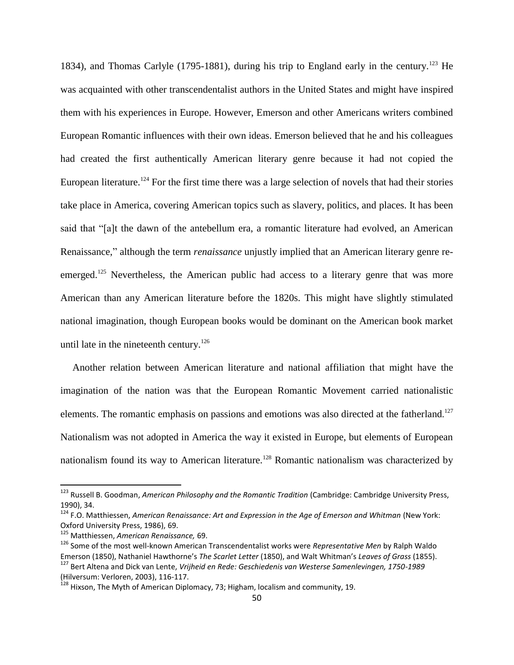1834), and Thomas Carlyle (1795-1881), during his trip to England early in the century.<sup>123</sup> He was acquainted with other transcendentalist authors in the United States and might have inspired them with his experiences in Europe. However, Emerson and other Americans writers combined European Romantic influences with their own ideas. Emerson believed that he and his colleagues had created the first authentically American literary genre because it had not copied the European literature.<sup>124</sup> For the first time there was a large selection of novels that had their stories take place in America, covering American topics such as slavery, politics, and places. It has been said that "[a]t the dawn of the antebellum era, a romantic literature had evolved, an American Renaissance," although the term *renaissance* unjustly implied that an American literary genre reemerged.<sup>125</sup> Nevertheless, the American public had access to a literary genre that was more American than any American literature before the 1820s. This might have slightly stimulated national imagination, though European books would be dominant on the American book market until late in the nineteenth century.<sup>126</sup>

Another relation between American literature and national affiliation that might have the imagination of the nation was that the European Romantic Movement carried nationalistic elements. The romantic emphasis on passions and emotions was also directed at the fatherland.<sup>127</sup> Nationalism was not adopted in America the way it existed in Europe, but elements of European nationalism found its way to American literature.<sup>128</sup> Romantic nationalism was characterized by

 $\overline{a}$ 

<sup>123</sup> Russell B. Goodman, *American Philosophy and the Romantic Tradition* (Cambridge: Cambridge University Press, 1990), 34.

<sup>124</sup> F.O. Matthiessen, *American Renaissance: Art and Expression in the Age of Emerson and Whitman* (New York: Oxford University Press, 1986), 69.

<sup>125</sup> Matthiessen, *American Renaissance,* 69.

<sup>126</sup> Some of the most well-known American Transcendentalist works were *Representative Men* by Ralph Waldo Emerson (1850), Nathaniel Hawthorne's *The Scarlet Letter* (1850), and Walt Whitman's *Leaves of Grass* (1855).

<sup>127</sup> Bert Altena and Dick van Lente, *Vrijheid en Rede: Geschiedenis van Westerse Samenlevingen, 1750-1989*  (Hilversum: Verloren, 2003), 116-117.

<sup>128</sup> Hixson, The Myth of American Diplomacy, 73; Higham, localism and community, 19.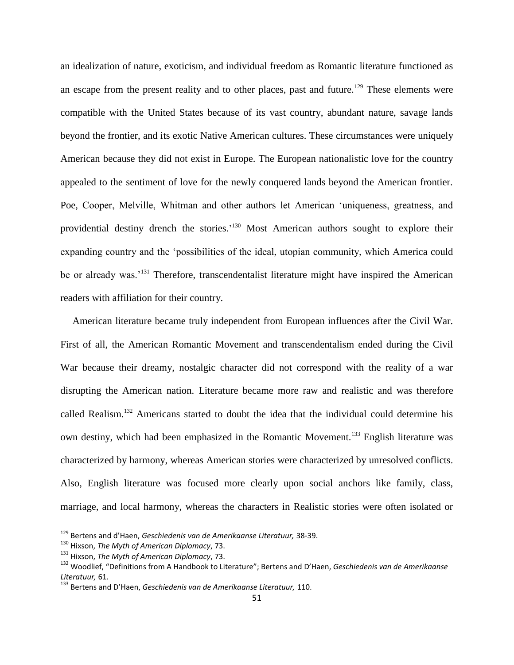an idealization of nature, exoticism, and individual freedom as Romantic literature functioned as an escape from the present reality and to other places, past and future.<sup>129</sup> These elements were compatible with the United States because of its vast country, abundant nature, savage lands beyond the frontier, and its exotic Native American cultures. These circumstances were uniquely American because they did not exist in Europe. The European nationalistic love for the country appealed to the sentiment of love for the newly conquered lands beyond the American frontier. Poe, Cooper, Melville, Whitman and other authors let American "uniqueness, greatness, and providential destiny drench the stories.<sup>130</sup> Most American authors sought to explore their expanding country and the "possibilities of the ideal, utopian community, which America could be or already was.<sup>'131</sup> Therefore, transcendentalist literature might have inspired the American readers with affiliation for their country.

American literature became truly independent from European influences after the Civil War. First of all, the American Romantic Movement and transcendentalism ended during the Civil War because their dreamy, nostalgic character did not correspond with the reality of a war disrupting the American nation. Literature became more raw and realistic and was therefore called Realism.<sup>132</sup> Americans started to doubt the idea that the individual could determine his own destiny, which had been emphasized in the Romantic Movement.<sup>133</sup> English literature was characterized by harmony, whereas American stories were characterized by unresolved conflicts. Also, English literature was focused more clearly upon social anchors like family, class, marriage, and local harmony, whereas the characters in Realistic stories were often isolated or

<sup>129</sup> Bertens and d'Haen, *Geschiedenis van de Amerikaanse Literatuur,* 38-39.

<sup>130</sup> Hixson, *The Myth of American Diplomacy*, 73.

<sup>131</sup> Hixson, *The Myth of American Diplomacy*, 73.

<sup>132</sup> Woodlief, "Definitions from A Handbook to Literature"; Bertens and D'Haen, *Geschiedenis van de Amerikaanse Literatuur,* 61.

<sup>133</sup> Bertens and D'Haen, *Geschiedenis van de Amerikaanse Literatuur,* 110.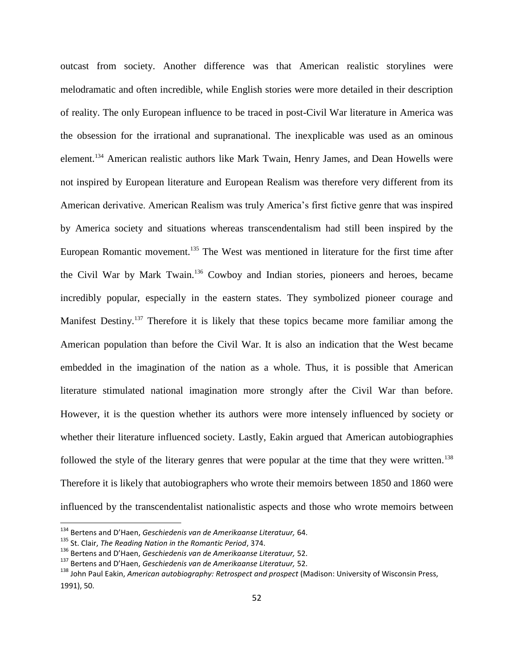outcast from society. Another difference was that American realistic storylines were melodramatic and often incredible, while English stories were more detailed in their description of reality. The only European influence to be traced in post-Civil War literature in America was the obsession for the irrational and supranational. The inexplicable was used as an ominous element.<sup>134</sup> American realistic authors like Mark Twain, Henry James, and Dean Howells were not inspired by European literature and European Realism was therefore very different from its American derivative. American Realism was truly America"s first fictive genre that was inspired by America society and situations whereas transcendentalism had still been inspired by the European Romantic movement.<sup>135</sup> The West was mentioned in literature for the first time after the Civil War by Mark Twain.<sup>136</sup> Cowboy and Indian stories, pioneers and heroes, became incredibly popular, especially in the eastern states. They symbolized pioneer courage and Manifest Destiny.<sup>137</sup> Therefore it is likely that these topics became more familiar among the American population than before the Civil War. It is also an indication that the West became embedded in the imagination of the nation as a whole. Thus, it is possible that American literature stimulated national imagination more strongly after the Civil War than before. However, it is the question whether its authors were more intensely influenced by society or whether their literature influenced society. Lastly, Eakin argued that American autobiographies followed the style of the literary genres that were popular at the time that they were written.<sup>138</sup> Therefore it is likely that autobiographers who wrote their memoirs between 1850 and 1860 were influenced by the transcendentalist nationalistic aspects and those who wrote memoirs between

<sup>134</sup> Bertens and D'Haen, *Geschiedenis van de Amerikaanse Literatuur,* 64.

<sup>135</sup> St. Clair, *The Reading Nation in the Romantic Period*, 374.

<sup>136</sup> Bertens and D'Haen, *Geschiedenis van de Amerikaanse Literatuur,* 52.

<sup>137</sup> Bertens and D'Haen, *Geschiedenis van de Amerikaanse Literatuur,* 52.

<sup>138</sup> John Paul Eakin, *American autobiography: Retrospect and prospect* (Madison: University of Wisconsin Press, 1991), 50.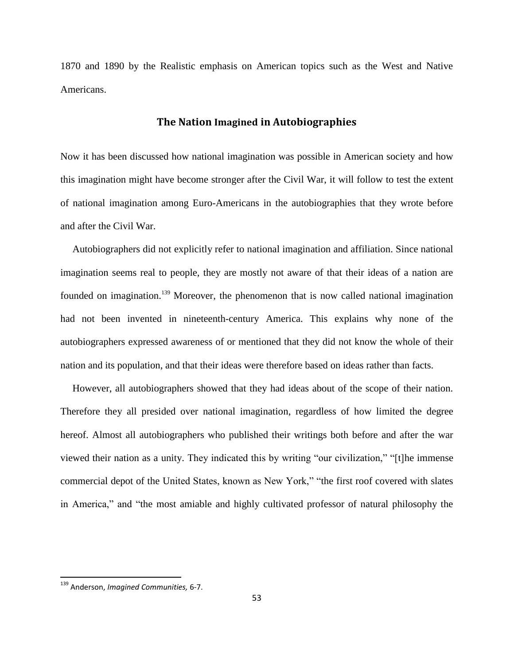1870 and 1890 by the Realistic emphasis on American topics such as the West and Native Americans.

## **The Nation Imagined in Autobiographies**

Now it has been discussed how national imagination was possible in American society and how this imagination might have become stronger after the Civil War, it will follow to test the extent of national imagination among Euro-Americans in the autobiographies that they wrote before and after the Civil War.

Autobiographers did not explicitly refer to national imagination and affiliation. Since national imagination seems real to people, they are mostly not aware of that their ideas of a nation are founded on imagination.<sup>139</sup> Moreover, the phenomenon that is now called national imagination had not been invented in nineteenth-century America. This explains why none of the autobiographers expressed awareness of or mentioned that they did not know the whole of their nation and its population, and that their ideas were therefore based on ideas rather than facts.

However, all autobiographers showed that they had ideas about of the scope of their nation. Therefore they all presided over national imagination, regardless of how limited the degree hereof. Almost all autobiographers who published their writings both before and after the war viewed their nation as a unity. They indicated this by writing "our civilization," "[t]he immense commercial depot of the United States, known as New York," "the first roof covered with slates in America," and "the most amiable and highly cultivated professor of natural philosophy the

<sup>139</sup> Anderson, *Imagined Communities,* 6-7.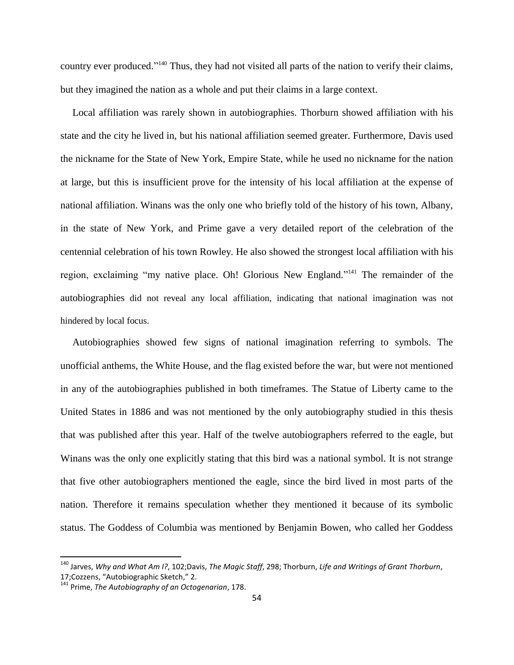country ever produced."<sup>140</sup> Thus, they had not visited all parts of the nation to verify their claims, but they imagined the nation as a whole and put their claims in a large context.

Local affiliation was rarely shown in autobiographies. Thorburn showed affiliation with his state and the city he lived in, but his national affiliation seemed greater. Furthermore, Davis used the nickname for the State of New York, Empire State, while he used no nickname for the nation at large, but this is insufficient prove for the intensity of his local affiliation at the expense of national affiliation. Winans was the only one who briefly told of the history of his town, Albany, in the state of New York, and Prime gave a very detailed report of the celebration of the centennial celebration of his town Rowley. He also showed the strongest local affiliation with his region, exclaiming "my native place. Oh! Glorious New England."<sup>141</sup> The remainder of the autobiographies did not reveal any local affiliation, indicating that national imagination was not hindered by local focus.

Autobiographies showed few signs of national imagination referring to symbols. The unofficial anthems, the White House, and the flag existed before the war, but were not mentioned in any of the autobiographies published in both timeframes. The Statue of Liberty came to the United States in 1886 and was not mentioned by the only autobiography studied in this thesis that was published after this year. Half of the twelve autobiographers referred to the eagle, but Winans was the only one explicitly stating that this bird was a national symbol. It is not strange that five other autobiographers mentioned the eagle, since the bird lived in most parts of the nation. Therefore it remains speculation whether they mentioned it because of its symbolic status. The Goddess of Columbia was mentioned by Benjamin Bowen, who called her Goddess

 $\overline{a}$ 

<sup>140</sup> Jarves, *Why and What Am I?*, 102;Davis, *The Magic Staff*, 298; Thorburn, *Life and Writings of Grant Thorburn*, 17;Cozzens, "Autobiographic Sketch," 2.

<sup>141</sup> Prime, *The Autobiography of an Octogenarian*, 178.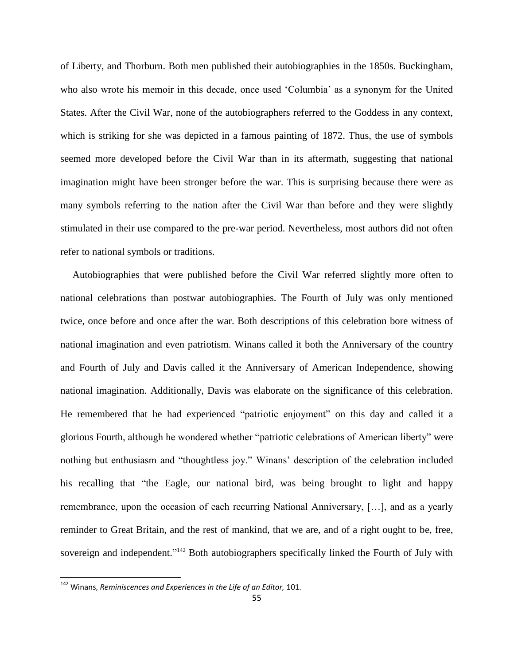of Liberty, and Thorburn. Both men published their autobiographies in the 1850s. Buckingham, who also wrote his memoir in this decade, once used "Columbia" as a synonym for the United States. After the Civil War, none of the autobiographers referred to the Goddess in any context, which is striking for she was depicted in a famous painting of 1872. Thus, the use of symbols seemed more developed before the Civil War than in its aftermath, suggesting that national imagination might have been stronger before the war. This is surprising because there were as many symbols referring to the nation after the Civil War than before and they were slightly stimulated in their use compared to the pre-war period. Nevertheless, most authors did not often refer to national symbols or traditions.

Autobiographies that were published before the Civil War referred slightly more often to national celebrations than postwar autobiographies. The Fourth of July was only mentioned twice, once before and once after the war. Both descriptions of this celebration bore witness of national imagination and even patriotism. Winans called it both the Anniversary of the country and Fourth of July and Davis called it the Anniversary of American Independence, showing national imagination. Additionally, Davis was elaborate on the significance of this celebration. He remembered that he had experienced "patriotic enjoyment" on this day and called it a glorious Fourth, although he wondered whether "patriotic celebrations of American liberty" were nothing but enthusiasm and "thoughtless joy." Winans" description of the celebration included his recalling that "the Eagle, our national bird, was being brought to light and happy remembrance, upon the occasion of each recurring National Anniversary, […], and as a yearly reminder to Great Britain, and the rest of mankind, that we are, and of a right ought to be, free, sovereign and independent."<sup>142</sup> Both autobiographers specifically linked the Fourth of July with

<sup>&</sup>lt;sup>142</sup> Winans, *Reminiscences and Experiences in the Life of an Editor,* 101.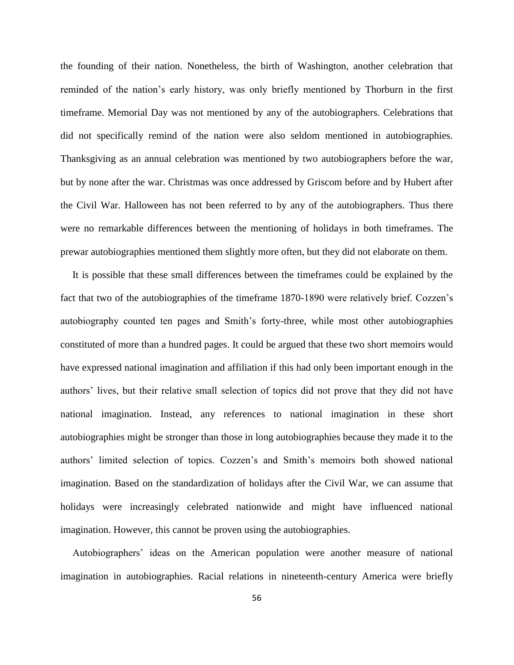the founding of their nation. Nonetheless, the birth of Washington, another celebration that reminded of the nation"s early history, was only briefly mentioned by Thorburn in the first timeframe. Memorial Day was not mentioned by any of the autobiographers. Celebrations that did not specifically remind of the nation were also seldom mentioned in autobiographies. Thanksgiving as an annual celebration was mentioned by two autobiographers before the war, but by none after the war. Christmas was once addressed by Griscom before and by Hubert after the Civil War. Halloween has not been referred to by any of the autobiographers. Thus there were no remarkable differences between the mentioning of holidays in both timeframes. The prewar autobiographies mentioned them slightly more often, but they did not elaborate on them.

It is possible that these small differences between the timeframes could be explained by the fact that two of the autobiographies of the timeframe 1870-1890 were relatively brief. Cozzen"s autobiography counted ten pages and Smith"s forty-three, while most other autobiographies constituted of more than a hundred pages. It could be argued that these two short memoirs would have expressed national imagination and affiliation if this had only been important enough in the authors" lives, but their relative small selection of topics did not prove that they did not have national imagination. Instead, any references to national imagination in these short autobiographies might be stronger than those in long autobiographies because they made it to the authors' limited selection of topics. Cozzen's and Smith's memoirs both showed national imagination. Based on the standardization of holidays after the Civil War, we can assume that holidays were increasingly celebrated nationwide and might have influenced national imagination. However, this cannot be proven using the autobiographies.

Autobiographers" ideas on the American population were another measure of national imagination in autobiographies. Racial relations in nineteenth-century America were briefly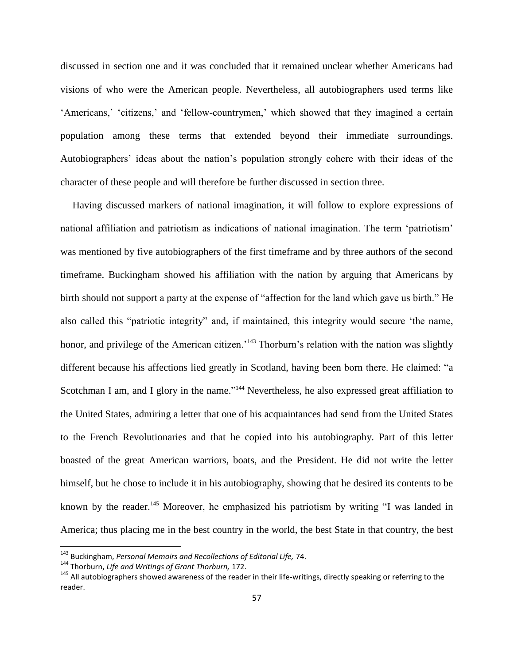discussed in section one and it was concluded that it remained unclear whether Americans had visions of who were the American people. Nevertheless, all autobiographers used terms like 'Americans,' 'citizens,' and 'fellow-countrymen,' which showed that they imagined a certain population among these terms that extended beyond their immediate surroundings. Autobiographers' ideas about the nation's population strongly cohere with their ideas of the character of these people and will therefore be further discussed in section three.

Having discussed markers of national imagination, it will follow to explore expressions of national affiliation and patriotism as indications of national imagination. The term "patriotism" was mentioned by five autobiographers of the first timeframe and by three authors of the second timeframe. Buckingham showed his affiliation with the nation by arguing that Americans by birth should not support a party at the expense of "affection for the land which gave us birth." He also called this "patriotic integrity" and, if maintained, this integrity would secure "the name, honor, and privilege of the American citizen.'<sup>143</sup> Thorburn's relation with the nation was slightly different because his affections lied greatly in Scotland, having been born there. He claimed: "a Scotchman I am, and I glory in the name."<sup>144</sup> Nevertheless, he also expressed great affiliation to the United States, admiring a letter that one of his acquaintances had send from the United States to the French Revolutionaries and that he copied into his autobiography. Part of this letter boasted of the great American warriors, boats, and the President. He did not write the letter himself, but he chose to include it in his autobiography, showing that he desired its contents to be known by the reader.<sup>145</sup> Moreover, he emphasized his patriotism by writing "I was landed in America; thus placing me in the best country in the world, the best State in that country, the best

<sup>143</sup> Buckingham, *Personal Memoirs and Recollections of Editorial Life,* 74.

<sup>144</sup> Thorburn, *Life and Writings of Grant Thorburn,* 172.

<sup>&</sup>lt;sup>145</sup> All autobiographers showed awareness of the reader in their life-writings, directly speaking or referring to the reader.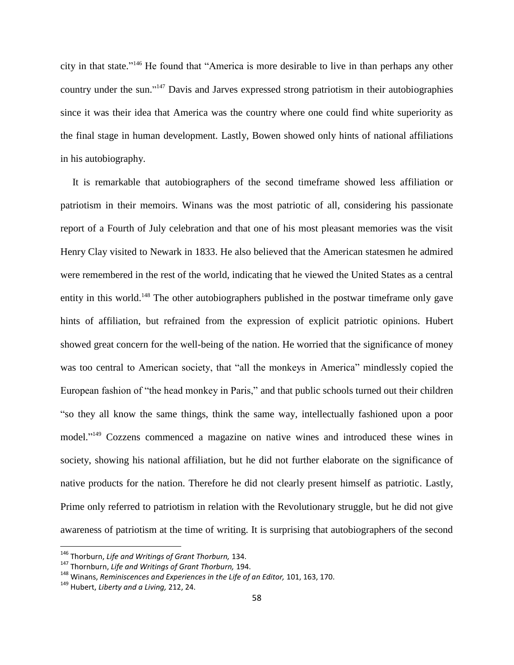city in that state." <sup>146</sup> He found that "America is more desirable to live in than perhaps any other country under the sun."<sup>147</sup> Davis and Jarves expressed strong patriotism in their autobiographies since it was their idea that America was the country where one could find white superiority as the final stage in human development. Lastly, Bowen showed only hints of national affiliations in his autobiography.

It is remarkable that autobiographers of the second timeframe showed less affiliation or patriotism in their memoirs. Winans was the most patriotic of all, considering his passionate report of a Fourth of July celebration and that one of his most pleasant memories was the visit Henry Clay visited to Newark in 1833. He also believed that the American statesmen he admired were remembered in the rest of the world, indicating that he viewed the United States as a central entity in this world.<sup>148</sup> The other autobiographers published in the postwar timeframe only gave hints of affiliation, but refrained from the expression of explicit patriotic opinions. Hubert showed great concern for the well-being of the nation. He worried that the significance of money was too central to American society, that "all the monkeys in America" mindlessly copied the European fashion of "the head monkey in Paris," and that public schools turned out their children "so they all know the same things, think the same way, intellectually fashioned upon a poor model."<sup>149</sup> Cozzens commenced a magazine on native wines and introduced these wines in society, showing his national affiliation, but he did not further elaborate on the significance of native products for the nation. Therefore he did not clearly present himself as patriotic. Lastly, Prime only referred to patriotism in relation with the Revolutionary struggle, but he did not give awareness of patriotism at the time of writing. It is surprising that autobiographers of the second

<sup>146</sup> Thorburn, *Life and Writings of Grant Thorburn,* 134.

<sup>147</sup> Thornburn, *Life and Writings of Grant Thorburn,* 194.

<sup>148</sup> Winans, *Reminiscences and Experiences in the Life of an Editor,* 101, 163, 170.

<sup>149</sup> Hubert, *Liberty and a Living,* 212, 24.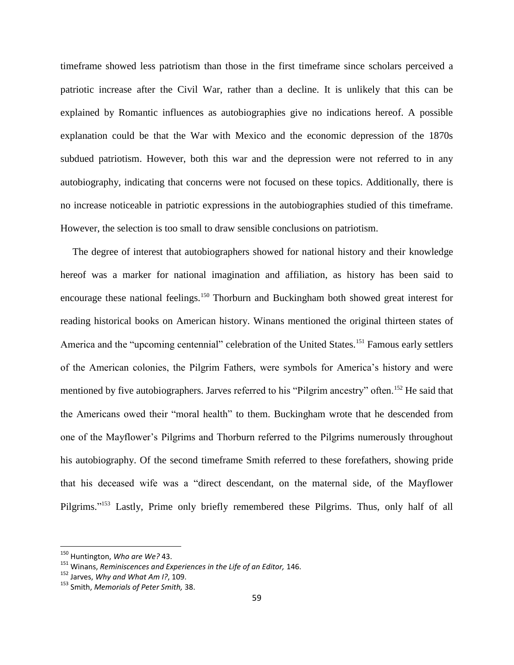timeframe showed less patriotism than those in the first timeframe since scholars perceived a patriotic increase after the Civil War, rather than a decline. It is unlikely that this can be explained by Romantic influences as autobiographies give no indications hereof. A possible explanation could be that the War with Mexico and the economic depression of the 1870s subdued patriotism. However, both this war and the depression were not referred to in any autobiography, indicating that concerns were not focused on these topics. Additionally, there is no increase noticeable in patriotic expressions in the autobiographies studied of this timeframe. However, the selection is too small to draw sensible conclusions on patriotism.

The degree of interest that autobiographers showed for national history and their knowledge hereof was a marker for national imagination and affiliation, as history has been said to encourage these national feelings.<sup>150</sup> Thorburn and Buckingham both showed great interest for reading historical books on American history. Winans mentioned the original thirteen states of America and the "upcoming centennial" celebration of the United States.<sup>151</sup> Famous early settlers of the American colonies, the Pilgrim Fathers, were symbols for America"s history and were mentioned by five autobiographers. Jarves referred to his "Pilgrim ancestry" often.<sup>152</sup> He said that the Americans owed their "moral health" to them. Buckingham wrote that he descended from one of the Mayflower"s Pilgrims and Thorburn referred to the Pilgrims numerously throughout his autobiography. Of the second timeframe Smith referred to these forefathers, showing pride that his deceased wife was a "direct descendant, on the maternal side, of the Mayflower Pilgrims."<sup>153</sup> Lastly, Prime only briefly remembered these Pilgrims. Thus, only half of all

<sup>150</sup> Huntington, *Who are We?* 43.

<sup>151</sup> Winans, *Reminiscences and Experiences in the Life of an Editor,* 146.

<sup>152</sup> Jarves, *Why and What Am I?*, 109.

<sup>153</sup> Smith, *Memorials of Peter Smith,* 38.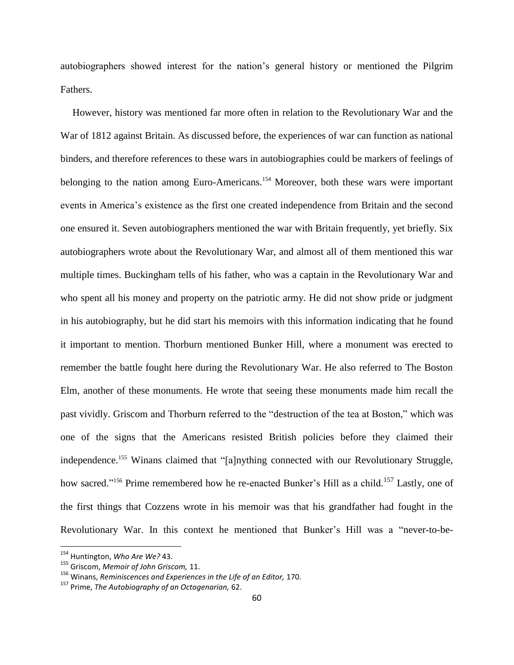autobiographers showed interest for the nation"s general history or mentioned the Pilgrim Fathers.

However, history was mentioned far more often in relation to the Revolutionary War and the War of 1812 against Britain. As discussed before, the experiences of war can function as national binders, and therefore references to these wars in autobiographies could be markers of feelings of belonging to the nation among Euro-Americans.<sup>154</sup> Moreover, both these wars were important events in America"s existence as the first one created independence from Britain and the second one ensured it. Seven autobiographers mentioned the war with Britain frequently, yet briefly. Six autobiographers wrote about the Revolutionary War, and almost all of them mentioned this war multiple times. Buckingham tells of his father, who was a captain in the Revolutionary War and who spent all his money and property on the patriotic army. He did not show pride or judgment in his autobiography, but he did start his memoirs with this information indicating that he found it important to mention. Thorburn mentioned Bunker Hill, where a monument was erected to remember the battle fought here during the Revolutionary War. He also referred to The Boston Elm, another of these monuments. He wrote that seeing these monuments made him recall the past vividly. Griscom and Thorburn referred to the "destruction of the tea at Boston," which was one of the signs that the Americans resisted British policies before they claimed their independence.<sup>155</sup> Winans claimed that "[a]nything connected with our Revolutionary Struggle, how sacred."<sup>156</sup> Prime remembered how he re-enacted Bunker's Hill as a child.<sup>157</sup> Lastly, one of the first things that Cozzens wrote in his memoir was that his grandfather had fought in the Revolutionary War. In this context he mentioned that Bunker"s Hill was a "never-to-be-

<sup>154</sup> Huntington, *Who Are We?* 43.

<sup>155</sup> Griscom, *Memoir of John Griscom,* 11.

<sup>156</sup> Winans, *Reminiscences and Experiences in the Life of an Editor,* 170.

<sup>157</sup> Prime, *The Autobiography of an Octogenarian,* 62.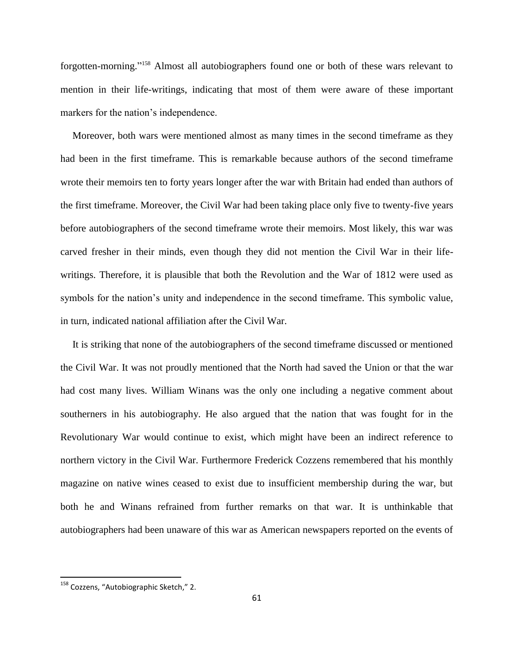forgotten-morning." <sup>158</sup> Almost all autobiographers found one or both of these wars relevant to mention in their life-writings, indicating that most of them were aware of these important markers for the nation's independence.

Moreover, both wars were mentioned almost as many times in the second timeframe as they had been in the first timeframe. This is remarkable because authors of the second timeframe wrote their memoirs ten to forty years longer after the war with Britain had ended than authors of the first timeframe. Moreover, the Civil War had been taking place only five to twenty-five years before autobiographers of the second timeframe wrote their memoirs. Most likely, this war was carved fresher in their minds, even though they did not mention the Civil War in their lifewritings. Therefore, it is plausible that both the Revolution and the War of 1812 were used as symbols for the nation's unity and independence in the second timeframe. This symbolic value, in turn, indicated national affiliation after the Civil War.

It is striking that none of the autobiographers of the second timeframe discussed or mentioned the Civil War. It was not proudly mentioned that the North had saved the Union or that the war had cost many lives. William Winans was the only one including a negative comment about southerners in his autobiography. He also argued that the nation that was fought for in the Revolutionary War would continue to exist, which might have been an indirect reference to northern victory in the Civil War. Furthermore Frederick Cozzens remembered that his monthly magazine on native wines ceased to exist due to insufficient membership during the war, but both he and Winans refrained from further remarks on that war. It is unthinkable that autobiographers had been unaware of this war as American newspapers reported on the events of

<sup>&</sup>lt;sup>158</sup> Cozzens, "Autobiographic Sketch," 2.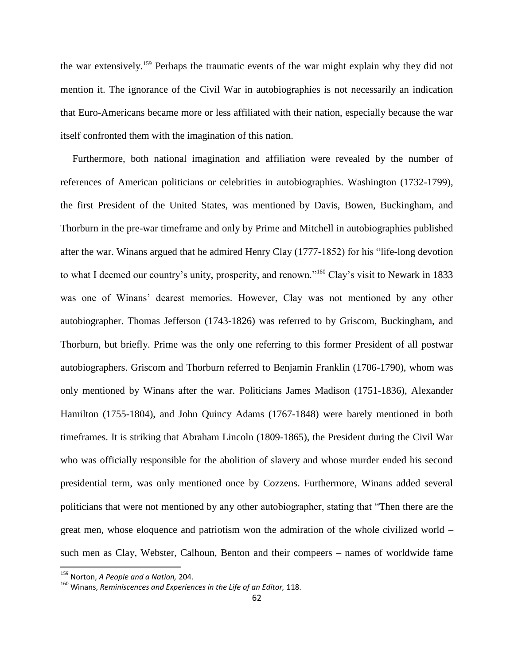the war extensively.<sup>159</sup> Perhaps the traumatic events of the war might explain why they did not mention it. The ignorance of the Civil War in autobiographies is not necessarily an indication that Euro-Americans became more or less affiliated with their nation, especially because the war itself confronted them with the imagination of this nation.

Furthermore, both national imagination and affiliation were revealed by the number of references of American politicians or celebrities in autobiographies. Washington (1732-1799), the first President of the United States, was mentioned by Davis, Bowen, Buckingham, and Thorburn in the pre-war timeframe and only by Prime and Mitchell in autobiographies published after the war. Winans argued that he admired Henry Clay (1777-1852) for his "life-long devotion to what I deemed our country's unity, prosperity, and renown."<sup>160</sup> Clay's visit to Newark in 1833 was one of Winans' dearest memories. However, Clay was not mentioned by any other autobiographer. Thomas Jefferson (1743-1826) was referred to by Griscom, Buckingham, and Thorburn, but briefly. Prime was the only one referring to this former President of all postwar autobiographers. Griscom and Thorburn referred to Benjamin Franklin (1706-1790), whom was only mentioned by Winans after the war. Politicians James Madison (1751-1836), Alexander Hamilton (1755-1804), and John Quincy Adams (1767-1848) were barely mentioned in both timeframes. It is striking that Abraham Lincoln (1809-1865), the President during the Civil War who was officially responsible for the abolition of slavery and whose murder ended his second presidential term, was only mentioned once by Cozzens. Furthermore, Winans added several politicians that were not mentioned by any other autobiographer, stating that "Then there are the great men, whose eloquence and patriotism won the admiration of the whole civilized world – such men as Clay, Webster, Calhoun, Benton and their compeers – names of worldwide fame

<sup>159</sup> Norton, *A People and a Nation,* 204.

<sup>160</sup> Winans, *Reminiscences and Experiences in the Life of an Editor,* 118.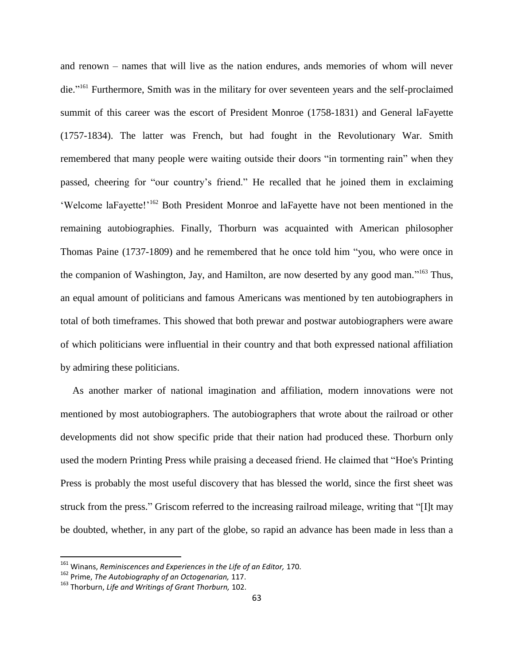and renown – names that will live as the nation endures, ands memories of whom will never die."<sup>161</sup> Furthermore, Smith was in the military for over seventeen years and the self-proclaimed summit of this career was the escort of President Monroe (1758-1831) and General laFayette (1757-1834). The latter was French, but had fought in the Revolutionary War. Smith remembered that many people were waiting outside their doors "in tormenting rain" when they passed, cheering for "our country"s friend." He recalled that he joined them in exclaiming "Welcome laFayette!"<sup>162</sup> Both President Monroe and laFayette have not been mentioned in the remaining autobiographies. Finally, Thorburn was acquainted with American philosopher Thomas Paine (1737-1809) and he remembered that he once told him "you, who were once in the companion of Washington, Jay, and Hamilton, are now deserted by any good man."<sup>163</sup> Thus, an equal amount of politicians and famous Americans was mentioned by ten autobiographers in total of both timeframes. This showed that both prewar and postwar autobiographers were aware of which politicians were influential in their country and that both expressed national affiliation by admiring these politicians.

As another marker of national imagination and affiliation, modern innovations were not mentioned by most autobiographers. The autobiographers that wrote about the railroad or other developments did not show specific pride that their nation had produced these. Thorburn only used the modern Printing Press while praising a deceased friend. He claimed that "Hoe's Printing Press is probably the most useful discovery that has blessed the world, since the first sheet was struck from the press." Griscom referred to the increasing railroad mileage, writing that "[I]t may be doubted, whether, in any part of the globe, so rapid an advance has been made in less than a

 $\overline{a}$ 

<sup>161</sup> Winans, *Reminiscences and Experiences in the Life of an Editor,* 170.

<sup>162</sup> Prime, *The Autobiography of an Octogenarian,* 117.

<sup>163</sup> Thorburn, *Life and Writings of Grant Thorburn,* 102.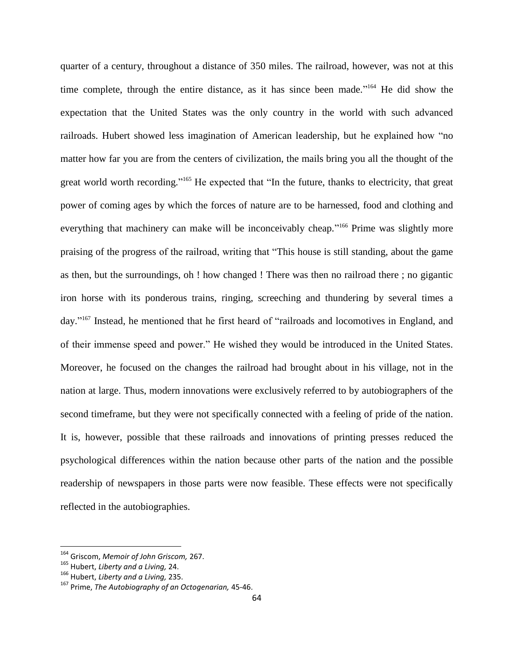quarter of a century, throughout a distance of 350 miles. The railroad, however, was not at this time complete, through the entire distance, as it has since been made."<sup>164</sup> He did show the expectation that the United States was the only country in the world with such advanced railroads. Hubert showed less imagination of American leadership, but he explained how "no matter how far you are from the centers of civilization, the mails bring you all the thought of the great world worth recording."<sup>165</sup> He expected that "In the future, thanks to electricity, that great power of coming ages by which the forces of nature are to be harnessed, food and clothing and everything that machinery can make will be inconceivably cheap."<sup>166</sup> Prime was slightly more praising of the progress of the railroad, writing that "This house is still standing, about the game as then, but the surroundings, oh ! how changed ! There was then no railroad there ; no gigantic iron horse with its ponderous trains, ringing, screeching and thundering by several times a day."<sup>167</sup> Instead, he mentioned that he first heard of "railroads and locomotives in England, and of their immense speed and power." He wished they would be introduced in the United States. Moreover, he focused on the changes the railroad had brought about in his village, not in the nation at large. Thus, modern innovations were exclusively referred to by autobiographers of the second timeframe, but they were not specifically connected with a feeling of pride of the nation. It is, however, possible that these railroads and innovations of printing presses reduced the psychological differences within the nation because other parts of the nation and the possible readership of newspapers in those parts were now feasible. These effects were not specifically reflected in the autobiographies.

<sup>164</sup> Griscom, *Memoir of John Griscom,* 267.

<sup>165</sup> Hubert, *Liberty and a Living,* 24.

<sup>166</sup> Hubert, *Liberty and a Living,* 235.

<sup>167</sup> Prime, *The Autobiography of an Octogenarian,* 45-46.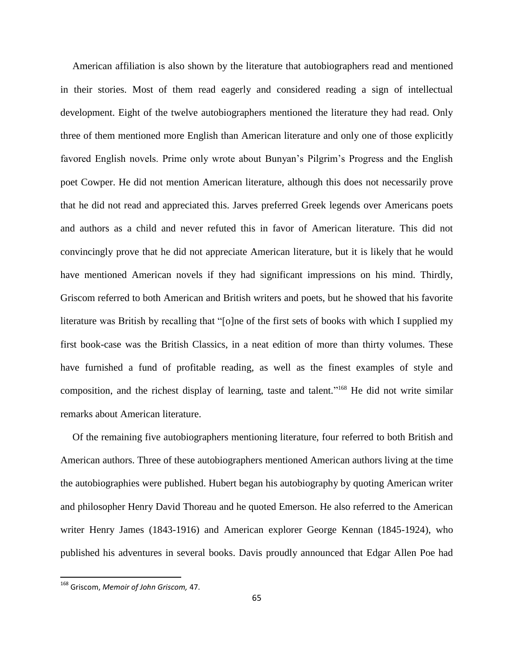American affiliation is also shown by the literature that autobiographers read and mentioned in their stories. Most of them read eagerly and considered reading a sign of intellectual development. Eight of the twelve autobiographers mentioned the literature they had read. Only three of them mentioned more English than American literature and only one of those explicitly favored English novels. Prime only wrote about Bunyan"s Pilgrim"s Progress and the English poet Cowper. He did not mention American literature, although this does not necessarily prove that he did not read and appreciated this. Jarves preferred Greek legends over Americans poets and authors as a child and never refuted this in favor of American literature. This did not convincingly prove that he did not appreciate American literature, but it is likely that he would have mentioned American novels if they had significant impressions on his mind. Thirdly, Griscom referred to both American and British writers and poets, but he showed that his favorite literature was British by recalling that "[o]ne of the first sets of books with which I supplied my first book-case was the British Classics, in a neat edition of more than thirty volumes. These have furnished a fund of profitable reading, as well as the finest examples of style and composition, and the richest display of learning, taste and talent."<sup>168</sup> He did not write similar remarks about American literature.

Of the remaining five autobiographers mentioning literature, four referred to both British and American authors. Three of these autobiographers mentioned American authors living at the time the autobiographies were published. Hubert began his autobiography by quoting American writer and philosopher Henry David Thoreau and he quoted Emerson. He also referred to the American writer Henry James (1843-1916) and American explorer George Kennan (1845-1924), who published his adventures in several books. Davis proudly announced that Edgar Allen Poe had

<sup>168</sup> Griscom, *Memoir of John Griscom,* 47.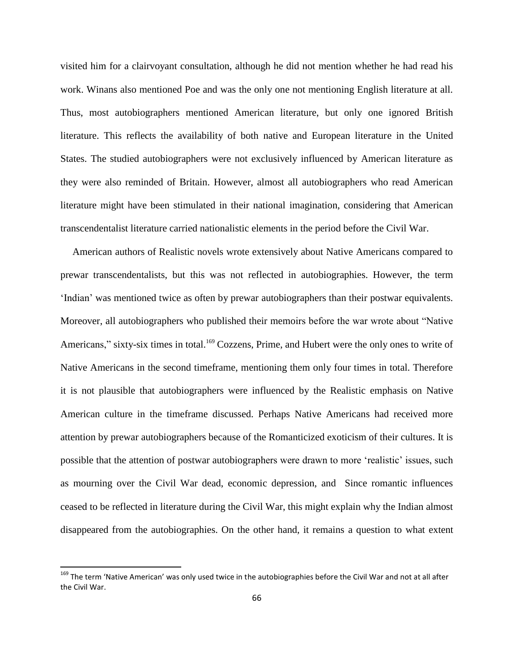visited him for a clairvoyant consultation, although he did not mention whether he had read his work. Winans also mentioned Poe and was the only one not mentioning English literature at all. Thus, most autobiographers mentioned American literature, but only one ignored British literature. This reflects the availability of both native and European literature in the United States. The studied autobiographers were not exclusively influenced by American literature as they were also reminded of Britain. However, almost all autobiographers who read American literature might have been stimulated in their national imagination, considering that American transcendentalist literature carried nationalistic elements in the period before the Civil War.

American authors of Realistic novels wrote extensively about Native Americans compared to prewar transcendentalists, but this was not reflected in autobiographies. However, the term "Indian" was mentioned twice as often by prewar autobiographers than their postwar equivalents. Moreover, all autobiographers who published their memoirs before the war wrote about "Native Americans," sixty-six times in total.<sup>169</sup> Cozzens, Prime, and Hubert were the only ones to write of Native Americans in the second timeframe, mentioning them only four times in total. Therefore it is not plausible that autobiographers were influenced by the Realistic emphasis on Native American culture in the timeframe discussed. Perhaps Native Americans had received more attention by prewar autobiographers because of the Romanticized exoticism of their cultures. It is possible that the attention of postwar autobiographers were drawn to more 'realistic' issues, such as mourning over the Civil War dead, economic depression, and Since romantic influences ceased to be reflected in literature during the Civil War, this might explain why the Indian almost disappeared from the autobiographies. On the other hand, it remains a question to what extent

<sup>&</sup>lt;sup>169</sup> The term 'Native American' was only used twice in the autobiographies before the Civil War and not at all after the Civil War.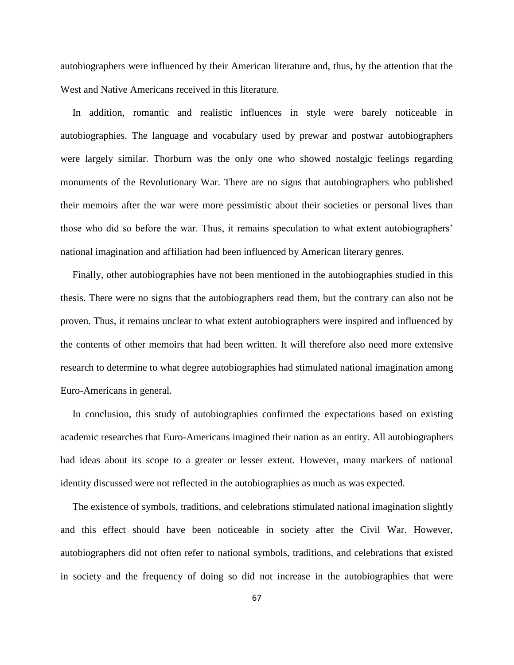autobiographers were influenced by their American literature and, thus, by the attention that the West and Native Americans received in this literature.

In addition, romantic and realistic influences in style were barely noticeable in autobiographies. The language and vocabulary used by prewar and postwar autobiographers were largely similar. Thorburn was the only one who showed nostalgic feelings regarding monuments of the Revolutionary War. There are no signs that autobiographers who published their memoirs after the war were more pessimistic about their societies or personal lives than those who did so before the war. Thus, it remains speculation to what extent autobiographers" national imagination and affiliation had been influenced by American literary genres.

Finally, other autobiographies have not been mentioned in the autobiographies studied in this thesis. There were no signs that the autobiographers read them, but the contrary can also not be proven. Thus, it remains unclear to what extent autobiographers were inspired and influenced by the contents of other memoirs that had been written. It will therefore also need more extensive research to determine to what degree autobiographies had stimulated national imagination among Euro-Americans in general.

In conclusion, this study of autobiographies confirmed the expectations based on existing academic researches that Euro-Americans imagined their nation as an entity. All autobiographers had ideas about its scope to a greater or lesser extent. However, many markers of national identity discussed were not reflected in the autobiographies as much as was expected.

The existence of symbols, traditions, and celebrations stimulated national imagination slightly and this effect should have been noticeable in society after the Civil War. However, autobiographers did not often refer to national symbols, traditions, and celebrations that existed in society and the frequency of doing so did not increase in the autobiographies that were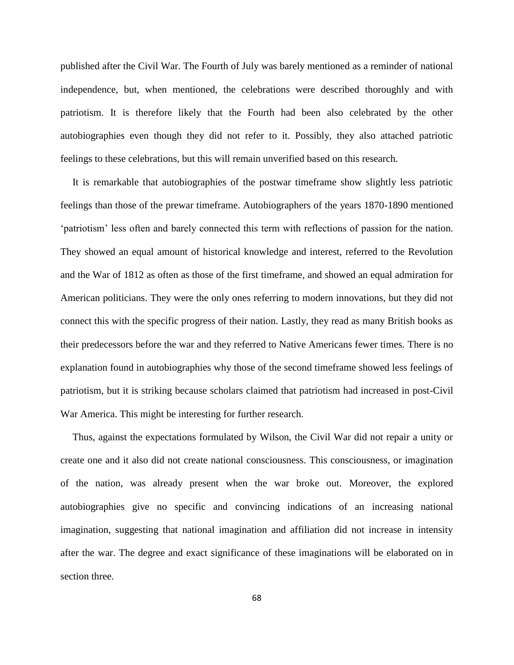published after the Civil War. The Fourth of July was barely mentioned as a reminder of national independence, but, when mentioned, the celebrations were described thoroughly and with patriotism. It is therefore likely that the Fourth had been also celebrated by the other autobiographies even though they did not refer to it. Possibly, they also attached patriotic feelings to these celebrations, but this will remain unverified based on this research.

It is remarkable that autobiographies of the postwar timeframe show slightly less patriotic feelings than those of the prewar timeframe. Autobiographers of the years 1870-1890 mentioned "patriotism" less often and barely connected this term with reflections of passion for the nation. They showed an equal amount of historical knowledge and interest, referred to the Revolution and the War of 1812 as often as those of the first timeframe, and showed an equal admiration for American politicians. They were the only ones referring to modern innovations, but they did not connect this with the specific progress of their nation. Lastly, they read as many British books as their predecessors before the war and they referred to Native Americans fewer times. There is no explanation found in autobiographies why those of the second timeframe showed less feelings of patriotism, but it is striking because scholars claimed that patriotism had increased in post-Civil War America. This might be interesting for further research.

Thus, against the expectations formulated by Wilson, the Civil War did not repair a unity or create one and it also did not create national consciousness. This consciousness, or imagination of the nation, was already present when the war broke out. Moreover, the explored autobiographies give no specific and convincing indications of an increasing national imagination, suggesting that national imagination and affiliation did not increase in intensity after the war. The degree and exact significance of these imaginations will be elaborated on in section three.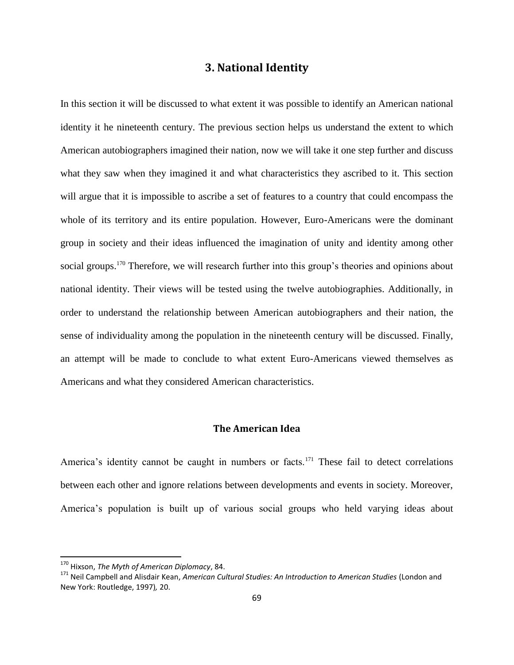# **3. National Identity**

In this section it will be discussed to what extent it was possible to identify an American national identity it he nineteenth century. The previous section helps us understand the extent to which American autobiographers imagined their nation, now we will take it one step further and discuss what they saw when they imagined it and what characteristics they ascribed to it. This section will argue that it is impossible to ascribe a set of features to a country that could encompass the whole of its territory and its entire population. However, Euro-Americans were the dominant group in society and their ideas influenced the imagination of unity and identity among other social groups.<sup>170</sup> Therefore, we will research further into this group's theories and opinions about national identity. Their views will be tested using the twelve autobiographies. Additionally, in order to understand the relationship between American autobiographers and their nation, the sense of individuality among the population in the nineteenth century will be discussed. Finally, an attempt will be made to conclude to what extent Euro-Americans viewed themselves as Americans and what they considered American characteristics.

#### **The American Idea**

America's identity cannot be caught in numbers or facts.<sup>171</sup> These fail to detect correlations between each other and ignore relations between developments and events in society. Moreover, America"s population is built up of various social groups who held varying ideas about

 $\overline{a}$ 

<sup>170</sup> Hixson, *The Myth of American Diplomacy*, 84.

<sup>171</sup> Neil Campbell and Alisdair Kean, *American Cultural Studies: An Introduction to American Studies* (London and New York: Routledge, 1997)*,* 20.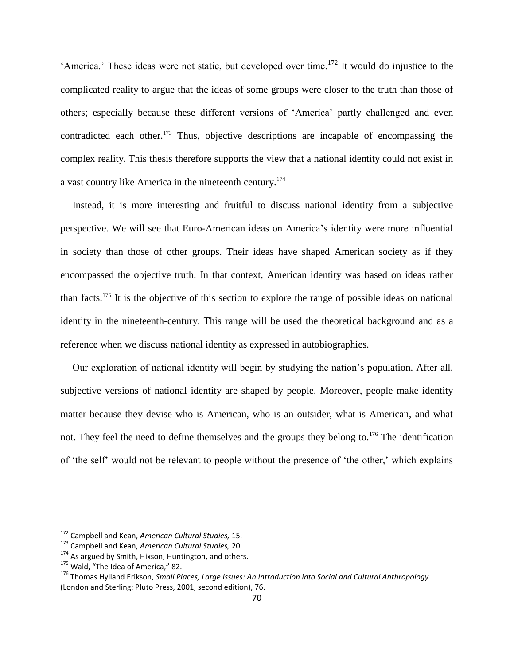'America.' These ideas were not static, but developed over time.<sup>172</sup> It would do injustice to the complicated reality to argue that the ideas of some groups were closer to the truth than those of others; especially because these different versions of "America" partly challenged and even contradicted each other.<sup>173</sup> Thus, objective descriptions are incapable of encompassing the complex reality. This thesis therefore supports the view that a national identity could not exist in a vast country like America in the nineteenth century.<sup>174</sup>

Instead, it is more interesting and fruitful to discuss national identity from a subjective perspective. We will see that Euro-American ideas on America"s identity were more influential in society than those of other groups. Their ideas have shaped American society as if they encompassed the objective truth. In that context, American identity was based on ideas rather than facts.<sup>175</sup> It is the objective of this section to explore the range of possible ideas on national identity in the nineteenth-century. This range will be used the theoretical background and as a reference when we discuss national identity as expressed in autobiographies.

Our exploration of national identity will begin by studying the nation"s population. After all, subjective versions of national identity are shaped by people. Moreover, people make identity matter because they devise who is American, who is an outsider, what is American, and what not. They feel the need to define themselves and the groups they belong to.<sup>176</sup> The identification of "the self" would not be relevant to people without the presence of "the other," which explains

<sup>172</sup> Campbell and Kean, *American Cultural Studies,* 15.

<sup>173</sup> Campbell and Kean, *American Cultural Studies,* 20.

<sup>&</sup>lt;sup>174</sup> As argued by Smith, Hixson, Huntington, and others.

<sup>&</sup>lt;sup>175</sup> Wald, "The Idea of America," 82.

<sup>176</sup> Thomas Hylland Erikson, *Small Places, Large Issues: An Introduction into Social and Cultural Anthropology*  (London and Sterling: Pluto Press, 2001, second edition), 76.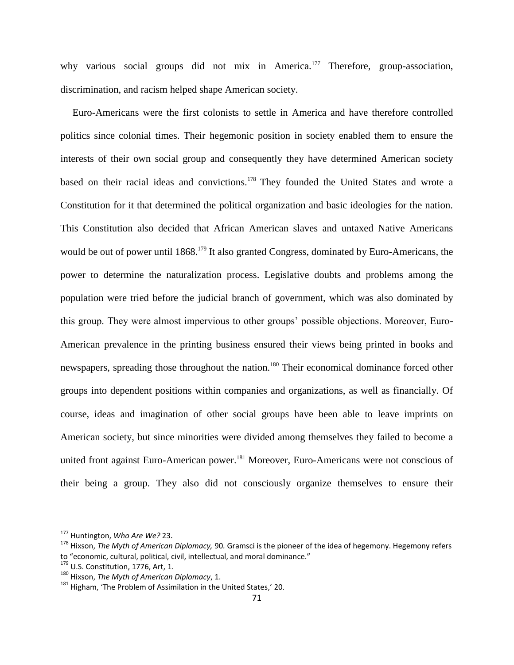why various social groups did not mix in America.<sup>177</sup> Therefore, group-association, discrimination, and racism helped shape American society.

Euro-Americans were the first colonists to settle in America and have therefore controlled politics since colonial times. Their hegemonic position in society enabled them to ensure the interests of their own social group and consequently they have determined American society based on their racial ideas and convictions.<sup>178</sup> They founded the United States and wrote a Constitution for it that determined the political organization and basic ideologies for the nation. This Constitution also decided that African American slaves and untaxed Native Americans would be out of power until 1868.<sup>179</sup> It also granted Congress, dominated by Euro-Americans, the power to determine the naturalization process. Legislative doubts and problems among the population were tried before the judicial branch of government, which was also dominated by this group. They were almost impervious to other groups" possible objections. Moreover, Euro-American prevalence in the printing business ensured their views being printed in books and newspapers, spreading those throughout the nation.<sup>180</sup> Their economical dominance forced other groups into dependent positions within companies and organizations, as well as financially. Of course, ideas and imagination of other social groups have been able to leave imprints on American society, but since minorities were divided among themselves they failed to become a united front against Euro-American power.<sup>181</sup> Moreover, Euro-Americans were not conscious of their being a group. They also did not consciously organize themselves to ensure their

<sup>177</sup> Huntington, *Who Are We?* 23.

<sup>178</sup> Hixson, *The Myth of American Diplomacy,* 90*.* Gramsci is the pioneer of the idea of hegemony. Hegemony refers to "economic, cultural, political, civil, intellectual, and moral dominance."

 $179$  U.S. Constitution, 1776, Art, 1.

<sup>180</sup> Hixson, *The Myth of American Diplomacy*, 1.

<sup>&</sup>lt;sup>181</sup> Higham, 'The Problem of Assimilation in the United States,' 20.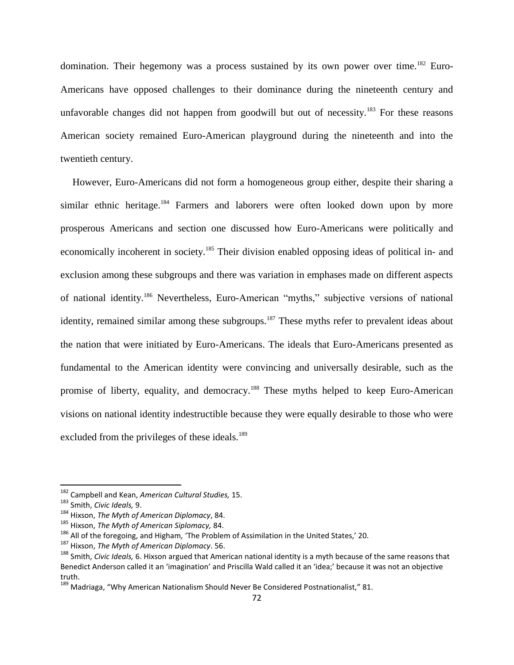domination. Their hegemony was a process sustained by its own power over time.<sup>182</sup> Euro-Americans have opposed challenges to their dominance during the nineteenth century and unfavorable changes did not happen from goodwill but out of necessity.<sup>183</sup> For these reasons American society remained Euro-American playground during the nineteenth and into the twentieth century.

However, Euro-Americans did not form a homogeneous group either, despite their sharing a similar ethnic heritage.<sup>184</sup> Farmers and laborers were often looked down upon by more prosperous Americans and section one discussed how Euro-Americans were politically and economically incoherent in society.<sup>185</sup> Their division enabled opposing ideas of political in- and exclusion among these subgroups and there was variation in emphases made on different aspects of national identity.<sup>186</sup> Nevertheless, Euro-American "myths," subjective versions of national identity, remained similar among these subgroups.<sup>187</sup> These myths refer to prevalent ideas about the nation that were initiated by Euro-Americans. The ideals that Euro-Americans presented as fundamental to the American identity were convincing and universally desirable, such as the promise of liberty, equality, and democracy.<sup>188</sup> These myths helped to keep Euro-American visions on national identity indestructible because they were equally desirable to those who were excluded from the privileges of these ideals.<sup>189</sup>

 $\overline{a}$ 

<sup>182</sup> Campbell and Kean, *American Cultural Studies,* 15.

<sup>183</sup> Smith, *Civic Ideals,* 9.

<sup>184</sup> Hixson, *The Myth of American Diplomacy*, 84.

<sup>185</sup> Hixson, *The Myth of American Siplomacy,* 84.

 $186$  All of the foregoing, and Higham, 'The Problem of Assimilation in the United States,' 20.

<sup>187</sup> Hixson, *The Myth of American Diplomacy*. 56.

<sup>188</sup> Smith, *Civic Ideals,* 6. Hixson argued that American national identity is a myth because of the same reasons that Benedict Anderson called it an 'imagination' and Priscilla Wald called it an 'idea;' because it was not an objective truth.

<sup>&</sup>lt;sup>189</sup> Madriaga, "Why American Nationalism Should Never Be Considered Postnationalist," 81.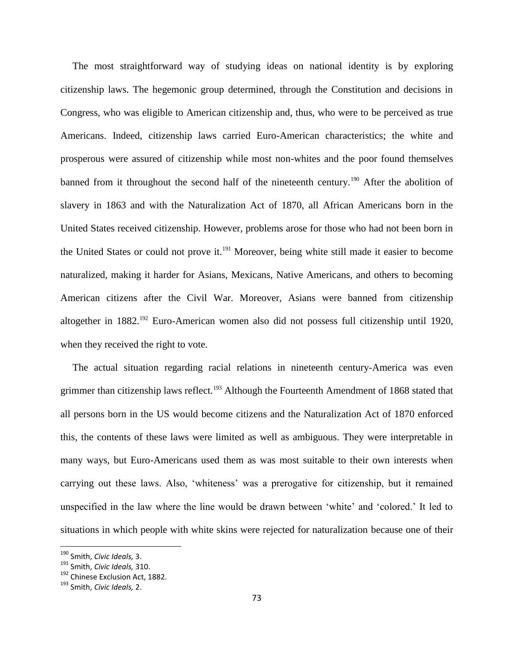The most straightforward way of studying ideas on national identity is by exploring citizenship laws. The hegemonic group determined, through the Constitution and decisions in Congress, who was eligible to American citizenship and, thus, who were to be perceived as true Americans. Indeed, citizenship laws carried Euro-American characteristics; the white and prosperous were assured of citizenship while most non-whites and the poor found themselves banned from it throughout the second half of the nineteenth century.<sup>190</sup> After the abolition of slavery in 1863 and with the Naturalization Act of 1870, all African Americans born in the United States received citizenship. However, problems arose for those who had not been born in the United States or could not prove it.<sup>191</sup> Moreover, being white still made it easier to become naturalized, making it harder for Asians, Mexicans, Native Americans, and others to becoming American citizens after the Civil War. Moreover, Asians were banned from citizenship altogether in 1882.<sup>192</sup> Euro-American women also did not possess full citizenship until 1920, when they received the right to vote.

The actual situation regarding racial relations in nineteenth century-America was even grimmer than citizenship laws reflect.<sup>193</sup> Although the Fourteenth Amendment of 1868 stated that all persons born in the US would become citizens and the Naturalization Act of 1870 enforced this, the contents of these laws were limited as well as ambiguous. They were interpretable in many ways, but Euro-Americans used them as was most suitable to their own interests when carrying out these laws. Also, "whiteness" was a prerogative for citizenship, but it remained unspecified in the law where the line would be drawn between "white" and "colored." It led to situations in which people with white skins were rejected for naturalization because one of their

<sup>190</sup> Smith, *Civic Ideals,* 3.

<sup>191</sup> Smith, *Civic Ideals,* 310.

<sup>&</sup>lt;sup>192</sup> Chinese Exclusion Act, 1882.

<sup>193</sup> Smith, *Civic Ideals,* 2.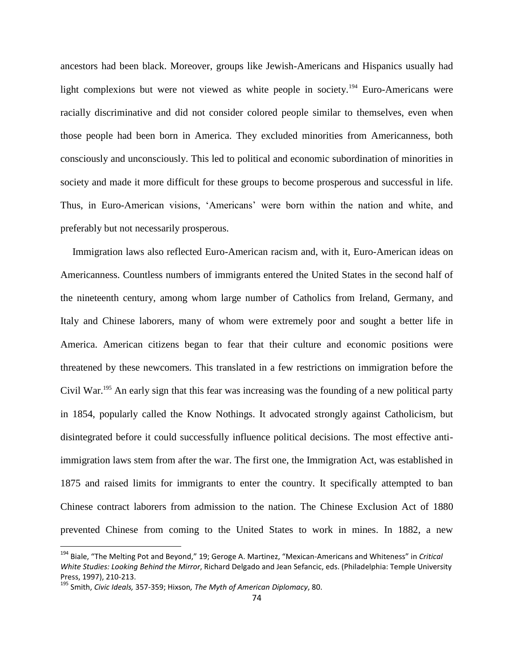ancestors had been black. Moreover, groups like Jewish-Americans and Hispanics usually had light complexions but were not viewed as white people in society.<sup>194</sup> Euro-Americans were racially discriminative and did not consider colored people similar to themselves, even when those people had been born in America. They excluded minorities from Americanness, both consciously and unconsciously. This led to political and economic subordination of minorities in society and made it more difficult for these groups to become prosperous and successful in life. Thus, in Euro-American visions, "Americans" were born within the nation and white, and preferably but not necessarily prosperous.

Immigration laws also reflected Euro-American racism and, with it, Euro-American ideas on Americanness. Countless numbers of immigrants entered the United States in the second half of the nineteenth century, among whom large number of Catholics from Ireland, Germany, and Italy and Chinese laborers, many of whom were extremely poor and sought a better life in America. American citizens began to fear that their culture and economic positions were threatened by these newcomers. This translated in a few restrictions on immigration before the Civil War.<sup>195</sup> An early sign that this fear was increasing was the founding of a new political party in 1854, popularly called the Know Nothings. It advocated strongly against Catholicism, but disintegrated before it could successfully influence political decisions. The most effective antiimmigration laws stem from after the war. The first one, the Immigration Act, was established in 1875 and raised limits for immigrants to enter the country. It specifically attempted to ban Chinese contract laborers from admission to the nation. The Chinese Exclusion Act of 1880 prevented Chinese from coming to the United States to work in mines. In 1882, a new

<sup>194</sup> Biale, "The Melting Pot and Beyond," 19; Geroge A. Martinez, "Mexican-Americans and Whiteness" in *Critical White Studies: Looking Behind the Mirror*, Richard Delgado and Jean Sefancic, eds. (Philadelphia: Temple University Press, 1997), 210-213.

<sup>195</sup> Smith, *Civic Ideals,* 357-359; Hixson*, The Myth of American Diplomacy*, 80.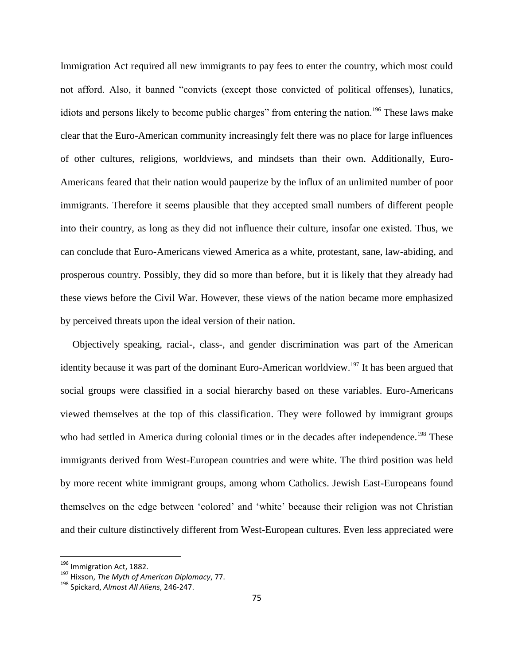Immigration Act required all new immigrants to pay fees to enter the country, which most could not afford. Also, it banned "convicts (except those convicted of political offenses), lunatics, idiots and persons likely to become public charges" from entering the nation.<sup>196</sup> These laws make clear that the Euro-American community increasingly felt there was no place for large influences of other cultures, religions, worldviews, and mindsets than their own. Additionally, Euro-Americans feared that their nation would pauperize by the influx of an unlimited number of poor immigrants. Therefore it seems plausible that they accepted small numbers of different people into their country, as long as they did not influence their culture, insofar one existed. Thus, we can conclude that Euro-Americans viewed America as a white, protestant, sane, law-abiding, and prosperous country. Possibly, they did so more than before, but it is likely that they already had these views before the Civil War. However, these views of the nation became more emphasized by perceived threats upon the ideal version of their nation.

Objectively speaking, racial-, class-, and gender discrimination was part of the American identity because it was part of the dominant Euro-American worldview.<sup>197</sup> It has been argued that social groups were classified in a social hierarchy based on these variables. Euro-Americans viewed themselves at the top of this classification. They were followed by immigrant groups who had settled in America during colonial times or in the decades after independence.<sup>198</sup> These immigrants derived from West-European countries and were white. The third position was held by more recent white immigrant groups, among whom Catholics. Jewish East-Europeans found themselves on the edge between "colored" and "white" because their religion was not Christian and their culture distinctively different from West-European cultures. Even less appreciated were

 $\overline{a}$ 

<sup>&</sup>lt;sup>196</sup> Immigration Act, 1882.

<sup>197</sup> Hixson, *The Myth of American Diplomacy*, 77.

<sup>198</sup> Spickard, *Almost All Aliens*, 246-247.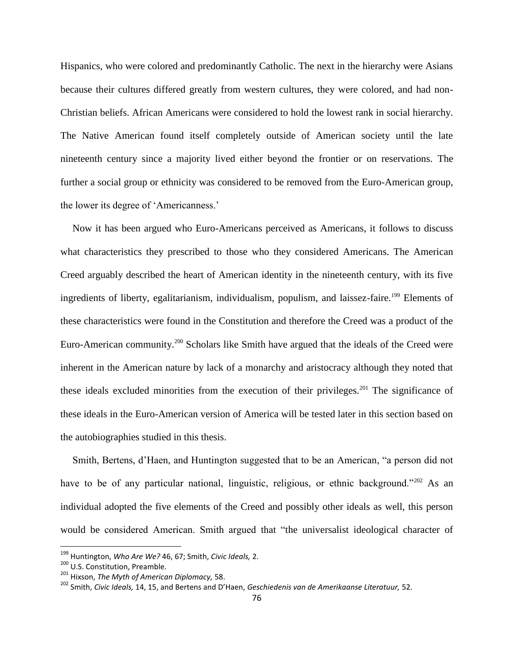Hispanics, who were colored and predominantly Catholic. The next in the hierarchy were Asians because their cultures differed greatly from western cultures, they were colored, and had non-Christian beliefs. African Americans were considered to hold the lowest rank in social hierarchy. The Native American found itself completely outside of American society until the late nineteenth century since a majority lived either beyond the frontier or on reservations. The further a social group or ethnicity was considered to be removed from the Euro-American group, the lower its degree of "Americanness."

Now it has been argued who Euro-Americans perceived as Americans, it follows to discuss what characteristics they prescribed to those who they considered Americans. The American Creed arguably described the heart of American identity in the nineteenth century, with its five ingredients of liberty, egalitarianism, individualism, populism, and laissez-faire.<sup>199</sup> Elements of these characteristics were found in the Constitution and therefore the Creed was a product of the Euro-American community.<sup>200</sup> Scholars like Smith have argued that the ideals of the Creed were inherent in the American nature by lack of a monarchy and aristocracy although they noted that these ideals excluded minorities from the execution of their privileges.<sup>201</sup> The significance of these ideals in the Euro-American version of America will be tested later in this section based on the autobiographies studied in this thesis.

Smith, Bertens, d"Haen, and Huntington suggested that to be an American, "a person did not have to be of any particular national, linguistic, religious, or ethnic background."<sup>202</sup> As an individual adopted the five elements of the Creed and possibly other ideals as well, this person would be considered American. Smith argued that "the universalist ideological character of

<sup>199</sup> Huntington, *Who Are We?* 46, 67; Smith, *Civic Ideals,* 2.

<sup>200</sup> U.S. Constitution, Preamble.

<sup>201</sup> Hixson, *The Myth of American Diplomacy,* 58.

<sup>202</sup> Smith, *Civic Ideals,* 14, 15, and Bertens and D'Haen, *Geschiedenis van de Amerikaanse Literatuur,* 52.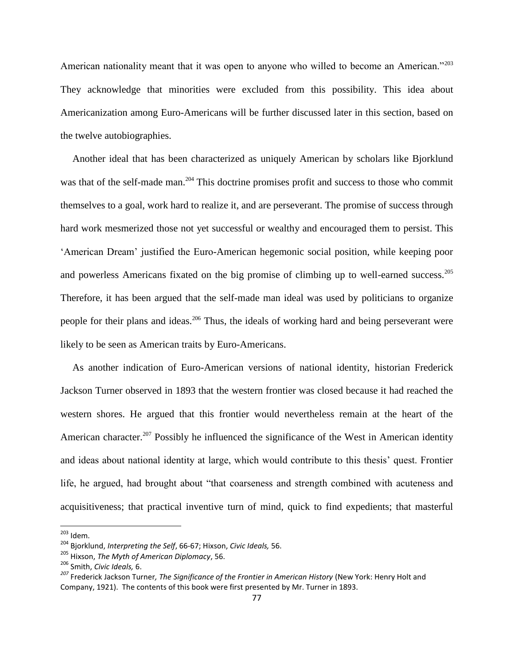American nationality meant that it was open to anyone who willed to become an American."<sup>203</sup> They acknowledge that minorities were excluded from this possibility. This idea about Americanization among Euro-Americans will be further discussed later in this section, based on the twelve autobiographies.

Another ideal that has been characterized as uniquely American by scholars like Bjorklund was that of the self-made man.<sup>204</sup> This doctrine promises profit and success to those who commit themselves to a goal, work hard to realize it, and are perseverant. The promise of success through hard work mesmerized those not yet successful or wealthy and encouraged them to persist. This "American Dream" justified the Euro-American hegemonic social position, while keeping poor and powerless Americans fixated on the big promise of climbing up to well-earned success.<sup>205</sup> Therefore, it has been argued that the self-made man ideal was used by politicians to organize people for their plans and ideas.<sup>206</sup> Thus, the ideals of working hard and being perseverant were likely to be seen as American traits by Euro-Americans.

As another indication of Euro-American versions of national identity, historian Frederick Jackson Turner observed in 1893 that the western frontier was closed because it had reached the western shores. He argued that this frontier would nevertheless remain at the heart of the American character.<sup>207</sup> Possibly he influenced the significance of the West in American identity and ideas about national identity at large, which would contribute to this thesis' quest. Frontier life, he argued, had brought about "that coarseness and strength combined with acuteness and acquisitiveness; that practical inventive turn of mind, quick to find expedients; that masterful

 $^{203}$  Idem.

<sup>204</sup> Bjorklund, *Interpreting the Self*, 66-67; Hixson, *Civic Ideals,* 56.

<sup>205</sup> Hixson, *The Myth of American Diplomacy*, 56.

<sup>206</sup> Smith, *Civic Ideals,* 6.

*<sup>207</sup>* Frederick Jackson Turner*, The Significance of the Frontier in American History* (New York: Henry Holt and Company, 1921). The contents of this book were first presented by Mr. Turner in 1893.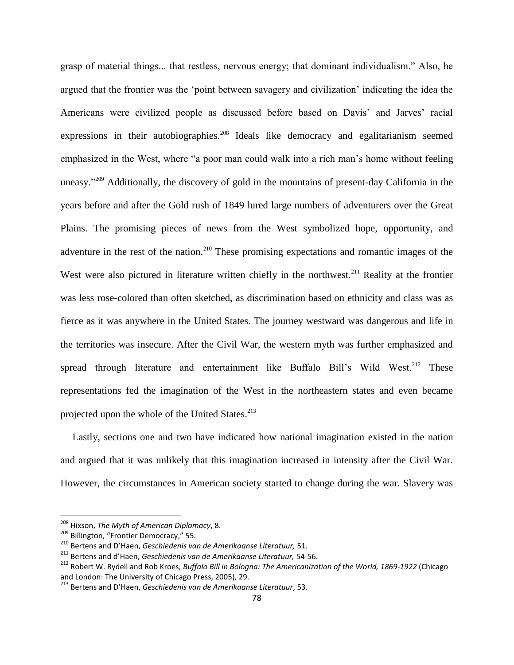grasp of material things... that restless, nervous energy; that dominant individualism." Also, he argued that the frontier was the "point between savagery and civilization" indicating the idea the Americans were civilized people as discussed before based on Davis' and Jarves' racial expressions in their autobiographies.<sup>208</sup> Ideals like democracy and egalitarianism seemed emphasized in the West, where "a poor man could walk into a rich man"s home without feeling uneasy."<sup>209</sup> Additionally, the discovery of gold in the mountains of present-day California in the years before and after the Gold rush of 1849 lured large numbers of adventurers over the Great Plains. The promising pieces of news from the West symbolized hope, opportunity, and adventure in the rest of the nation.<sup>210</sup> These promising expectations and romantic images of the West were also pictured in literature written chiefly in the northwest.<sup>211</sup> Reality at the frontier was less rose-colored than often sketched, as discrimination based on ethnicity and class was as fierce as it was anywhere in the United States. The journey westward was dangerous and life in the territories was insecure. After the Civil War, the western myth was further emphasized and spread through literature and entertainment like Buffalo Bill's Wild West.<sup>212</sup> These representations fed the imagination of the West in the northeastern states and even became projected upon the whole of the United States.<sup>213</sup>

Lastly, sections one and two have indicated how national imagination existed in the nation and argued that it was unlikely that this imagination increased in intensity after the Civil War. However, the circumstances in American society started to change during the war. Slavery was

<sup>208</sup> Hixson, *The Myth of American Diplomacy*, 8.

<sup>&</sup>lt;sup>209</sup> Billington, "Frontier Democracy," 55.

<sup>210</sup> Bertens and D'Haen, *Geschiedenis van de Amerikaanse Literatuur,* 51.

<sup>211</sup> Bertens and d'Haen, *Geschiedenis van de Amerikaanse Literatuur,* 54-56.

<sup>212</sup> Robert W. Rydell and Rob Kroes, *Buffalo Bill in Bologna: The Americanization of the World, 1869-1922* (Chicago and London: The University of Chicago Press, 2005), 29.

<sup>213</sup> Bertens and D'Haen, *Geschiedenis van de Amerikaanse Literatuur*, 53.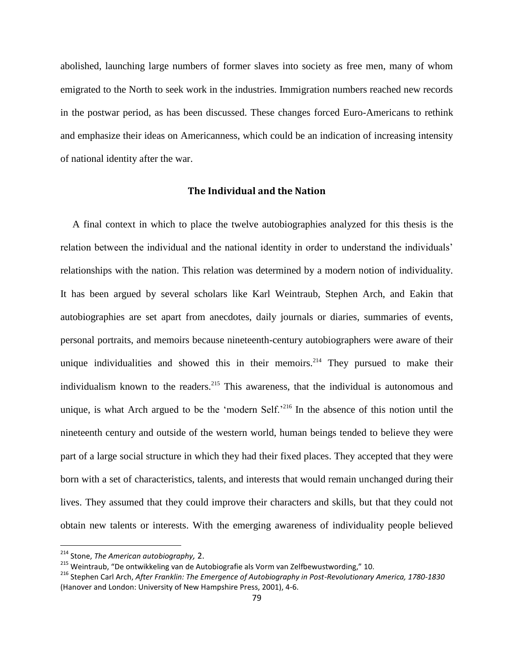abolished, launching large numbers of former slaves into society as free men, many of whom emigrated to the North to seek work in the industries. Immigration numbers reached new records in the postwar period, as has been discussed. These changes forced Euro-Americans to rethink and emphasize their ideas on Americanness, which could be an indication of increasing intensity of national identity after the war.

#### **The Individual and the Nation**

A final context in which to place the twelve autobiographies analyzed for this thesis is the relation between the individual and the national identity in order to understand the individuals" relationships with the nation. This relation was determined by a modern notion of individuality. It has been argued by several scholars like Karl Weintraub, Stephen Arch, and Eakin that autobiographies are set apart from anecdotes, daily journals or diaries, summaries of events, personal portraits, and memoirs because nineteenth-century autobiographers were aware of their unique individualities and showed this in their memoirs.<sup>214</sup> They pursued to make their individualism known to the readers.<sup>215</sup> This awareness, that the individual is autonomous and unique, is what Arch argued to be the 'modern Self.'<sup>216</sup> In the absence of this notion until the nineteenth century and outside of the western world, human beings tended to believe they were part of a large social structure in which they had their fixed places. They accepted that they were born with a set of characteristics, talents, and interests that would remain unchanged during their lives. They assumed that they could improve their characters and skills, but that they could not obtain new talents or interests. With the emerging awareness of individuality people believed

 $\overline{a}$ 

<sup>214</sup> Stone, *The American autobiography,* 2.

<sup>&</sup>lt;sup>215</sup> Weintraub, "De ontwikkeling van de Autobiografie als Vorm van Zelfbewustwording," 10.

<sup>216</sup> Stephen Carl Arch, *After Franklin: The Emergence of Autobiography in Post-Revolutionary America, 1780-1830* (Hanover and London: University of New Hampshire Press, 2001), 4-6.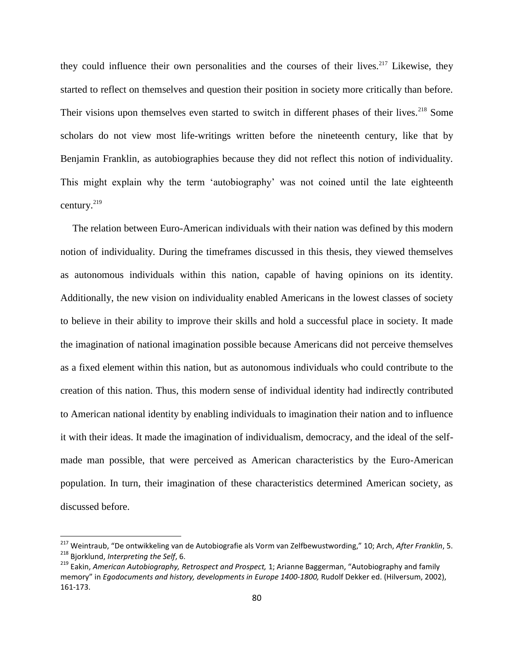they could influence their own personalities and the courses of their lives.<sup>217</sup> Likewise, they started to reflect on themselves and question their position in society more critically than before. Their visions upon themselves even started to switch in different phases of their lives.<sup>218</sup> Some scholars do not view most life-writings written before the nineteenth century, like that by Benjamin Franklin, as autobiographies because they did not reflect this notion of individuality. This might explain why the term "autobiography" was not coined until the late eighteenth century.<sup>219</sup>

The relation between Euro-American individuals with their nation was defined by this modern notion of individuality. During the timeframes discussed in this thesis, they viewed themselves as autonomous individuals within this nation, capable of having opinions on its identity. Additionally, the new vision on individuality enabled Americans in the lowest classes of society to believe in their ability to improve their skills and hold a successful place in society. It made the imagination of national imagination possible because Americans did not perceive themselves as a fixed element within this nation, but as autonomous individuals who could contribute to the creation of this nation. Thus, this modern sense of individual identity had indirectly contributed to American national identity by enabling individuals to imagination their nation and to influence it with their ideas. It made the imagination of individualism, democracy, and the ideal of the selfmade man possible, that were perceived as American characteristics by the Euro-American population. In turn, their imagination of these characteristics determined American society, as discussed before.

<sup>217</sup> Weintraub, "De ontwikkeling van de Autobiografie als Vorm van Zelfbewustwording," 10; Arch, *After Franklin*, 5. <sup>218</sup> Bjorklund, *Interpreting the Self*, 6.

<sup>219</sup> Eakin, *American Autobiography, Retrospect and Prospect,* 1; Arianne Baggerman, "Autobiography and family memory" in *Egodocuments and history, developments in Europe 1400-1800,* Rudolf Dekker ed. (Hilversum, 2002), 161-173.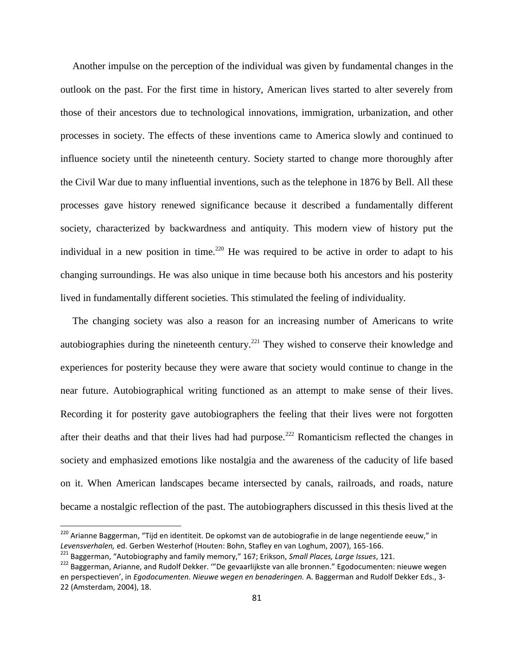Another impulse on the perception of the individual was given by fundamental changes in the outlook on the past. For the first time in history, American lives started to alter severely from those of their ancestors due to technological innovations, immigration, urbanization, and other processes in society. The effects of these inventions came to America slowly and continued to influence society until the nineteenth century. Society started to change more thoroughly after the Civil War due to many influential inventions, such as the telephone in 1876 by Bell. All these processes gave history renewed significance because it described a fundamentally different society, characterized by backwardness and antiquity. This modern view of history put the individual in a new position in time.<sup>220</sup> He was required to be active in order to adapt to his changing surroundings. He was also unique in time because both his ancestors and his posterity lived in fundamentally different societies. This stimulated the feeling of individuality.

The changing society was also a reason for an increasing number of Americans to write autobiographies during the nineteenth century.<sup>221</sup> They wished to conserve their knowledge and experiences for posterity because they were aware that society would continue to change in the near future. Autobiographical writing functioned as an attempt to make sense of their lives. Recording it for posterity gave autobiographers the feeling that their lives were not forgotten after their deaths and that their lives had had purpose.<sup>222</sup> Romanticism reflected the changes in society and emphasized emotions like nostalgia and the awareness of the caducity of life based on it. When American landscapes became intersected by canals, railroads, and roads, nature became a nostalgic reflection of the past. The autobiographers discussed in this thesis lived at the

<sup>&</sup>lt;sup>220</sup> Arianne Baggerman, "Tijd en identiteit. De opkomst van de autobiografie in de lange negentiende eeuw," in *Levensverhalen,* ed. Gerben Westerhof (Houten: Bohn, Stafley en van Loghum, 2007), 165-166.

<sup>221</sup> Baggerman, "Autobiography and family memory," 167; Erikson, *Small Places, Large Issues*, 121.

<sup>222</sup> Baggerman, Arianne, and Rudolf Dekker. '"De gevaarlijkste van alle bronnen." Egodocumenten: nieuwe wegen en perspectieven', in *Egodocumenten. Nieuwe wegen en benaderingen.* A. Baggerman and Rudolf Dekker Eds., 3- 22 (Amsterdam, 2004), 18.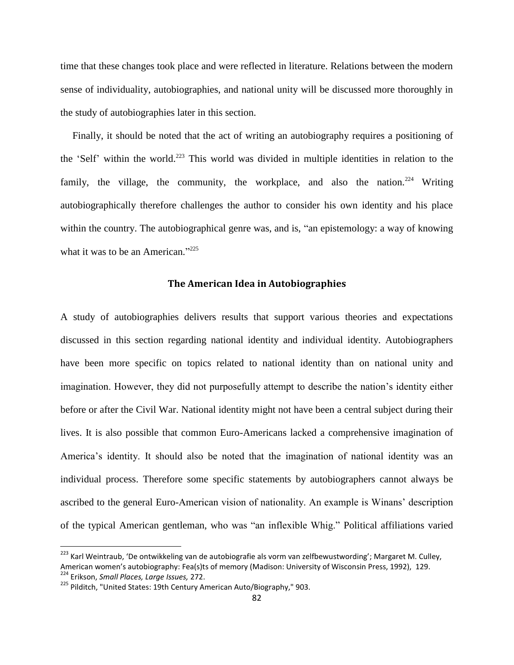time that these changes took place and were reflected in literature. Relations between the modern sense of individuality, autobiographies, and national unity will be discussed more thoroughly in the study of autobiographies later in this section.

Finally, it should be noted that the act of writing an autobiography requires a positioning of the "Self" within the world.<sup>223</sup> This world was divided in multiple identities in relation to the family, the village, the community, the workplace, and also the nation.<sup>224</sup> Writing autobiographically therefore challenges the author to consider his own identity and his place within the country. The autobiographical genre was, and is, "an epistemology: a way of knowing what it was to be an American."<sup>225</sup>

## **The American Idea in Autobiographies**

A study of autobiographies delivers results that support various theories and expectations discussed in this section regarding national identity and individual identity. Autobiographers have been more specific on topics related to national identity than on national unity and imagination. However, they did not purposefully attempt to describe the nation"s identity either before or after the Civil War. National identity might not have been a central subject during their lives. It is also possible that common Euro-Americans lacked a comprehensive imagination of America"s identity. It should also be noted that the imagination of national identity was an individual process. Therefore some specific statements by autobiographers cannot always be ascribed to the general Euro-American vision of nationality. An example is Winans" description of the typical American gentleman, who was "an inflexible Whig." Political affiliations varied

<sup>&</sup>lt;sup>223</sup> Karl Weintraub, 'De ontwikkeling van de autobiografie als vorm van zelfbewustwording'; Margaret M. Culley, American women's autobiography: Fea(s)ts of memory (Madison: University of Wisconsin Press, 1992), 129. <sup>224</sup> Erikson, *Small Places, Large Issues,* 272.

<sup>&</sup>lt;sup>225</sup> Pilditch, "United States: 19th Century American Auto/Biography," 903.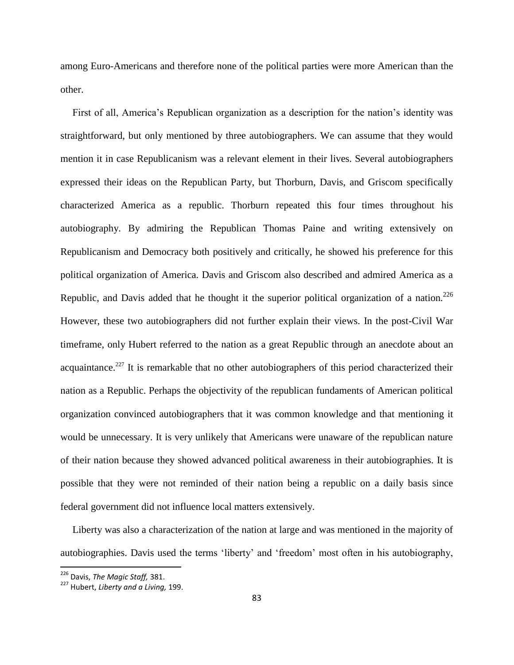among Euro-Americans and therefore none of the political parties were more American than the other.

First of all, America"s Republican organization as a description for the nation"s identity was straightforward, but only mentioned by three autobiographers. We can assume that they would mention it in case Republicanism was a relevant element in their lives. Several autobiographers expressed their ideas on the Republican Party, but Thorburn, Davis, and Griscom specifically characterized America as a republic. Thorburn repeated this four times throughout his autobiography. By admiring the Republican Thomas Paine and writing extensively on Republicanism and Democracy both positively and critically, he showed his preference for this political organization of America. Davis and Griscom also described and admired America as a Republic, and Davis added that he thought it the superior political organization of a nation.<sup>226</sup> However, these two autobiographers did not further explain their views. In the post-Civil War timeframe, only Hubert referred to the nation as a great Republic through an anecdote about an acquaintance.<sup>227</sup> It is remarkable that no other autobiographers of this period characterized their nation as a Republic. Perhaps the objectivity of the republican fundaments of American political organization convinced autobiographers that it was common knowledge and that mentioning it would be unnecessary. It is very unlikely that Americans were unaware of the republican nature of their nation because they showed advanced political awareness in their autobiographies. It is possible that they were not reminded of their nation being a republic on a daily basis since federal government did not influence local matters extensively.

Liberty was also a characterization of the nation at large and was mentioned in the majority of autobiographies. Davis used the terms "liberty" and "freedom" most often in his autobiography,

<sup>226</sup> Davis, *The Magic Staff,* 381.

<sup>227</sup> Hubert, *Liberty and a Living,* 199.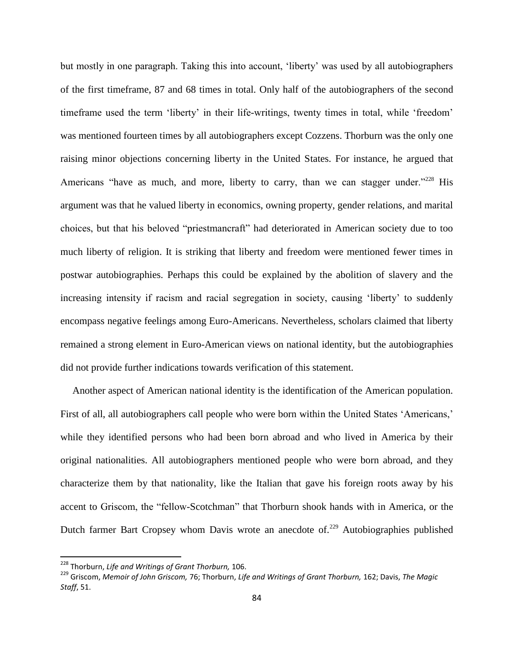but mostly in one paragraph. Taking this into account, "liberty" was used by all autobiographers of the first timeframe, 87 and 68 times in total. Only half of the autobiographers of the second timeframe used the term 'liberty' in their life-writings, twenty times in total, while 'freedom' was mentioned fourteen times by all autobiographers except Cozzens. Thorburn was the only one raising minor objections concerning liberty in the United States. For instance, he argued that Americans "have as much, and more, liberty to carry, than we can stagger under."<sup>228</sup> His argument was that he valued liberty in economics, owning property, gender relations, and marital choices, but that his beloved "priestmancraft" had deteriorated in American society due to too much liberty of religion. It is striking that liberty and freedom were mentioned fewer times in postwar autobiographies. Perhaps this could be explained by the abolition of slavery and the increasing intensity if racism and racial segregation in society, causing "liberty" to suddenly encompass negative feelings among Euro-Americans. Nevertheless, scholars claimed that liberty remained a strong element in Euro-American views on national identity, but the autobiographies did not provide further indications towards verification of this statement.

Another aspect of American national identity is the identification of the American population. First of all, all autobiographers call people who were born within the United States 'Americans,' while they identified persons who had been born abroad and who lived in America by their original nationalities. All autobiographers mentioned people who were born abroad, and they characterize them by that nationality, like the Italian that gave his foreign roots away by his accent to Griscom, the "fellow-Scotchman" that Thorburn shook hands with in America, or the Dutch farmer Bart Cropsey whom Davis wrote an anecdote of.<sup>229</sup> Autobiographies published

 $\overline{a}$ 

<sup>228</sup> Thorburn, *Life and Writings of Grant Thorburn,* 106.

<sup>229</sup> Griscom, *Memoir of John Griscom,* 76; Thorburn, *Life and Writings of Grant Thorburn,* 162; Davis, *The Magic Staff*, 51.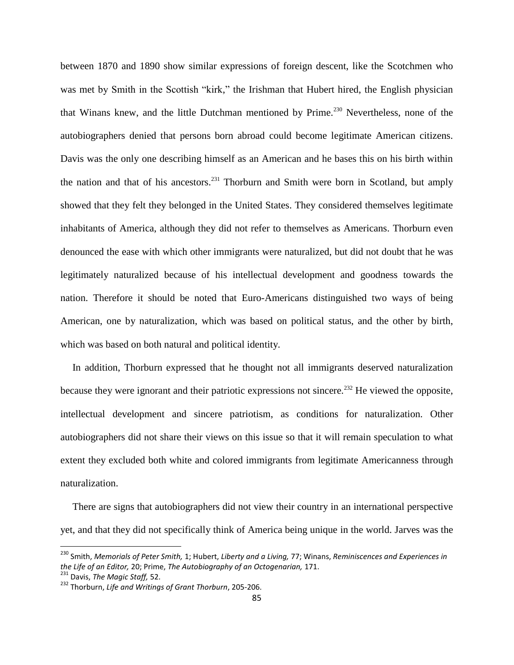between 1870 and 1890 show similar expressions of foreign descent, like the Scotchmen who was met by Smith in the Scottish "kirk," the Irishman that Hubert hired, the English physician that Winans knew, and the little Dutchman mentioned by Prime.<sup>230</sup> Nevertheless, none of the autobiographers denied that persons born abroad could become legitimate American citizens. Davis was the only one describing himself as an American and he bases this on his birth within the nation and that of his ancestors.<sup>231</sup> Thorburn and Smith were born in Scotland, but amply showed that they felt they belonged in the United States. They considered themselves legitimate inhabitants of America, although they did not refer to themselves as Americans. Thorburn even denounced the ease with which other immigrants were naturalized, but did not doubt that he was legitimately naturalized because of his intellectual development and goodness towards the nation. Therefore it should be noted that Euro-Americans distinguished two ways of being American, one by naturalization, which was based on political status, and the other by birth, which was based on both natural and political identity.

In addition, Thorburn expressed that he thought not all immigrants deserved naturalization because they were ignorant and their patriotic expressions not sincere.<sup>232</sup> He viewed the opposite, intellectual development and sincere patriotism, as conditions for naturalization. Other autobiographers did not share their views on this issue so that it will remain speculation to what extent they excluded both white and colored immigrants from legitimate Americanness through naturalization.

There are signs that autobiographers did not view their country in an international perspective yet, and that they did not specifically think of America being unique in the world. Jarves was the

<sup>230</sup> Smith, *Memorials of Peter Smith,* 1; Hubert, *Liberty and a Living,* 77; Winans, *Reminiscences and Experiences in the Life of an Editor,* 20; Prime, *The Autobiography of an Octogenarian,* 171.

<sup>231</sup> Davis, *The Magic Staff,* 52.

<sup>232</sup> Thorburn, *Life and Writings of Grant Thorburn*, 205-206.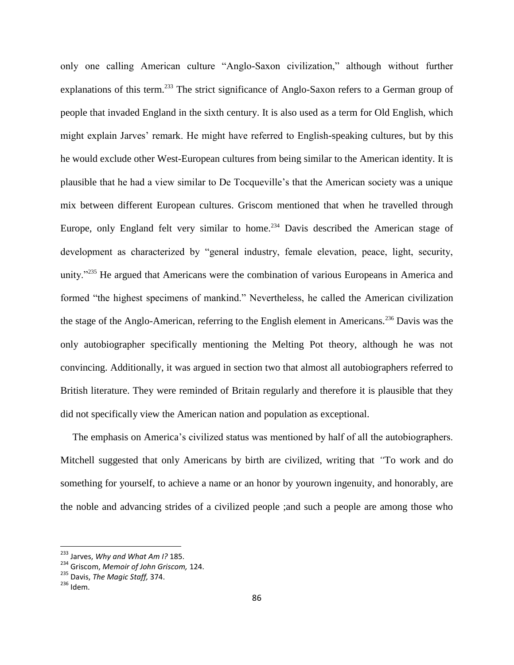only one calling American culture "Anglo-Saxon civilization," although without further explanations of this term.<sup>233</sup> The strict significance of Anglo-Saxon refers to a German group of people that invaded England in the sixth century. It is also used as a term for Old English, which might explain Jarves' remark. He might have referred to English-speaking cultures, but by this he would exclude other West-European cultures from being similar to the American identity. It is plausible that he had a view similar to De Tocqueville"s that the American society was a unique mix between different European cultures. Griscom mentioned that when he travelled through Europe, only England felt very similar to home.<sup>234</sup> Davis described the American stage of development as characterized by "general industry, female elevation, peace, light, security, unity."<sup>235</sup> He argued that Americans were the combination of various Europeans in America and formed "the highest specimens of mankind." Nevertheless, he called the American civilization the stage of the Anglo-American, referring to the English element in Americans.<sup>236</sup> Davis was the only autobiographer specifically mentioning the Melting Pot theory, although he was not convincing. Additionally, it was argued in section two that almost all autobiographers referred to British literature. They were reminded of Britain regularly and therefore it is plausible that they did not specifically view the American nation and population as exceptional.

The emphasis on America's civilized status was mentioned by half of all the autobiographers. Mitchell suggested that only Americans by birth are civilized, writing that *"*To work and do something for yourself, to achieve a name or an honor by yourown ingenuity, and honorably, are the noble and advancing strides of a civilized people ;and such a people are among those who

<sup>233</sup> Jarves, *Why and What Am I?* 185.

<sup>234</sup> Griscom, *Memoir of John Griscom,* 124.

<sup>235</sup> Davis, *The Magic Staff,* 374.

 $236$  Idem.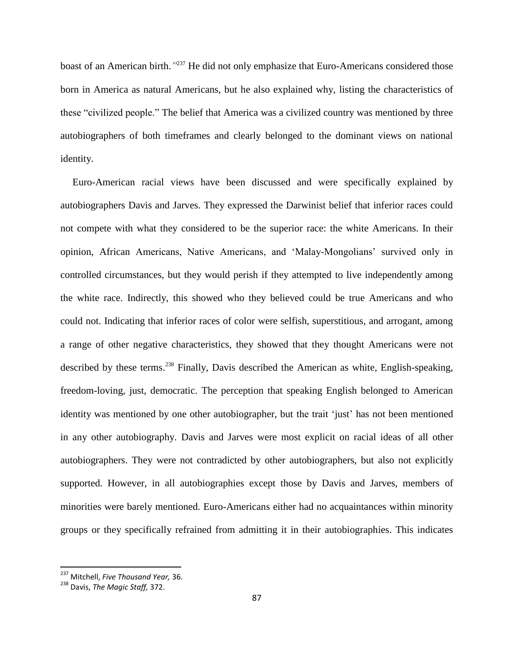boast of an American birth.*"* <sup>237</sup> He did not only emphasize that Euro-Americans considered those born in America as natural Americans, but he also explained why, listing the characteristics of these "civilized people." The belief that America was a civilized country was mentioned by three autobiographers of both timeframes and clearly belonged to the dominant views on national identity.

Euro-American racial views have been discussed and were specifically explained by autobiographers Davis and Jarves. They expressed the Darwinist belief that inferior races could not compete with what they considered to be the superior race: the white Americans. In their opinion, African Americans, Native Americans, and "Malay-Mongolians" survived only in controlled circumstances, but they would perish if they attempted to live independently among the white race. Indirectly, this showed who they believed could be true Americans and who could not. Indicating that inferior races of color were selfish, superstitious, and arrogant, among a range of other negative characteristics, they showed that they thought Americans were not described by these terms.<sup>238</sup> Finally, Davis described the American as white, English-speaking, freedom-loving, just, democratic. The perception that speaking English belonged to American identity was mentioned by one other autobiographer, but the trait 'just' has not been mentioned in any other autobiography. Davis and Jarves were most explicit on racial ideas of all other autobiographers. They were not contradicted by other autobiographers, but also not explicitly supported. However, in all autobiographies except those by Davis and Jarves, members of minorities were barely mentioned. Euro-Americans either had no acquaintances within minority groups or they specifically refrained from admitting it in their autobiographies. This indicates

<sup>237</sup> Mitchell, *Five Thousand Year,* 36.

<sup>238</sup> Davis, *The Magic Staff,* 372.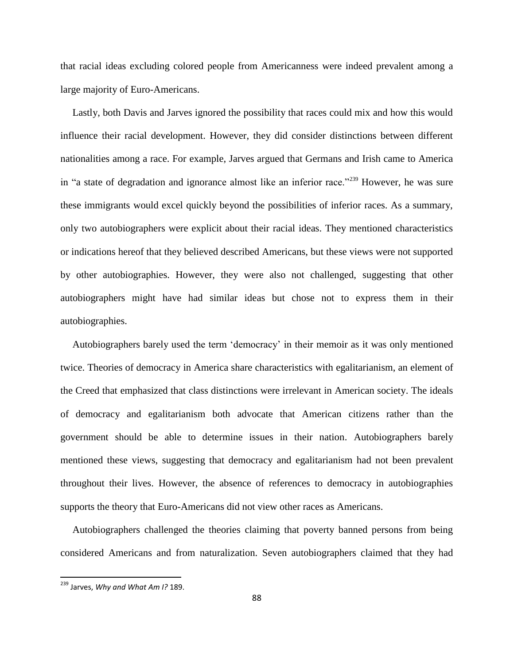that racial ideas excluding colored people from Americanness were indeed prevalent among a large majority of Euro-Americans.

Lastly, both Davis and Jarves ignored the possibility that races could mix and how this would influence their racial development. However, they did consider distinctions between different nationalities among a race. For example, Jarves argued that Germans and Irish came to America in "a state of degradation and ignorance almost like an inferior race."<sup>239</sup> However, he was sure these immigrants would excel quickly beyond the possibilities of inferior races. As a summary, only two autobiographers were explicit about their racial ideas. They mentioned characteristics or indications hereof that they believed described Americans, but these views were not supported by other autobiographies. However, they were also not challenged, suggesting that other autobiographers might have had similar ideas but chose not to express them in their autobiographies.

Autobiographers barely used the term "democracy" in their memoir as it was only mentioned twice. Theories of democracy in America share characteristics with egalitarianism, an element of the Creed that emphasized that class distinctions were irrelevant in American society. The ideals of democracy and egalitarianism both advocate that American citizens rather than the government should be able to determine issues in their nation. Autobiographers barely mentioned these views, suggesting that democracy and egalitarianism had not been prevalent throughout their lives. However, the absence of references to democracy in autobiographies supports the theory that Euro-Americans did not view other races as Americans.

Autobiographers challenged the theories claiming that poverty banned persons from being considered Americans and from naturalization. Seven autobiographers claimed that they had

<sup>239</sup> Jarves, *Why and What Am I?* 189.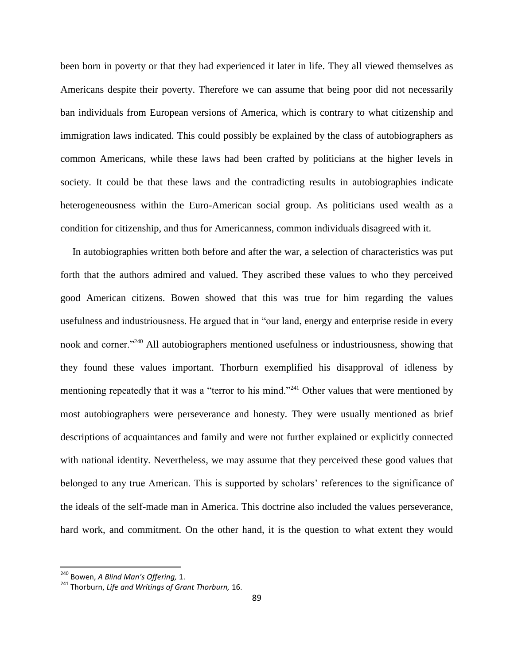been born in poverty or that they had experienced it later in life. They all viewed themselves as Americans despite their poverty. Therefore we can assume that being poor did not necessarily ban individuals from European versions of America, which is contrary to what citizenship and immigration laws indicated. This could possibly be explained by the class of autobiographers as common Americans, while these laws had been crafted by politicians at the higher levels in society. It could be that these laws and the contradicting results in autobiographies indicate heterogeneousness within the Euro-American social group. As politicians used wealth as a condition for citizenship, and thus for Americanness, common individuals disagreed with it.

In autobiographies written both before and after the war, a selection of characteristics was put forth that the authors admired and valued. They ascribed these values to who they perceived good American citizens. Bowen showed that this was true for him regarding the values usefulness and industriousness. He argued that in "our land, energy and enterprise reside in every nook and corner."<sup>240</sup> All autobiographers mentioned usefulness or industriousness, showing that they found these values important. Thorburn exemplified his disapproval of idleness by mentioning repeatedly that it was a "terror to his mind."<sup>241</sup> Other values that were mentioned by most autobiographers were perseverance and honesty. They were usually mentioned as brief descriptions of acquaintances and family and were not further explained or explicitly connected with national identity. Nevertheless, we may assume that they perceived these good values that belonged to any true American. This is supported by scholars' references to the significance of the ideals of the self-made man in America. This doctrine also included the values perseverance, hard work, and commitment. On the other hand, it is the question to what extent they would

<sup>240</sup> Bowen, *A Blind Man's Offering,* 1.

<sup>241</sup> Thorburn, *Life and Writings of Grant Thorburn,* 16.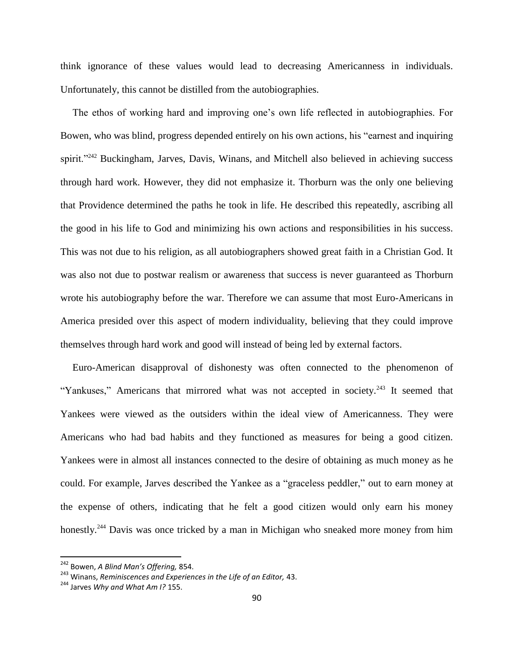think ignorance of these values would lead to decreasing Americanness in individuals. Unfortunately, this cannot be distilled from the autobiographies.

The ethos of working hard and improving one"s own life reflected in autobiographies. For Bowen, who was blind, progress depended entirely on his own actions, his "earnest and inquiring spirit."<sup>242</sup> Buckingham, Jarves, Davis, Winans, and Mitchell also believed in achieving success through hard work. However, they did not emphasize it. Thorburn was the only one believing that Providence determined the paths he took in life. He described this repeatedly, ascribing all the good in his life to God and minimizing his own actions and responsibilities in his success. This was not due to his religion, as all autobiographers showed great faith in a Christian God. It was also not due to postwar realism or awareness that success is never guaranteed as Thorburn wrote his autobiography before the war. Therefore we can assume that most Euro-Americans in America presided over this aspect of modern individuality, believing that they could improve themselves through hard work and good will instead of being led by external factors.

Euro-American disapproval of dishonesty was often connected to the phenomenon of "Yankuses," Americans that mirrored what was not accepted in society. $243$  It seemed that Yankees were viewed as the outsiders within the ideal view of Americanness. They were Americans who had bad habits and they functioned as measures for being a good citizen. Yankees were in almost all instances connected to the desire of obtaining as much money as he could. For example, Jarves described the Yankee as a "graceless peddler," out to earn money at the expense of others, indicating that he felt a good citizen would only earn his money honestly.<sup>244</sup> Davis was once tricked by a man in Michigan who sneaked more money from him

 $\overline{a}$ 

<sup>242</sup> Bowen, *A Blind Man's Offering,* 854.

<sup>243</sup> Winans, *Reminiscences and Experiences in the Life of an Editor,* 43.

<sup>244</sup> Jarves *Why and What Am I?* 155.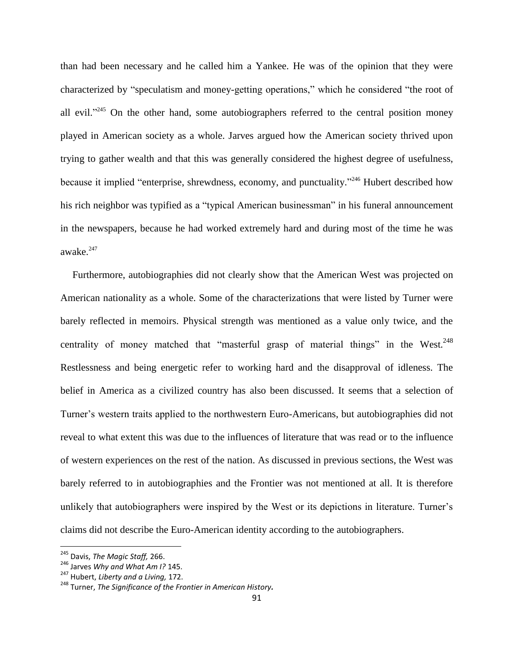than had been necessary and he called him a Yankee. He was of the opinion that they were characterized by "speculatism and money-getting operations," which he considered "the root of all evil."<sup>245</sup> On the other hand, some autobiographers referred to the central position money played in American society as a whole. Jarves argued how the American society thrived upon trying to gather wealth and that this was generally considered the highest degree of usefulness, because it implied "enterprise, shrewdness, economy, and punctuality."<sup>246</sup> Hubert described how his rich neighbor was typified as a "typical American businessman" in his funeral announcement in the newspapers, because he had worked extremely hard and during most of the time he was awake. $247$ 

Furthermore, autobiographies did not clearly show that the American West was projected on American nationality as a whole. Some of the characterizations that were listed by Turner were barely reflected in memoirs. Physical strength was mentioned as a value only twice, and the centrality of money matched that "masterful grasp of material things" in the West. $^{248}$ Restlessness and being energetic refer to working hard and the disapproval of idleness. The belief in America as a civilized country has also been discussed. It seems that a selection of Turner"s western traits applied to the northwestern Euro-Americans, but autobiographies did not reveal to what extent this was due to the influences of literature that was read or to the influence of western experiences on the rest of the nation. As discussed in previous sections, the West was barely referred to in autobiographies and the Frontier was not mentioned at all. It is therefore unlikely that autobiographers were inspired by the West or its depictions in literature. Turner"s claims did not describe the Euro-American identity according to the autobiographers.

<sup>245</sup> Davis, *The Magic Staff,* 266.

<sup>246</sup> Jarves *Why and What Am I?* 145.

<sup>247</sup> Hubert, *Liberty and a Living,* 172.

<sup>248</sup> Turner, *The Significance of the Frontier in American History.*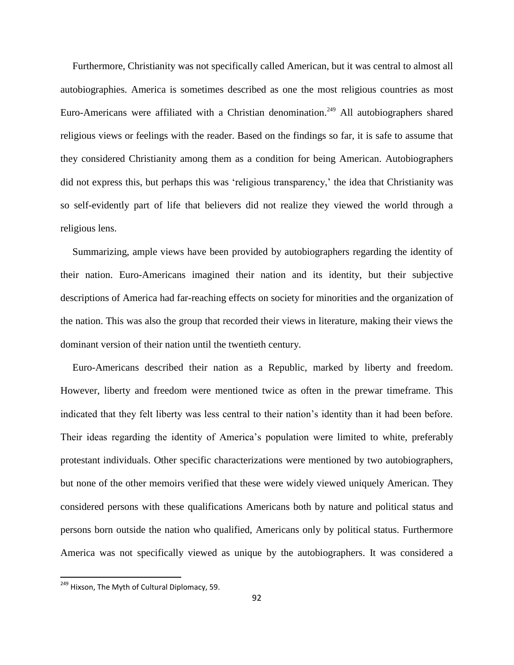Furthermore, Christianity was not specifically called American, but it was central to almost all autobiographies. America is sometimes described as one the most religious countries as most Euro-Americans were affiliated with a Christian denomination.<sup>249</sup> All autobiographers shared religious views or feelings with the reader. Based on the findings so far, it is safe to assume that they considered Christianity among them as a condition for being American. Autobiographers did not express this, but perhaps this was 'religious transparency,' the idea that Christianity was so self-evidently part of life that believers did not realize they viewed the world through a religious lens.

Summarizing, ample views have been provided by autobiographers regarding the identity of their nation. Euro-Americans imagined their nation and its identity, but their subjective descriptions of America had far-reaching effects on society for minorities and the organization of the nation. This was also the group that recorded their views in literature, making their views the dominant version of their nation until the twentieth century.

Euro-Americans described their nation as a Republic, marked by liberty and freedom. However, liberty and freedom were mentioned twice as often in the prewar timeframe. This indicated that they felt liberty was less central to their nation"s identity than it had been before. Their ideas regarding the identity of America"s population were limited to white, preferably protestant individuals. Other specific characterizations were mentioned by two autobiographers, but none of the other memoirs verified that these were widely viewed uniquely American. They considered persons with these qualifications Americans both by nature and political status and persons born outside the nation who qualified, Americans only by political status. Furthermore America was not specifically viewed as unique by the autobiographers. It was considered a

<sup>&</sup>lt;sup>249</sup> Hixson, The Myth of Cultural Diplomacy, 59.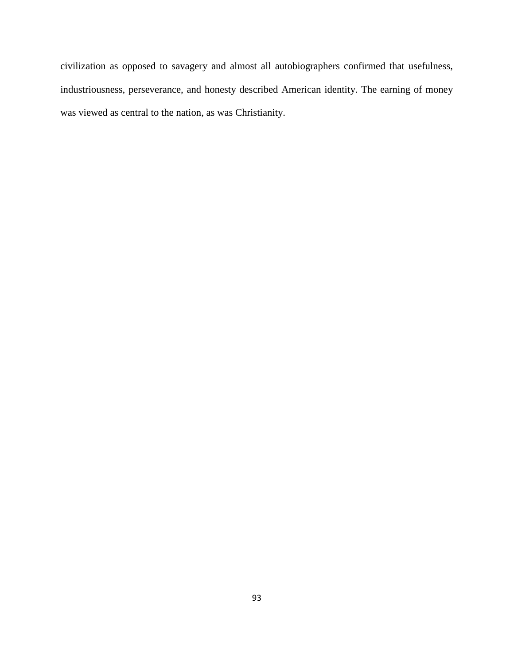civilization as opposed to savagery and almost all autobiographers confirmed that usefulness, industriousness, perseverance, and honesty described American identity. The earning of money was viewed as central to the nation, as was Christianity.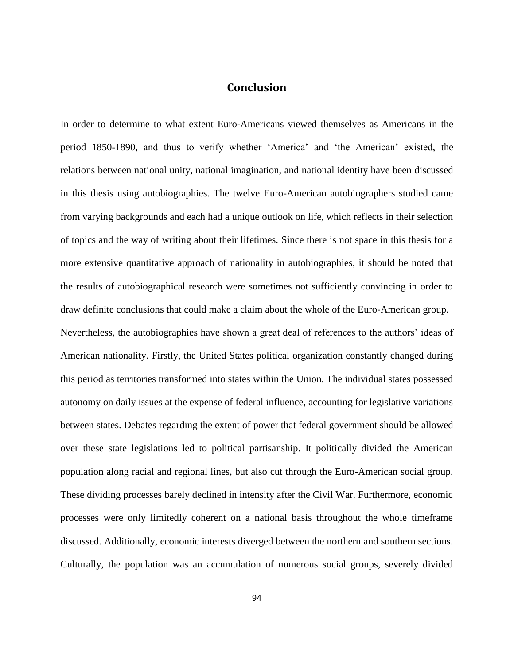## **Conclusion**

In order to determine to what extent Euro-Americans viewed themselves as Americans in the period 1850-1890, and thus to verify whether "America" and "the American" existed, the relations between national unity, national imagination, and national identity have been discussed in this thesis using autobiographies. The twelve Euro-American autobiographers studied came from varying backgrounds and each had a unique outlook on life, which reflects in their selection of topics and the way of writing about their lifetimes. Since there is not space in this thesis for a more extensive quantitative approach of nationality in autobiographies, it should be noted that the results of autobiographical research were sometimes not sufficiently convincing in order to draw definite conclusions that could make a claim about the whole of the Euro-American group. Nevertheless, the autobiographies have shown a great deal of references to the authors' ideas of American nationality. Firstly, the United States political organization constantly changed during this period as territories transformed into states within the Union. The individual states possessed autonomy on daily issues at the expense of federal influence, accounting for legislative variations between states. Debates regarding the extent of power that federal government should be allowed over these state legislations led to political partisanship. It politically divided the American population along racial and regional lines, but also cut through the Euro-American social group. These dividing processes barely declined in intensity after the Civil War. Furthermore, economic processes were only limitedly coherent on a national basis throughout the whole timeframe discussed. Additionally, economic interests diverged between the northern and southern sections. Culturally, the population was an accumulation of numerous social groups, severely divided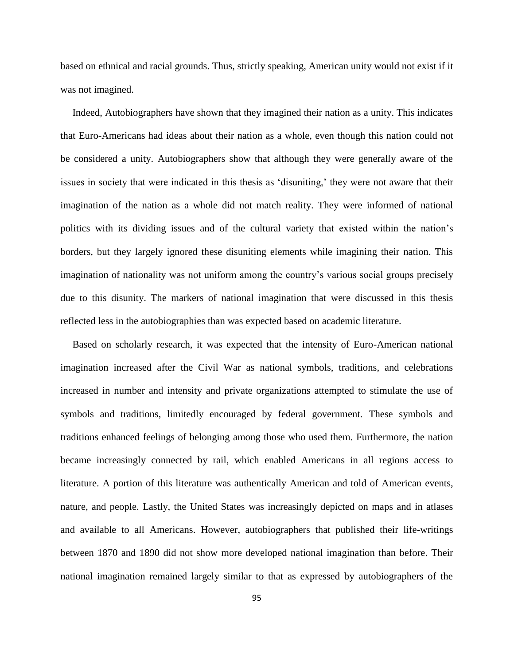based on ethnical and racial grounds. Thus, strictly speaking, American unity would not exist if it was not imagined.

Indeed, Autobiographers have shown that they imagined their nation as a unity. This indicates that Euro-Americans had ideas about their nation as a whole, even though this nation could not be considered a unity. Autobiographers show that although they were generally aware of the issues in society that were indicated in this thesis as 'disuniting,' they were not aware that their imagination of the nation as a whole did not match reality. They were informed of national politics with its dividing issues and of the cultural variety that existed within the nation"s borders, but they largely ignored these disuniting elements while imagining their nation. This imagination of nationality was not uniform among the country"s various social groups precisely due to this disunity. The markers of national imagination that were discussed in this thesis reflected less in the autobiographies than was expected based on academic literature.

Based on scholarly research, it was expected that the intensity of Euro-American national imagination increased after the Civil War as national symbols, traditions, and celebrations increased in number and intensity and private organizations attempted to stimulate the use of symbols and traditions, limitedly encouraged by federal government. These symbols and traditions enhanced feelings of belonging among those who used them. Furthermore, the nation became increasingly connected by rail, which enabled Americans in all regions access to literature. A portion of this literature was authentically American and told of American events, nature, and people. Lastly, the United States was increasingly depicted on maps and in atlases and available to all Americans. However, autobiographers that published their life-writings between 1870 and 1890 did not show more developed national imagination than before. Their national imagination remained largely similar to that as expressed by autobiographers of the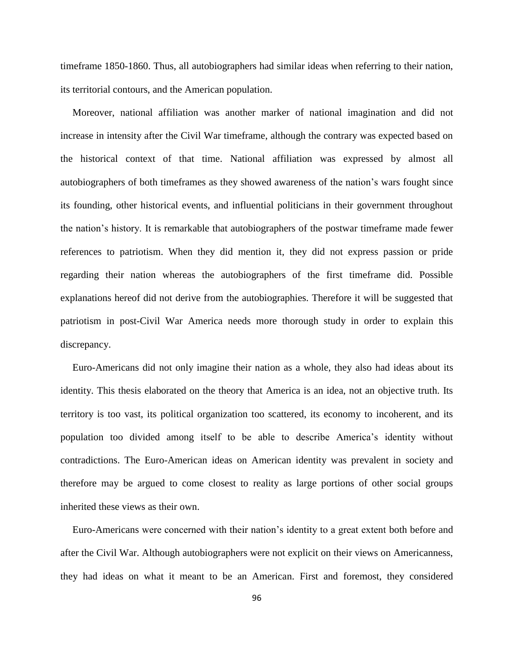timeframe 1850-1860. Thus, all autobiographers had similar ideas when referring to their nation, its territorial contours, and the American population.

Moreover, national affiliation was another marker of national imagination and did not increase in intensity after the Civil War timeframe, although the contrary was expected based on the historical context of that time. National affiliation was expressed by almost all autobiographers of both timeframes as they showed awareness of the nation"s wars fought since its founding, other historical events, and influential politicians in their government throughout the nation"s history. It is remarkable that autobiographers of the postwar timeframe made fewer references to patriotism. When they did mention it, they did not express passion or pride regarding their nation whereas the autobiographers of the first timeframe did. Possible explanations hereof did not derive from the autobiographies. Therefore it will be suggested that patriotism in post-Civil War America needs more thorough study in order to explain this discrepancy.

Euro-Americans did not only imagine their nation as a whole, they also had ideas about its identity. This thesis elaborated on the theory that America is an idea, not an objective truth. Its territory is too vast, its political organization too scattered, its economy to incoherent, and its population too divided among itself to be able to describe America"s identity without contradictions. The Euro-American ideas on American identity was prevalent in society and therefore may be argued to come closest to reality as large portions of other social groups inherited these views as their own.

Euro-Americans were concerned with their nation"s identity to a great extent both before and after the Civil War. Although autobiographers were not explicit on their views on Americanness, they had ideas on what it meant to be an American. First and foremost, they considered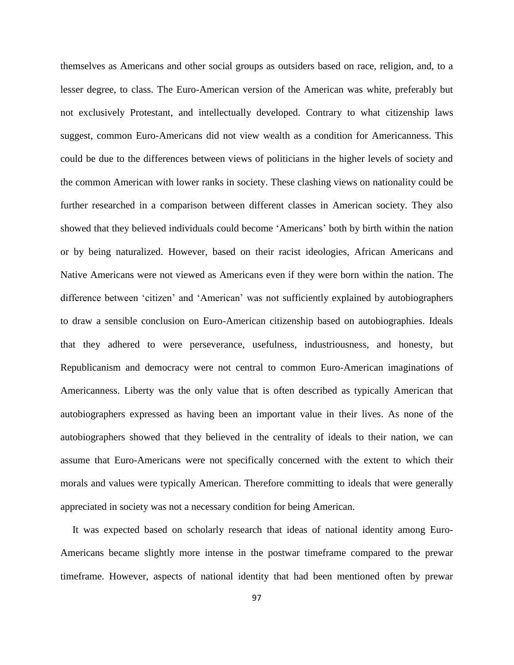themselves as Americans and other social groups as outsiders based on race, religion, and, to a lesser degree, to class. The Euro-American version of the American was white, preferably but not exclusively Protestant, and intellectually developed. Contrary to what citizenship laws suggest, common Euro-Americans did not view wealth as a condition for Americanness. This could be due to the differences between views of politicians in the higher levels of society and the common American with lower ranks in society. These clashing views on nationality could be further researched in a comparison between different classes in American society. They also showed that they believed individuals could become "Americans" both by birth within the nation or by being naturalized. However, based on their racist ideologies, African Americans and Native Americans were not viewed as Americans even if they were born within the nation. The difference between "citizen" and "American" was not sufficiently explained by autobiographers to draw a sensible conclusion on Euro-American citizenship based on autobiographies. Ideals that they adhered to were perseverance, usefulness, industriousness, and honesty, but Republicanism and democracy were not central to common Euro-American imaginations of Americanness. Liberty was the only value that is often described as typically American that autobiographers expressed as having been an important value in their lives. As none of the autobiographers showed that they believed in the centrality of ideals to their nation, we can assume that Euro-Americans were not specifically concerned with the extent to which their morals and values were typically American. Therefore committing to ideals that were generally appreciated in society was not a necessary condition for being American.

It was expected based on scholarly research that ideas of national identity among Euro-Americans became slightly more intense in the postwar timeframe compared to the prewar timeframe. However, aspects of national identity that had been mentioned often by prewar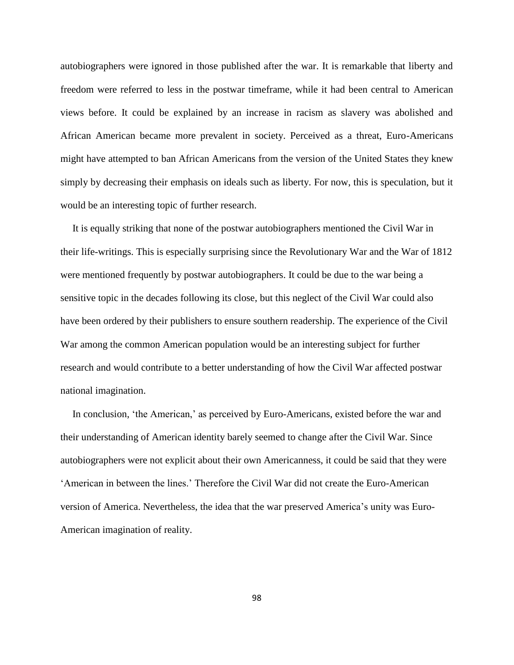autobiographers were ignored in those published after the war. It is remarkable that liberty and freedom were referred to less in the postwar timeframe, while it had been central to American views before. It could be explained by an increase in racism as slavery was abolished and African American became more prevalent in society. Perceived as a threat, Euro-Americans might have attempted to ban African Americans from the version of the United States they knew simply by decreasing their emphasis on ideals such as liberty. For now, this is speculation, but it would be an interesting topic of further research.

It is equally striking that none of the postwar autobiographers mentioned the Civil War in their life-writings. This is especially surprising since the Revolutionary War and the War of 1812 were mentioned frequently by postwar autobiographers. It could be due to the war being a sensitive topic in the decades following its close, but this neglect of the Civil War could also have been ordered by their publishers to ensure southern readership. The experience of the Civil War among the common American population would be an interesting subject for further research and would contribute to a better understanding of how the Civil War affected postwar national imagination.

In conclusion, 'the American,' as perceived by Euro-Americans, existed before the war and their understanding of American identity barely seemed to change after the Civil War. Since autobiographers were not explicit about their own Americanness, it could be said that they were "American in between the lines." Therefore the Civil War did not create the Euro-American version of America. Nevertheless, the idea that the war preserved America"s unity was Euro-American imagination of reality.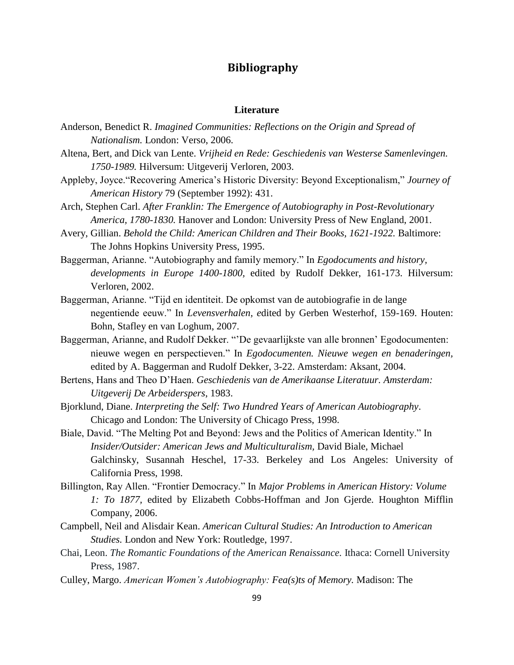# **Bibliography**

#### **Literature**

- Anderson, Benedict R. *Imagined Communities: Reflections on the Origin and Spread of Nationalism.* London: Verso, 2006.
- Altena, Bert, and Dick van Lente. *Vrijheid en Rede: Geschiedenis van Westerse Samenlevingen. 1750-1989.* Hilversum: Uitgeverij Verloren, 2003.
- Appleby, Joyce."Recovering America"s Historic Diversity: Beyond Exceptionalism," *Journey of American History* 79 (September 1992): 431.
- Arch, Stephen Carl. *After Franklin: The Emergence of Autobiography in Post-Revolutionary America, 1780-1830.* Hanover and London: University Press of New England, 2001.
- Avery, Gillian. *Behold the Child: American Children and Their Books, 1621-1922.* Baltimore: The Johns Hopkins University Press, 1995.
- Baggerman, Arianne. "Autobiography and family memory." In *Egodocuments and history, developments in Europe 1400-1800,* edited by Rudolf Dekker, 161-173. Hilversum: Verloren, 2002.
- Baggerman, Arianne. "Tijd en identiteit. De opkomst van de autobiografie in de lange negentiende eeuw." In *Levensverhalen, e*dited by Gerben Westerhof, 159-169. Houten: Bohn, Stafley en van Loghum, 2007.
- Baggerman, Arianne, and Rudolf Dekker. ""De gevaarlijkste van alle bronnen" Egodocumenten: nieuwe wegen en perspectieven." In *Egodocumenten. Nieuwe wegen en benaderingen,*  edited by A. Baggerman and Rudolf Dekker, 3-22. Amsterdam: Aksant, 2004.
- Bertens, Hans and Theo D"Haen. *Geschiedenis van de Amerikaanse Literatuur. Amsterdam: Uitgeverij De Arbeiderspers*, 1983.
- Bjorklund, Diane. *Interpreting the Self: Two Hundred Years of American Autobiography*. Chicago and London: The University of Chicago Press, 1998.
- Biale, David. "The Melting Pot and Beyond: Jews and the Politics of American Identity." In *Insider/Outsider: American Jews and Multiculturalism,* David Biale, Michael Galchinsky, Susannah Heschel, 17-33. Berkeley and Los Angeles: University of California Press, 1998.
- Billington, Ray Allen. "Frontier Democracy." In *Major Problems in American History: Volume 1: To 1877,* edited by Elizabeth Cobbs-Hoffman and Jon Gjerde. Houghton Mifflin Company, 2006.
- Campbell, Neil and Alisdair Kean. *American Cultural Studies: An Introduction to American Studies.* London and New York: Routledge, 1997.
- Chai, Leon. *The Romantic Foundations of the American Renaissance.* Ithaca: Cornell University Press, 1987.
- Culley, Margo. *American Women's Autobiography: Fea(s)ts of Memory.* Madison: The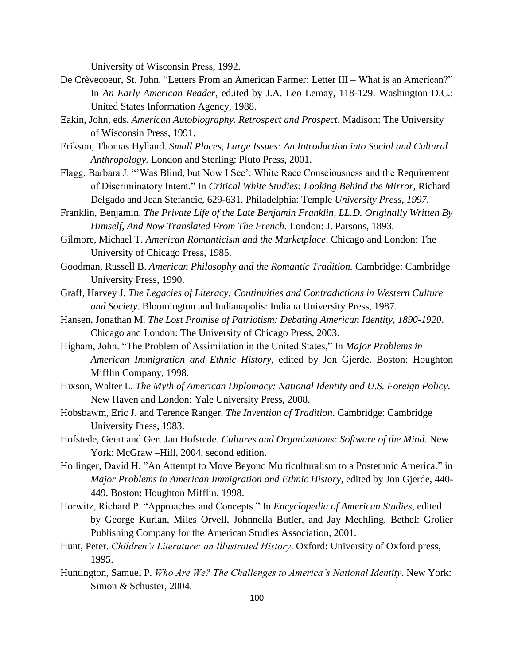University of Wisconsin Press, 1992.

- De Crèvecoeur, St. John. "Letters From an American Farmer: Letter III What is an American?" In *An Early American Reader*, ed.ited by J.A. Leo Lemay, 118-129. Washington D.C.: United States Information Agency, 1988.
- Eakin, John, eds. *American Autobiography. Retrospect and Prospect*. Madison: The University of Wisconsin Press, 1991.
- Erikson, Thomas Hylland. *Small Places, Large Issues: An Introduction into Social and Cultural Anthropology.* London and Sterling: Pluto Press, 2001.
- Flagg, Barbara J. ""Was Blind, but Now I See": White Race Consciousness and the Requirement of Discriminatory Intent." In *Critical White Studies: Looking Behind the Mirror*, Richard Delgado and Jean Stefancic, 629-631. Philadelphia: Temple *University Press, 1997.*
- Franklin, Benjamin. *The Private Life of the Late Benjamin Franklin, LL.D. Originally Written By Himself, And Now Translated From The French.* London: J. Parsons, 1893.
- Gilmore, Michael T. *American Romanticism and the Marketplace*. Chicago and London: The University of Chicago Press, 1985.
- Goodman, Russell B. *American Philosophy and the Romantic Tradition.* Cambridge: Cambridge University Press, 1990.
- Graff, Harvey J. *The Legacies of Literacy: Continuities and Contradictions in Western Culture and Society*. Bloomington and Indianapolis: Indiana University Press, 1987.
- Hansen, Jonathan M. *The Lost Promise of Patriotism: Debating American Identity, 1890-1920*. Chicago and London: The University of Chicago Press, 2003.
- Higham, John. "The Problem of Assimilation in the United States," In *Major Problems in American Immigration and Ethnic History,* edited by Jon Gjerde. Boston: Houghton Mifflin Company, 1998.
- Hixson, Walter L. *The Myth of American Diplomacy: National Identity and U.S. Foreign Policy*. New Haven and London: Yale University Press, 2008.
- Hobsbawm, Eric J. and Terence Ranger. *The Invention of Tradition*. Cambridge: Cambridge University Press, 1983.
- Hofstede, Geert and Gert Jan Hofstede. *Cultures and Organizations: Software of the Mind.* New York: McGraw –Hill, 2004, second edition.
- Hollinger, David H. "An Attempt to Move Beyond Multiculturalism to a Postethnic America." in *Major Problems in American Immigration and Ethnic History*, edited by Jon Gjerde, 440- 449. Boston: Houghton Mifflin, 1998.
- Horwitz, Richard P. "Approaches and Concepts." In *Encyclopedia of American Studies,* edited by George Kurian, Miles Orvell, Johnnella Butler, and Jay Mechling. Bethel: Grolier Publishing Company for the American Studies Association, 2001.
- Hunt, Peter. *Children's Literature: an Illustrated History*. Oxford: University of Oxford press, 1995.
- Huntington, Samuel P. *Who Are We? The Challenges to America's National Identity*. New York: Simon & Schuster, 2004.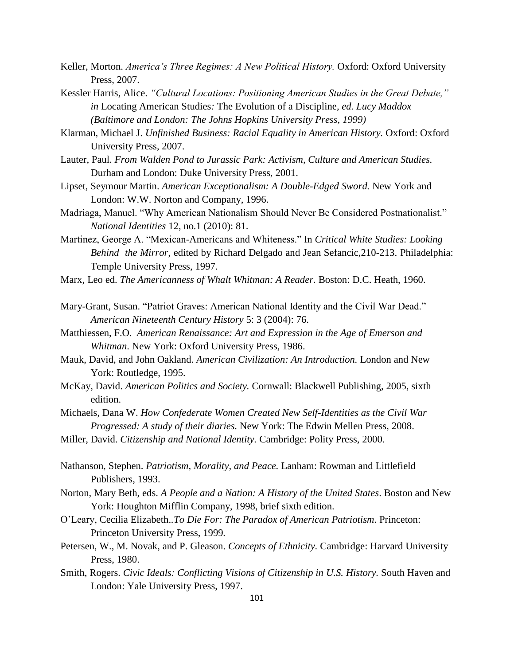- Keller, Morton. *America's Three Regimes: A New Political History.* Oxford: Oxford University Press, 2007.
- Kessler Harris, Alice. *"Cultural Locations: Positioning American Studies in the Great Debate," in* Locating American Studies*:* The Evolution of a Discipline*, ed. Lucy Maddox (Baltimore and London: The Johns Hopkins University Press, 1999)*
- Klarman, Michael J. *Unfinished Business: Racial Equality in American History.* Oxford: Oxford University Press, 2007.
- Lauter, Paul. *From Walden Pond to Jurassic Park: Activism, Culture and American Studies.* Durham and London: Duke University Press, 2001.
- Lipset, Seymour Martin. *American Exceptionalism: A Double-Edged Sword.* New York and London: W.W. Norton and Company, 1996.
- Madriaga, Manuel. "Why American Nationalism Should Never Be Considered Postnationalist." *National Identities* 12, no.1 (2010): 81.
- Martinez, George A. "Mexican-Americans and Whiteness." In *Critical White Studies: Looking Behind the Mirror,* edited by Richard Delgado and Jean Sefancic,210-213. Philadelphia: Temple University Press, 1997.
- Marx, Leo ed. *The Americanness of Whalt Whitman: A Reader.* Boston: D.C. Heath, 1960.
- Mary-Grant, Susan. "Patriot Graves: American National Identity and the Civil War Dead." *American Nineteenth Century History* 5: 3 (2004): 76.
- Matthiessen, F.O. *American Renaissance: Art and Expression in the Age of Emerson and Whitman*. New York: Oxford University Press, 1986.
- Mauk, David, and John Oakland. *American Civilization: An Introduction.* London and New York: Routledge, 1995.
- McKay, David. *American Politics and Society.* Cornwall: Blackwell Publishing, 2005, sixth edition.
- Michaels, Dana W. *How Confederate Women Created New Self-Identities as the Civil War Progressed: A study of their diaries.* New York: The Edwin Mellen Press, 2008.
- Miller, David. *Citizenship and National Identity.* Cambridge: Polity Press, 2000.
- Nathanson, Stephen. *Patriotism, Morality, and Peace.* Lanham: Rowman and Littlefield Publishers, 1993.
- Norton, Mary Beth, eds. *A People and a Nation: A History of the United States*. Boston and New York: Houghton Mifflin Company, 1998, brief sixth edition.
- O"Leary, Cecilia Elizabeth.*.To Die For: The Paradox of American Patriotism*. Princeton: Princeton University Press, 1999*.*
- Petersen, W., M. Novak, and P. Gleason. *Concepts of Ethnicity.* Cambridge: Harvard University Press, 1980.
- Smith, Rogers. *Civic Ideals: Conflicting Visions of Citizenship in U.S. History.* South Haven and London: Yale University Press, 1997.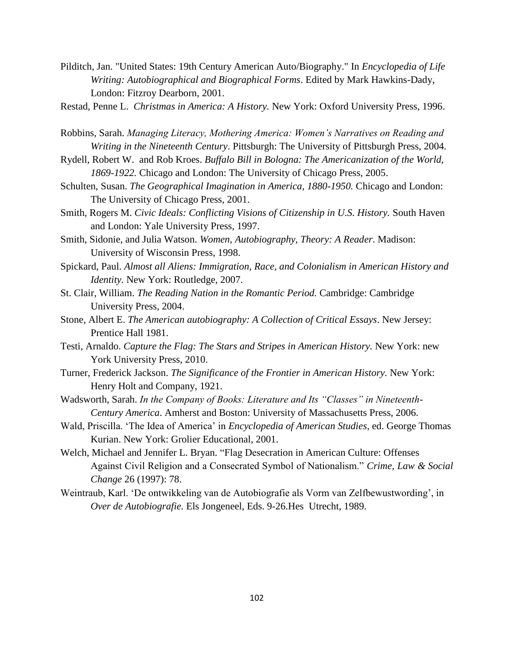Pilditch, Jan. "United States: 19th Century American Auto/Biography." In *Encyclopedia of Life Writing: Autobiographical and Biographical Forms*. Edited by Mark Hawkins-Dady, London: Fitzroy Dearborn, 2001.

Restad, Penne L. *Christmas in America: A History.* New York: Oxford University Press, 1996.

- Robbins, Sarah. *Managing Literacy, Mothering America: Women's Narratives on Reading and Writing in the Nineteenth Century*. Pittsburgh: The University of Pittsburgh Press, 2004.
- Rydell, Robert W. and Rob Kroes. *Buffalo Bill in Bologna: The Americanization of the World, 1869-1922.* Chicago and London: The University of Chicago Press, 2005.
- Schulten, Susan. *The Geographical Imagination in America, 1880-1950.* Chicago and London: The University of Chicago Press, 2001.
- Smith, Rogers M. *Civic Ideals: Conflicting Visions of Citizenship in U.S. History.* South Haven and London: Yale University Press, 1997.
- Smith, Sidonie, and Julia Watson. *Women, Autobiography, Theory: A Reader*. Madison: University of Wisconsin Press, 1998.
- Spickard, Paul. *Almost all Aliens: Immigration, Race, and Colonialism in American History and Identity.* New York: Routledge, 2007.
- St. Clair, William. *The Reading Nation in the Romantic Period.* Cambridge: Cambridge University Press, 2004.
- Stone, Albert E. *The American autobiography: A Collection of Critical Essays*. New Jersey: Prentice Hall 1981.
- Testi, Arnaldo. *Capture the Flag: The Stars and Stripes in American History.* New York: new York University Press, 2010.
- Turner, Frederick Jackson. *The Significance of the Frontier in American History.* New York: Henry Holt and Company, 1921.
- Wadsworth, Sarah. *In the Company of Books: Literature and Its "Classes" in Nineteenth-Century America*. Amherst and Boston: University of Massachusetts Press, 2006.
- Wald, Priscilla. "The Idea of America" in *Encyclopedia of American Studies*, ed. George Thomas Kurian. New York: Grolier Educational, 2001.
- Welch, Michael and Jennifer L. Bryan. "Flag Desecration in American Culture: Offenses Against Civil Religion and a Consecrated Symbol of Nationalism." *Crime, Law & Social Change* 26 (1997): 78.
- Weintraub, Karl. "De ontwikkeling van de Autobiografie als Vorm van Zelfbewustwording", in *Over de Autobiografie.* Els Jongeneel, Eds. 9-26.Hes Utrecht, 1989.